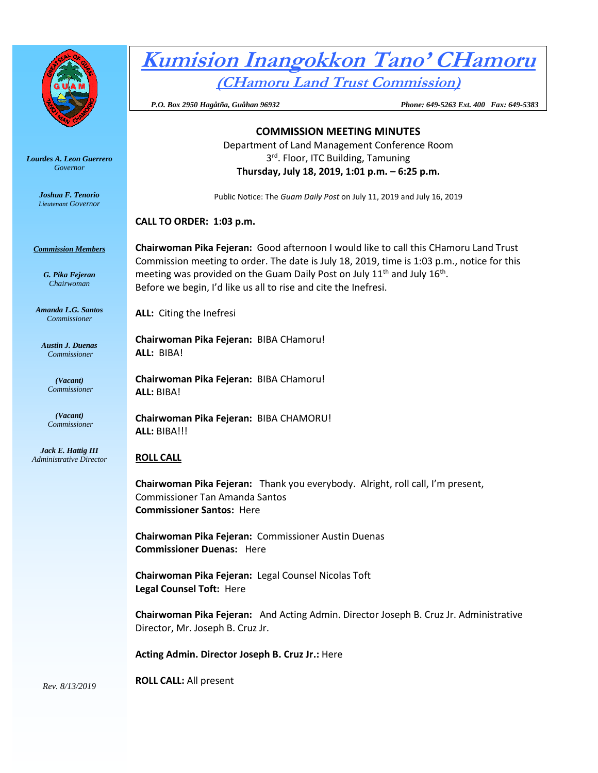

*Lourdes A. Leon Guerrero Governor* 

> *Joshua F. Tenorio Lieutenant Governor*

#### *Commission Members*

*G. Pika Fejeran Chairwoman*

*Amanda L.G. Santos Commissioner*

*Austin J. Duenas Commissioner*

> *(Vacant) Commissioner*

*(Vacant) Commissioner*

*Jack E. Hattig III Administrative Director*

# **Kumision Inangokkon Tano' CHamoru**

**(CHamoru Land Trust Commission)**

 *P.O. Box 2950 Hagåtña, Guåhan 96932 Phone: 649-5263 Ext. 400 Fax: 649-5383*

# **COMMISSION MEETING MINUTES** Department of Land Management Conference Room 3<sup>rd</sup>. Floor, ITC Building, Tamuning **Thursday, July 18, 2019, 1:01 p.m. – 6:25 p.m.**

Public Notice: The *Guam Daily Post* on July 11, 2019 and July 16, 2019

# **CALL TO ORDER: 1:03 p.m.**

**Chairwoman Pika Fejeran:** Good afternoon I would like to call this CHamoru Land Trust Commission meeting to order. The date is July 18, 2019, time is 1:03 p.m., notice for this meeting was provided on the Guam Daily Post on July 11<sup>th</sup> and July 16<sup>th</sup>. Before we begin, I'd like us all to rise and cite the Inefresi.

**ALL:** Citing the Inefresi

**Chairwoman Pika Fejeran:** BIBA CHamoru! **ALL:** BIBA!

**Chairwoman Pika Fejeran:** BIBA CHamoru! **ALL:** BIBA!

**Chairwoman Pika Fejeran:** BIBA CHAMORU! **ALL:** BIBA!!!

# **ROLL CALL**

**Chairwoman Pika Fejeran:** Thank you everybody. Alright, roll call, I'm present, Commissioner Tan Amanda Santos **Commissioner Santos:** Here

**Chairwoman Pika Fejeran:** Commissioner Austin Duenas **Commissioner Duenas:** Here

**Chairwoman Pika Fejeran:** Legal Counsel Nicolas Toft **Legal Counsel Toft:** Here

**Chairwoman Pika Fejeran:** And Acting Admin. Director Joseph B. Cruz Jr. Administrative Director, Mr. Joseph B. Cruz Jr.

**Acting Admin. Director Joseph B. Cruz Jr.:** Here

**ROLL CALL:** All present

*Rev. 8/13/2019*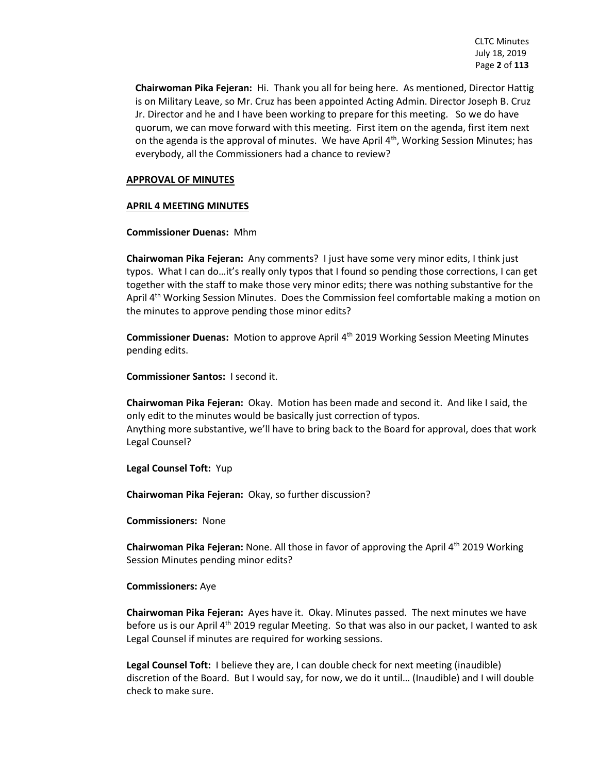**Chairwoman Pika Fejeran:** Hi. Thank you all for being here. As mentioned, Director Hattig is on Military Leave, so Mr. Cruz has been appointed Acting Admin. Director Joseph B. Cruz Jr. Director and he and I have been working to prepare for this meeting. So we do have quorum, we can move forward with this meeting. First item on the agenda, first item next on the agenda is the approval of minutes. We have April  $4<sup>th</sup>$ , Working Session Minutes; has everybody, all the Commissioners had a chance to review?

#### **APPROVAL OF MINUTES**

### **APRIL 4 MEETING MINUTES**

#### **Commissioner Duenas:** Mhm

**Chairwoman Pika Fejeran:** Any comments? I just have some very minor edits, I think just typos. What I can do…it's really only typos that I found so pending those corrections, I can get together with the staff to make those very minor edits; there was nothing substantive for the April 4<sup>th</sup> Working Session Minutes. Does the Commission feel comfortable making a motion on the minutes to approve pending those minor edits?

**Commissioner Duenas:** Motion to approve April 4<sup>th</sup> 2019 Working Session Meeting Minutes pending edits.

**Commissioner Santos:** I second it.

**Chairwoman Pika Fejeran:** Okay. Motion has been made and second it. And like I said, the only edit to the minutes would be basically just correction of typos. Anything more substantive, we'll have to bring back to the Board for approval, does that work Legal Counsel?

**Legal Counsel Toft:** Yup

**Chairwoman Pika Fejeran:** Okay, so further discussion?

**Commissioners:** None

**Chairwoman Pika Fejeran:** None. All those in favor of approving the April 4th 2019 Working Session Minutes pending minor edits?

#### **Commissioners:** Aye

**Chairwoman Pika Fejeran:** Ayes have it. Okay. Minutes passed. The next minutes we have before us is our April 4<sup>th</sup> 2019 regular Meeting. So that was also in our packet, I wanted to ask Legal Counsel if minutes are required for working sessions.

**Legal Counsel Toft:** I believe they are, I can double check for next meeting (inaudible) discretion of the Board. But I would say, for now, we do it until… (Inaudible) and I will double check to make sure.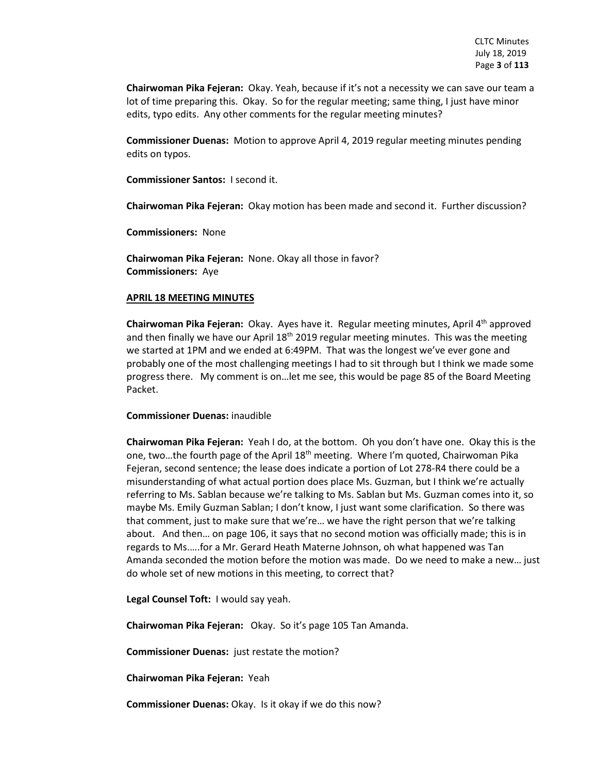**Chairwoman Pika Fejeran:** Okay. Yeah, because if it's not a necessity we can save our team a lot of time preparing this. Okay. So for the regular meeting; same thing, I just have minor edits, typo edits. Any other comments for the regular meeting minutes?

**Commissioner Duenas:** Motion to approve April 4, 2019 regular meeting minutes pending edits on typos.

**Commissioner Santos:** I second it.

**Chairwoman Pika Fejeran:** Okay motion has been made and second it. Further discussion?

**Commissioners:** None

**Chairwoman Pika Fejeran:** None. Okay all those in favor? **Commissioners:** Aye

#### **APRIL 18 MEETING MINUTES**

**Chairwoman Pika Fejeran:** Okay. Ayes have it. Regular meeting minutes, April 4th approved and then finally we have our April  $18<sup>th</sup> 2019$  regular meeting minutes. This was the meeting we started at 1PM and we ended at 6:49PM. That was the longest we've ever gone and probably one of the most challenging meetings I had to sit through but I think we made some progress there. My comment is on…let me see, this would be page 85 of the Board Meeting Packet.

#### **Commissioner Duenas:** inaudible

**Chairwoman Pika Fejeran:** Yeah I do, at the bottom. Oh you don't have one. Okay this is the one, two…the fourth page of the April 18th meeting. Where I'm quoted, Chairwoman Pika Fejeran, second sentence; the lease does indicate a portion of Lot 278-R4 there could be a misunderstanding of what actual portion does place Ms. Guzman, but I think we're actually referring to Ms. Sablan because we're talking to Ms. Sablan but Ms. Guzman comes into it, so maybe Ms. Emily Guzman Sablan; I don't know, I just want some clarification. So there was that comment, just to make sure that we're… we have the right person that we're talking about. And then… on page 106, it says that no second motion was officially made; this is in regards to Ms.….for a Mr. Gerard Heath Materne Johnson, oh what happened was Tan Amanda seconded the motion before the motion was made. Do we need to make a new… just do whole set of new motions in this meeting, to correct that?

**Legal Counsel Toft:** I would say yeah.

**Chairwoman Pika Fejeran:** Okay. So it's page 105 Tan Amanda.

**Commissioner Duenas:** just restate the motion?

**Chairwoman Pika Fejeran:** Yeah

**Commissioner Duenas:** Okay. Is it okay if we do this now?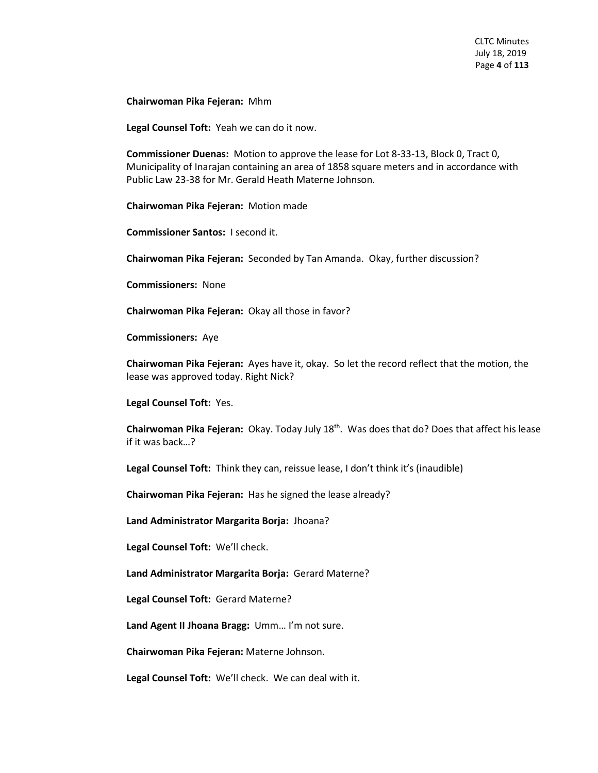**Chairwoman Pika Fejeran:** Mhm

**Legal Counsel Toft:** Yeah we can do it now.

**Commissioner Duenas:** Motion to approve the lease for Lot 8-33-13, Block 0, Tract 0, Municipality of Inarajan containing an area of 1858 square meters and in accordance with Public Law 23-38 for Mr. Gerald Heath Materne Johnson.

**Chairwoman Pika Fejeran:** Motion made

**Commissioner Santos:** I second it.

**Chairwoman Pika Fejeran:** Seconded by Tan Amanda. Okay, further discussion?

**Commissioners:** None

**Chairwoman Pika Fejeran:** Okay all those in favor?

**Commissioners:** Aye

**Chairwoman Pika Fejeran:** Ayes have it, okay. So let the record reflect that the motion, the lease was approved today. Right Nick?

**Legal Counsel Toft:** Yes.

**Chairwoman Pika Fejeran:** Okay. Today July 18th. Was does that do? Does that affect his lease if it was back…?

**Legal Counsel Toft:** Think they can, reissue lease, I don't think it's (inaudible)

**Chairwoman Pika Fejeran:** Has he signed the lease already?

**Land Administrator Margarita Borja:** Jhoana?

**Legal Counsel Toft:** We'll check.

**Land Administrator Margarita Borja:** Gerard Materne?

**Legal Counsel Toft:** Gerard Materne?

**Land Agent II Jhoana Bragg:** Umm… I'm not sure.

**Chairwoman Pika Fejeran:** Materne Johnson.

**Legal Counsel Toft:** We'll check. We can deal with it.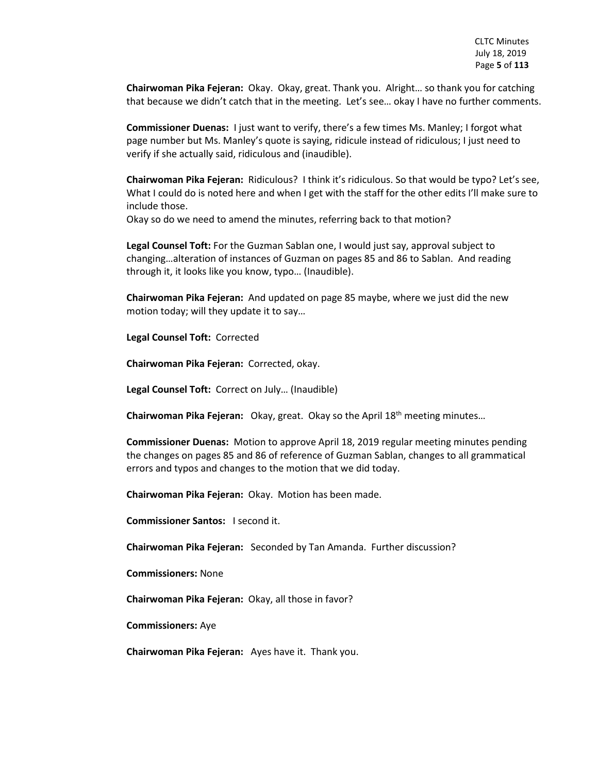**Chairwoman Pika Fejeran:** Okay. Okay, great. Thank you. Alright… so thank you for catching that because we didn't catch that in the meeting. Let's see… okay I have no further comments.

**Commissioner Duenas:** I just want to verify, there's a few times Ms. Manley; I forgot what page number but Ms. Manley's quote is saying, ridicule instead of ridiculous; I just need to verify if she actually said, ridiculous and (inaudible).

**Chairwoman Pika Fejeran:** Ridiculous? I think it's ridiculous. So that would be typo? Let's see, What I could do is noted here and when I get with the staff for the other edits I'll make sure to include those.

Okay so do we need to amend the minutes, referring back to that motion?

**Legal Counsel Toft:** For the Guzman Sablan one, I would just say, approval subject to changing…alteration of instances of Guzman on pages 85 and 86 to Sablan. And reading through it, it looks like you know, typo… (Inaudible).

**Chairwoman Pika Fejeran:** And updated on page 85 maybe, where we just did the new motion today; will they update it to say…

**Legal Counsel Toft:** Corrected

**Chairwoman Pika Fejeran:** Corrected, okay.

**Legal Counsel Toft:** Correct on July… (Inaudible)

**Chairwoman Pika Fejeran:** Okay, great. Okay so the April 18th meeting minutes…

**Commissioner Duenas:** Motion to approve April 18, 2019 regular meeting minutes pending the changes on pages 85 and 86 of reference of Guzman Sablan, changes to all grammatical errors and typos and changes to the motion that we did today.

**Chairwoman Pika Fejeran:** Okay. Motion has been made.

**Commissioner Santos:** I second it.

**Chairwoman Pika Fejeran:** Seconded by Tan Amanda. Further discussion?

**Commissioners:** None

**Chairwoman Pika Fejeran:** Okay, all those in favor?

**Commissioners:** Aye

**Chairwoman Pika Fejeran:** Ayes have it. Thank you.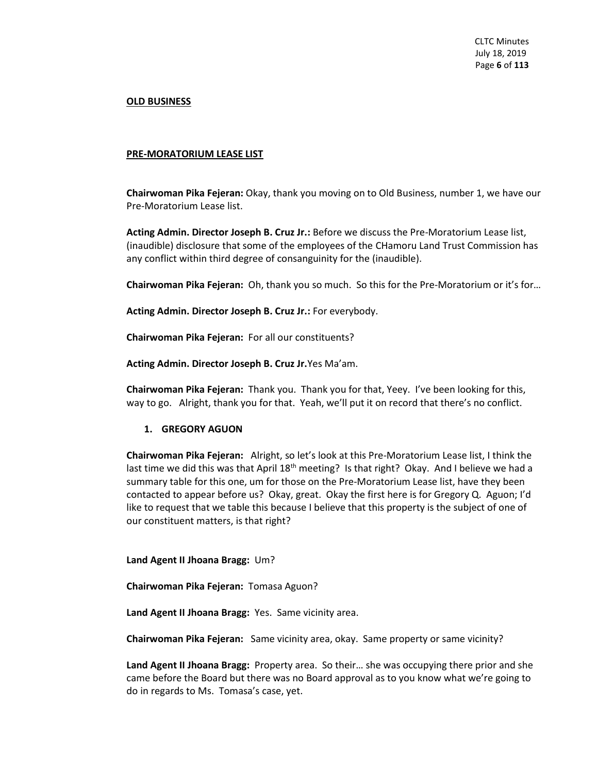#### **OLD BUSINESS**

#### **PRE-MORATORIUM LEASE LIST**

**Chairwoman Pika Fejeran:** Okay, thank you moving on to Old Business, number 1, we have our Pre-Moratorium Lease list.

**Acting Admin. Director Joseph B. Cruz Jr.:** Before we discuss the Pre-Moratorium Lease list, (inaudible) disclosure that some of the employees of the CHamoru Land Trust Commission has any conflict within third degree of consanguinity for the (inaudible).

**Chairwoman Pika Fejeran:** Oh, thank you so much. So this for the Pre-Moratorium or it's for…

**Acting Admin. Director Joseph B. Cruz Jr.:** For everybody.

**Chairwoman Pika Fejeran:** For all our constituents?

**Acting Admin. Director Joseph B. Cruz Jr.**Yes Ma'am.

**Chairwoman Pika Fejeran:** Thank you. Thank you for that, Yeey. I've been looking for this, way to go. Alright, thank you for that. Yeah, we'll put it on record that there's no conflict.

# **1. GREGORY AGUON**

**Chairwoman Pika Fejeran:** Alright, so let's look at this Pre-Moratorium Lease list, I think the last time we did this was that April 18<sup>th</sup> meeting? Is that right? Okay. And I believe we had a summary table for this one, um for those on the Pre-Moratorium Lease list, have they been contacted to appear before us? Okay, great. Okay the first here is for Gregory Q. Aguon; I'd like to request that we table this because I believe that this property is the subject of one of our constituent matters, is that right?

#### **Land Agent II Jhoana Bragg:** Um?

**Chairwoman Pika Fejeran:** Tomasa Aguon?

**Land Agent II Jhoana Bragg:** Yes. Same vicinity area.

**Chairwoman Pika Fejeran:** Same vicinity area, okay. Same property or same vicinity?

**Land Agent II Jhoana Bragg:** Property area. So their… she was occupying there prior and she came before the Board but there was no Board approval as to you know what we're going to do in regards to Ms. Tomasa's case, yet.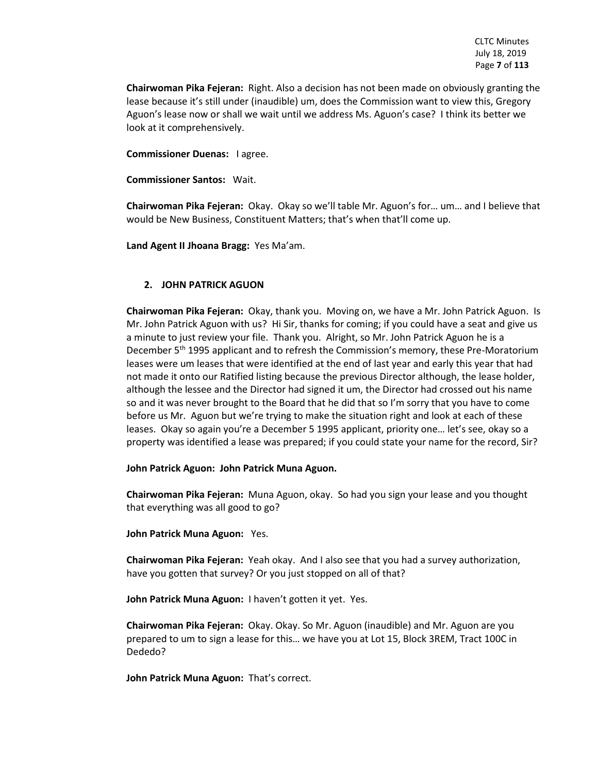**Chairwoman Pika Fejeran:** Right. Also a decision has not been made on obviously granting the lease because it's still under (inaudible) um, does the Commission want to view this, Gregory Aguon's lease now or shall we wait until we address Ms. Aguon's case? I think its better we look at it comprehensively.

**Commissioner Duenas:** I agree.

**Commissioner Santos:** Wait.

**Chairwoman Pika Fejeran:** Okay. Okay so we'll table Mr. Aguon's for… um… and I believe that would be New Business, Constituent Matters; that's when that'll come up.

**Land Agent II Jhoana Bragg:** Yes Ma'am.

# **2. JOHN PATRICK AGUON**

**Chairwoman Pika Fejeran:** Okay, thank you. Moving on, we have a Mr. John Patrick Aguon. Is Mr. John Patrick Aguon with us? Hi Sir, thanks for coming; if you could have a seat and give us a minute to just review your file. Thank you. Alright, so Mr. John Patrick Aguon he is a December 5<sup>th</sup> 1995 applicant and to refresh the Commission's memory, these Pre-Moratorium leases were um leases that were identified at the end of last year and early this year that had not made it onto our Ratified listing because the previous Director although, the lease holder, although the lessee and the Director had signed it um, the Director had crossed out his name so and it was never brought to the Board that he did that so I'm sorry that you have to come before us Mr. Aguon but we're trying to make the situation right and look at each of these leases. Okay so again you're a December 5 1995 applicant, priority one… let's see, okay so a property was identified a lease was prepared; if you could state your name for the record, Sir?

#### **John Patrick Aguon: John Patrick Muna Aguon.**

**Chairwoman Pika Fejeran:** Muna Aguon, okay. So had you sign your lease and you thought that everything was all good to go?

**John Patrick Muna Aguon:** Yes.

**Chairwoman Pika Fejeran:** Yeah okay. And I also see that you had a survey authorization, have you gotten that survey? Or you just stopped on all of that?

**John Patrick Muna Aguon:** I haven't gotten it yet. Yes.

**Chairwoman Pika Fejeran:** Okay. Okay. So Mr. Aguon (inaudible) and Mr. Aguon are you prepared to um to sign a lease for this… we have you at Lot 15, Block 3REM, Tract 100C in Dededo?

**John Patrick Muna Aguon:** That's correct.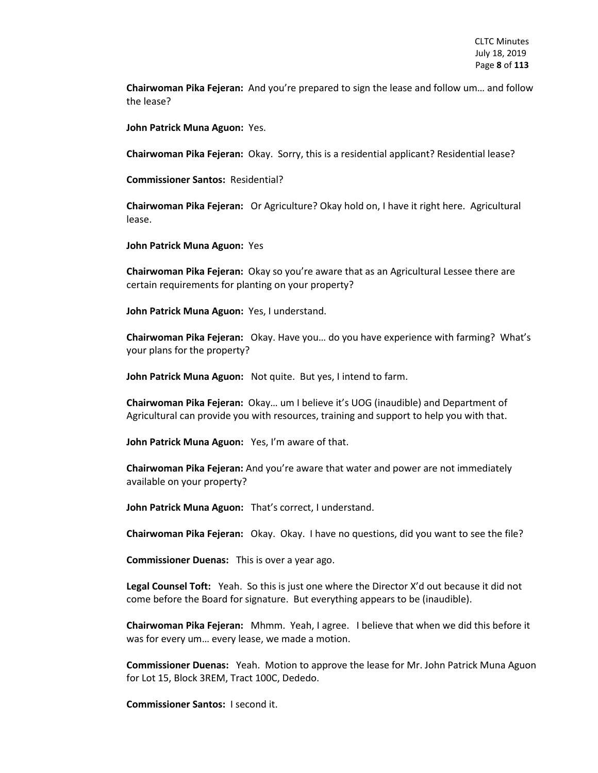**Chairwoman Pika Fejeran:** And you're prepared to sign the lease and follow um… and follow the lease?

**John Patrick Muna Aguon:** Yes.

**Chairwoman Pika Fejeran:** Okay. Sorry, this is a residential applicant? Residential lease?

**Commissioner Santos:** Residential?

**Chairwoman Pika Fejeran:** Or Agriculture? Okay hold on, I have it right here. Agricultural lease.

**John Patrick Muna Aguon:** Yes

**Chairwoman Pika Fejeran:** Okay so you're aware that as an Agricultural Lessee there are certain requirements for planting on your property?

**John Patrick Muna Aguon:** Yes, I understand.

**Chairwoman Pika Fejeran:** Okay. Have you… do you have experience with farming? What's your plans for the property?

**John Patrick Muna Aguon:** Not quite. But yes, I intend to farm.

**Chairwoman Pika Fejeran:** Okay… um I believe it's UOG (inaudible) and Department of Agricultural can provide you with resources, training and support to help you with that.

**John Patrick Muna Aguon:** Yes, I'm aware of that.

**Chairwoman Pika Fejeran:** And you're aware that water and power are not immediately available on your property?

**John Patrick Muna Aguon:** That's correct, I understand.

**Chairwoman Pika Fejeran:** Okay. Okay. I have no questions, did you want to see the file?

**Commissioner Duenas:** This is over a year ago.

**Legal Counsel Toft:** Yeah. So this is just one where the Director X'd out because it did not come before the Board for signature. But everything appears to be (inaudible).

**Chairwoman Pika Fejeran:** Mhmm. Yeah, I agree. I believe that when we did this before it was for every um… every lease, we made a motion.

**Commissioner Duenas:** Yeah. Motion to approve the lease for Mr. John Patrick Muna Aguon for Lot 15, Block 3REM, Tract 100C, Dededo.

**Commissioner Santos:** I second it.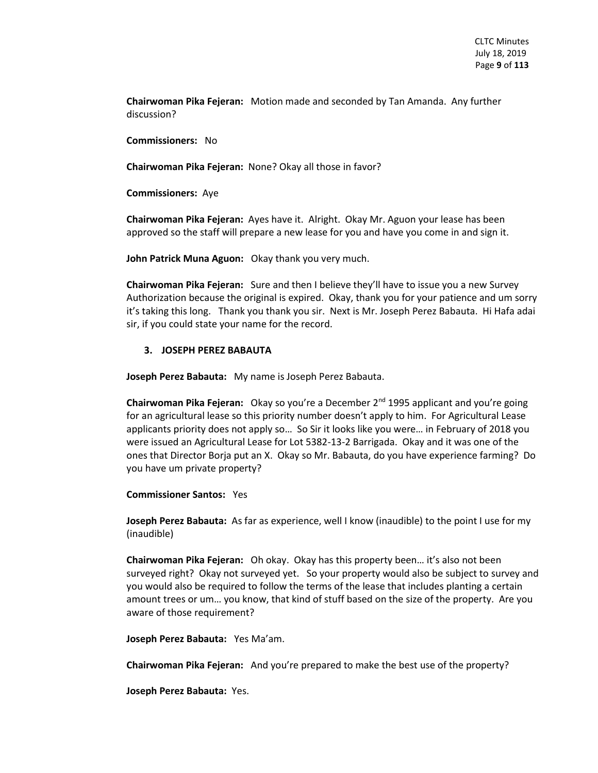**Chairwoman Pika Fejeran:** Motion made and seconded by Tan Amanda. Any further discussion?

**Commissioners:** No

**Chairwoman Pika Fejeran:** None? Okay all those in favor?

**Commissioners:** Aye

**Chairwoman Pika Fejeran:** Ayes have it. Alright. Okay Mr. Aguon your lease has been approved so the staff will prepare a new lease for you and have you come in and sign it.

**John Patrick Muna Aguon:** Okay thank you very much.

**Chairwoman Pika Fejeran:** Sure and then I believe they'll have to issue you a new Survey Authorization because the original is expired. Okay, thank you for your patience and um sorry it's taking this long. Thank you thank you sir. Next is Mr. Joseph Perez Babauta. Hi Hafa adai sir, if you could state your name for the record.

#### **3. JOSEPH PEREZ BABAUTA**

**Joseph Perez Babauta:** My name is Joseph Perez Babauta.

**Chairwoman Pika Fejeran:** Okay so you're a December 2nd 1995 applicant and you're going for an agricultural lease so this priority number doesn't apply to him. For Agricultural Lease applicants priority does not apply so… So Sir it looks like you were… in February of 2018 you were issued an Agricultural Lease for Lot 5382-13-2 Barrigada. Okay and it was one of the ones that Director Borja put an X. Okay so Mr. Babauta, do you have experience farming? Do you have um private property?

**Commissioner Santos:** Yes

**Joseph Perez Babauta:** As far as experience, well I know (inaudible) to the point I use for my (inaudible)

**Chairwoman Pika Fejeran:** Oh okay. Okay has this property been… it's also not been surveyed right? Okay not surveyed yet. So your property would also be subject to survey and you would also be required to follow the terms of the lease that includes planting a certain amount trees or um… you know, that kind of stuff based on the size of the property. Are you aware of those requirement?

**Joseph Perez Babauta:** Yes Ma'am.

**Chairwoman Pika Fejeran:** And you're prepared to make the best use of the property?

**Joseph Perez Babauta:** Yes.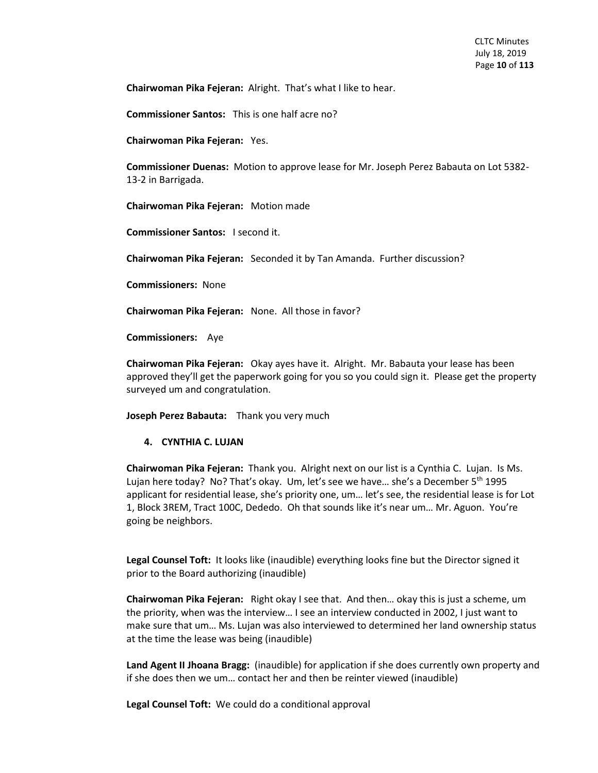**Chairwoman Pika Fejeran:** Alright. That's what I like to hear.

**Commissioner Santos:** This is one half acre no?

**Chairwoman Pika Fejeran:** Yes.

**Commissioner Duenas:** Motion to approve lease for Mr. Joseph Perez Babauta on Lot 5382- 13-2 in Barrigada.

**Chairwoman Pika Fejeran:** Motion made

**Commissioner Santos:** I second it.

**Chairwoman Pika Fejeran:** Seconded it by Tan Amanda. Further discussion?

**Commissioners:** None

**Chairwoman Pika Fejeran:** None. All those in favor?

**Commissioners:** Aye

**Chairwoman Pika Fejeran:** Okay ayes have it. Alright. Mr. Babauta your lease has been approved they'll get the paperwork going for you so you could sign it. Please get the property surveyed um and congratulation.

**Joseph Perez Babauta:** Thank you very much

#### **4. CYNTHIA C. LUJAN**

**Chairwoman Pika Fejeran:** Thank you. Alright next on our list is a Cynthia C. Lujan. Is Ms. Lujan here today? No? That's okay. Um, let's see we have... she's a December  $5<sup>th</sup>$  1995 applicant for residential lease, she's priority one, um… let's see, the residential lease is for Lot 1, Block 3REM, Tract 100C, Dededo. Oh that sounds like it's near um… Mr. Aguon. You're going be neighbors.

**Legal Counsel Toft:** It looks like (inaudible) everything looks fine but the Director signed it prior to the Board authorizing (inaudible)

**Chairwoman Pika Fejeran:** Right okay I see that. And then… okay this is just a scheme, um the priority, when was the interview… I see an interview conducted in 2002, I just want to make sure that um… Ms. Lujan was also interviewed to determined her land ownership status at the time the lease was being (inaudible)

**Land Agent II Jhoana Bragg:** (inaudible) for application if she does currently own property and if she does then we um… contact her and then be reinter viewed (inaudible)

**Legal Counsel Toft:** We could do a conditional approval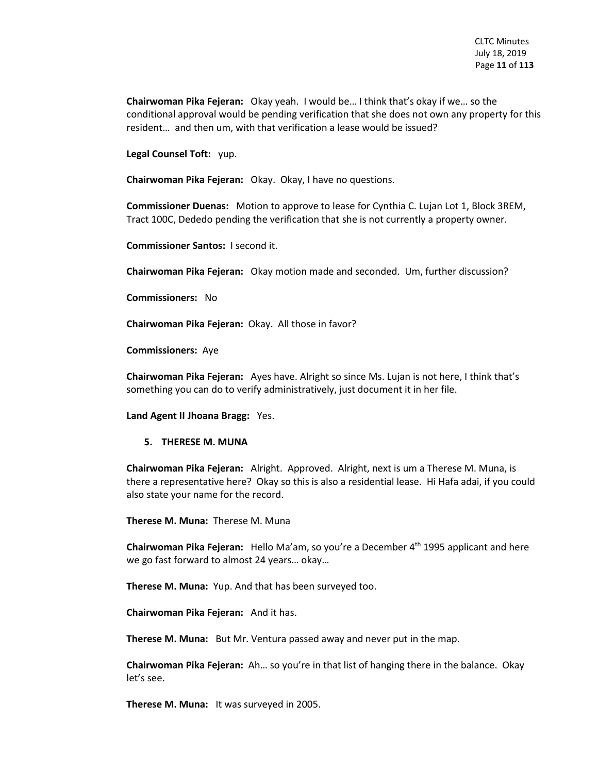**Chairwoman Pika Fejeran:** Okay yeah. I would be… I think that's okay if we… so the conditional approval would be pending verification that she does not own any property for this resident… and then um, with that verification a lease would be issued?

**Legal Counsel Toft:** yup.

**Chairwoman Pika Fejeran:** Okay. Okay, I have no questions.

**Commissioner Duenas:** Motion to approve to lease for Cynthia C. Lujan Lot 1, Block 3REM, Tract 100C, Dededo pending the verification that she is not currently a property owner.

**Commissioner Santos:** I second it.

**Chairwoman Pika Fejeran:** Okay motion made and seconded. Um, further discussion?

**Commissioners:** No

**Chairwoman Pika Fejeran:** Okay. All those in favor?

**Commissioners:** Aye

**Chairwoman Pika Fejeran:** Ayes have. Alright so since Ms. Lujan is not here, I think that's something you can do to verify administratively, just document it in her file.

#### **Land Agent II Jhoana Bragg:** Yes.

#### **5. THERESE M. MUNA**

**Chairwoman Pika Fejeran:** Alright. Approved. Alright, next is um a Therese M. Muna, is there a representative here? Okay so this is also a residential lease. Hi Hafa adai, if you could also state your name for the record.

**Therese M. Muna:** Therese M. Muna

**Chairwoman Pika Fejeran:** Hello Ma'am, so you're a December 4th 1995 applicant and here we go fast forward to almost 24 years… okay…

**Therese M. Muna:** Yup. And that has been surveyed too.

**Chairwoman Pika Fejeran:** And it has.

**Therese M. Muna:** But Mr. Ventura passed away and never put in the map.

**Chairwoman Pika Fejeran:** Ah… so you're in that list of hanging there in the balance. Okay let's see.

**Therese M. Muna:** It was surveyed in 2005.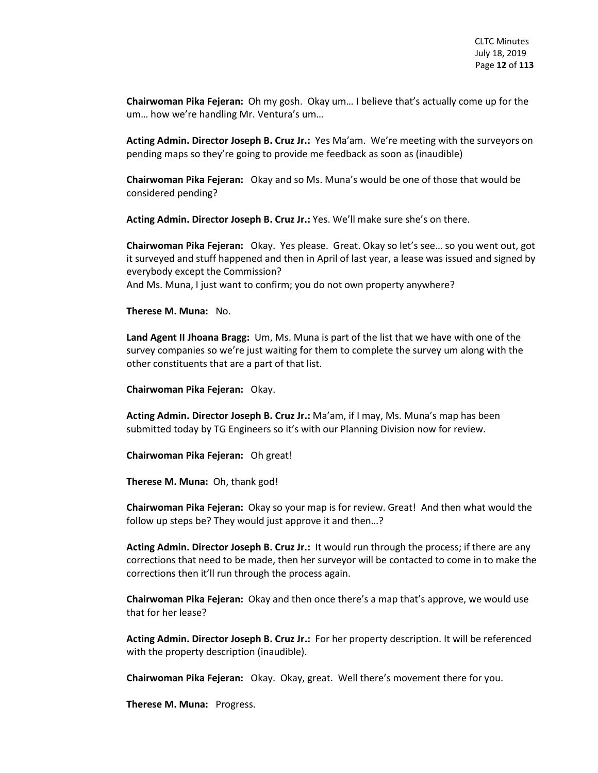**Chairwoman Pika Fejeran:** Oh my gosh. Okay um… I believe that's actually come up for the um… how we're handling Mr. Ventura's um…

**Acting Admin. Director Joseph B. Cruz Jr.:** Yes Ma'am. We're meeting with the surveyors on pending maps so they're going to provide me feedback as soon as (inaudible)

**Chairwoman Pika Fejeran:** Okay and so Ms. Muna's would be one of those that would be considered pending?

**Acting Admin. Director Joseph B. Cruz Jr.:** Yes. We'll make sure she's on there.

**Chairwoman Pika Fejeran:** Okay. Yes please. Great. Okay so let's see… so you went out, got it surveyed and stuff happened and then in April of last year, a lease was issued and signed by everybody except the Commission? And Ms. Muna, I just want to confirm; you do not own property anywhere?

**Therese M. Muna:** No.

**Land Agent II Jhoana Bragg:** Um, Ms. Muna is part of the list that we have with one of the survey companies so we're just waiting for them to complete the survey um along with the other constituents that are a part of that list.

**Chairwoman Pika Fejeran:** Okay.

**Acting Admin. Director Joseph B. Cruz Jr.:** Ma'am, if I may, Ms. Muna's map has been submitted today by TG Engineers so it's with our Planning Division now for review.

**Chairwoman Pika Fejeran:** Oh great!

**Therese M. Muna:** Oh, thank god!

**Chairwoman Pika Fejeran:** Okay so your map is for review. Great! And then what would the follow up steps be? They would just approve it and then…?

**Acting Admin. Director Joseph B. Cruz Jr.:** It would run through the process; if there are any corrections that need to be made, then her surveyor will be contacted to come in to make the corrections then it'll run through the process again.

**Chairwoman Pika Fejeran:** Okay and then once there's a map that's approve, we would use that for her lease?

**Acting Admin. Director Joseph B. Cruz Jr.:** For her property description. It will be referenced with the property description (inaudible).

**Chairwoman Pika Fejeran:** Okay. Okay, great. Well there's movement there for you.

**Therese M. Muna:** Progress.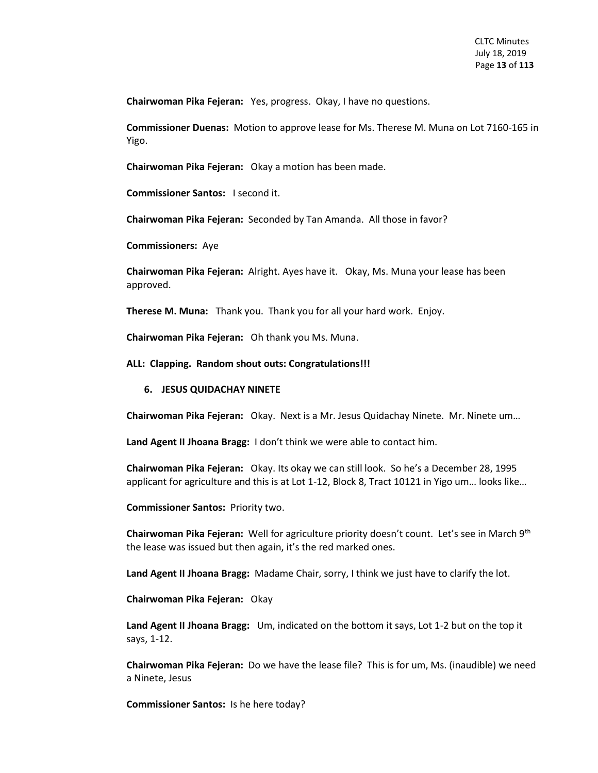**Chairwoman Pika Fejeran:** Yes, progress. Okay, I have no questions.

**Commissioner Duenas:** Motion to approve lease for Ms. Therese M. Muna on Lot 7160-165 in Yigo.

**Chairwoman Pika Fejeran:** Okay a motion has been made.

**Commissioner Santos:** I second it.

**Chairwoman Pika Fejeran:** Seconded by Tan Amanda. All those in favor?

**Commissioners:** Aye

**Chairwoman Pika Fejeran:** Alright. Ayes have it. Okay, Ms. Muna your lease has been approved.

**Therese M. Muna:** Thank you. Thank you for all your hard work. Enjoy.

**Chairwoman Pika Fejeran:** Oh thank you Ms. Muna.

**ALL: Clapping. Random shout outs: Congratulations!!!**

#### **6. JESUS QUIDACHAY NINETE**

**Chairwoman Pika Fejeran:** Okay. Next is a Mr. Jesus Quidachay Ninete. Mr. Ninete um…

**Land Agent II Jhoana Bragg:** I don't think we were able to contact him.

**Chairwoman Pika Fejeran:** Okay. Its okay we can still look. So he's a December 28, 1995 applicant for agriculture and this is at Lot 1-12, Block 8, Tract 10121 in Yigo um… looks like…

**Commissioner Santos:** Priority two.

**Chairwoman Pika Fejeran:** Well for agriculture priority doesn't count. Let's see in March 9th the lease was issued but then again, it's the red marked ones.

**Land Agent II Jhoana Bragg:** Madame Chair, sorry, I think we just have to clarify the lot.

**Chairwoman Pika Fejeran:** Okay

**Land Agent II Jhoana Bragg:** Um, indicated on the bottom it says, Lot 1-2 but on the top it says, 1-12.

**Chairwoman Pika Fejeran:** Do we have the lease file? This is for um, Ms. (inaudible) we need a Ninete, Jesus

**Commissioner Santos:** Is he here today?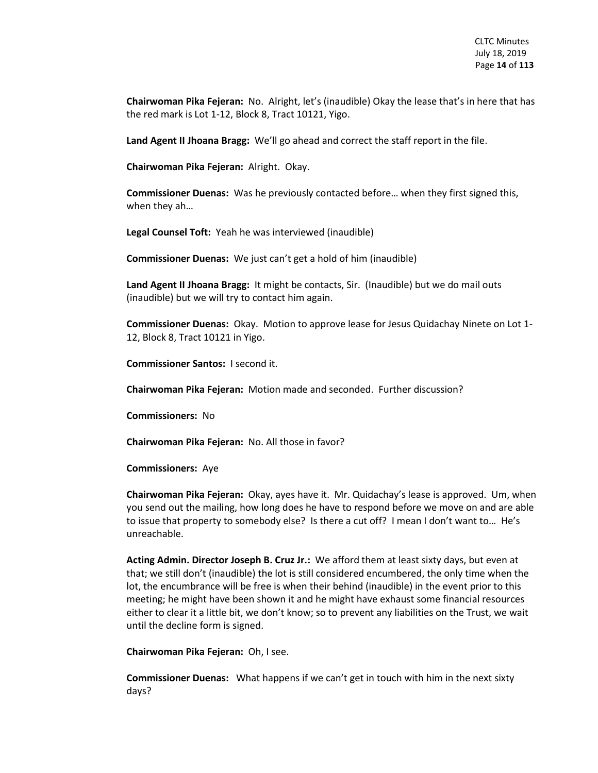**Chairwoman Pika Fejeran:** No. Alright, let's (inaudible) Okay the lease that's in here that has the red mark is Lot 1-12, Block 8, Tract 10121, Yigo.

**Land Agent II Jhoana Bragg:** We'll go ahead and correct the staff report in the file.

**Chairwoman Pika Fejeran:** Alright. Okay.

**Commissioner Duenas:** Was he previously contacted before… when they first signed this, when they ah…

**Legal Counsel Toft:** Yeah he was interviewed (inaudible)

**Commissioner Duenas:** We just can't get a hold of him (inaudible)

**Land Agent II Jhoana Bragg:** It might be contacts, Sir. (Inaudible) but we do mail outs (inaudible) but we will try to contact him again.

**Commissioner Duenas:** Okay. Motion to approve lease for Jesus Quidachay Ninete on Lot 1- 12, Block 8, Tract 10121 in Yigo.

**Commissioner Santos:** I second it.

**Chairwoman Pika Fejeran:** Motion made and seconded. Further discussion?

**Commissioners:** No

**Chairwoman Pika Fejeran:** No. All those in favor?

**Commissioners:** Aye

**Chairwoman Pika Fejeran:** Okay, ayes have it. Mr. Quidachay's lease is approved. Um, when you send out the mailing, how long does he have to respond before we move on and are able to issue that property to somebody else? Is there a cut off? I mean I don't want to… He's unreachable.

**Acting Admin. Director Joseph B. Cruz Jr.:** We afford them at least sixty days, but even at that; we still don't (inaudible) the lot is still considered encumbered, the only time when the lot, the encumbrance will be free is when their behind (inaudible) in the event prior to this meeting; he might have been shown it and he might have exhaust some financial resources either to clear it a little bit, we don't know; so to prevent any liabilities on the Trust, we wait until the decline form is signed.

**Chairwoman Pika Fejeran:** Oh, I see.

**Commissioner Duenas:** What happens if we can't get in touch with him in the next sixty days?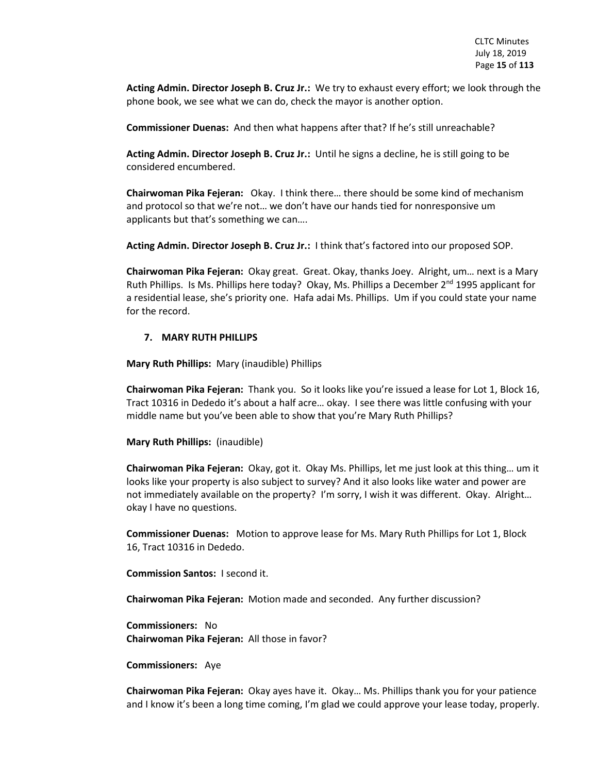**Acting Admin. Director Joseph B. Cruz Jr.:** We try to exhaust every effort; we look through the phone book, we see what we can do, check the mayor is another option.

**Commissioner Duenas:** And then what happens after that? If he's still unreachable?

**Acting Admin. Director Joseph B. Cruz Jr.:** Until he signs a decline, he is still going to be considered encumbered.

**Chairwoman Pika Fejeran:** Okay. I think there… there should be some kind of mechanism and protocol so that we're not… we don't have our hands tied for nonresponsive um applicants but that's something we can….

**Acting Admin. Director Joseph B. Cruz Jr.:** I think that's factored into our proposed SOP.

**Chairwoman Pika Fejeran:** Okay great. Great. Okay, thanks Joey. Alright, um… next is a Mary Ruth Phillips. Is Ms. Phillips here today? Okay, Ms. Phillips a December 2<sup>nd</sup> 1995 applicant for a residential lease, she's priority one. Hafa adai Ms. Phillips. Um if you could state your name for the record.

#### **7. MARY RUTH PHILLIPS**

**Mary Ruth Phillips:** Mary (inaudible) Phillips

**Chairwoman Pika Fejeran:** Thank you. So it looks like you're issued a lease for Lot 1, Block 16, Tract 10316 in Dededo it's about a half acre… okay. I see there was little confusing with your middle name but you've been able to show that you're Mary Ruth Phillips?

**Mary Ruth Phillips:** (inaudible)

**Chairwoman Pika Fejeran:** Okay, got it. Okay Ms. Phillips, let me just look at this thing… um it looks like your property is also subject to survey? And it also looks like water and power are not immediately available on the property? I'm sorry, I wish it was different. Okay. Alright… okay I have no questions.

**Commissioner Duenas:** Motion to approve lease for Ms. Mary Ruth Phillips for Lot 1, Block 16, Tract 10316 in Dededo.

**Commission Santos:** I second it.

**Chairwoman Pika Fejeran:** Motion made and seconded. Any further discussion?

**Commissioners:** No **Chairwoman Pika Fejeran:** All those in favor?

**Commissioners:** Aye

**Chairwoman Pika Fejeran:** Okay ayes have it. Okay… Ms. Phillips thank you for your patience and I know it's been a long time coming, I'm glad we could approve your lease today, properly.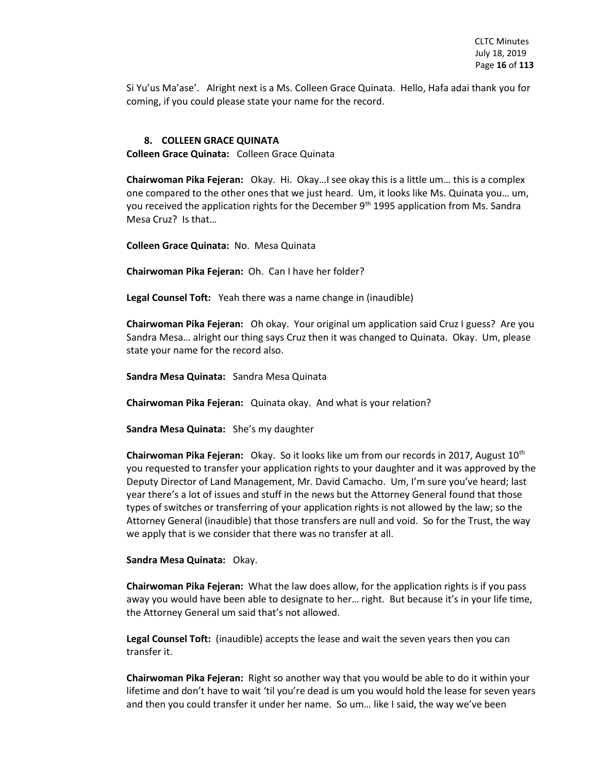Si Yu'us Ma'ase'. Alright next is a Ms. Colleen Grace Quinata. Hello, Hafa adai thank you for coming, if you could please state your name for the record.

#### **8. COLLEEN GRACE QUINATA**

**Colleen Grace Quinata:** Colleen Grace Quinata

**Chairwoman Pika Fejeran:** Okay. Hi. Okay…I see okay this is a little um… this is a complex one compared to the other ones that we just heard. Um, it looks like Ms. Quinata you… um, you received the application rights for the December  $9<sup>th</sup>$  1995 application from Ms. Sandra Mesa Cruz? Is that…

**Colleen Grace Quinata:** No. Mesa Quinata

**Chairwoman Pika Fejeran:** Oh. Can I have her folder?

**Legal Counsel Toft:** Yeah there was a name change in (inaudible)

**Chairwoman Pika Fejeran:** Oh okay. Your original um application said Cruz I guess? Are you Sandra Mesa… alright our thing says Cruz then it was changed to Quinata. Okay. Um, please state your name for the record also.

**Sandra Mesa Quinata:** Sandra Mesa Quinata

**Chairwoman Pika Fejeran:** Quinata okay. And what is your relation?

**Sandra Mesa Quinata:** She's my daughter

**Chairwoman Pika Fejeran:** Okay. So it looks like um from our records in 2017, August 10th you requested to transfer your application rights to your daughter and it was approved by the Deputy Director of Land Management, Mr. David Camacho. Um, I'm sure you've heard; last year there's a lot of issues and stuff in the news but the Attorney General found that those types of switches or transferring of your application rights is not allowed by the law; so the Attorney General (inaudible) that those transfers are null and void. So for the Trust, the way we apply that is we consider that there was no transfer at all.

#### **Sandra Mesa Quinata:** Okay.

**Chairwoman Pika Fejeran:** What the law does allow, for the application rights is if you pass away you would have been able to designate to her… right. But because it's in your life time, the Attorney General um said that's not allowed.

**Legal Counsel Toft:** (inaudible) accepts the lease and wait the seven years then you can transfer it.

**Chairwoman Pika Fejeran:** Right so another way that you would be able to do it within your lifetime and don't have to wait 'til you're dead is um you would hold the lease for seven years and then you could transfer it under her name. So um… like I said, the way we've been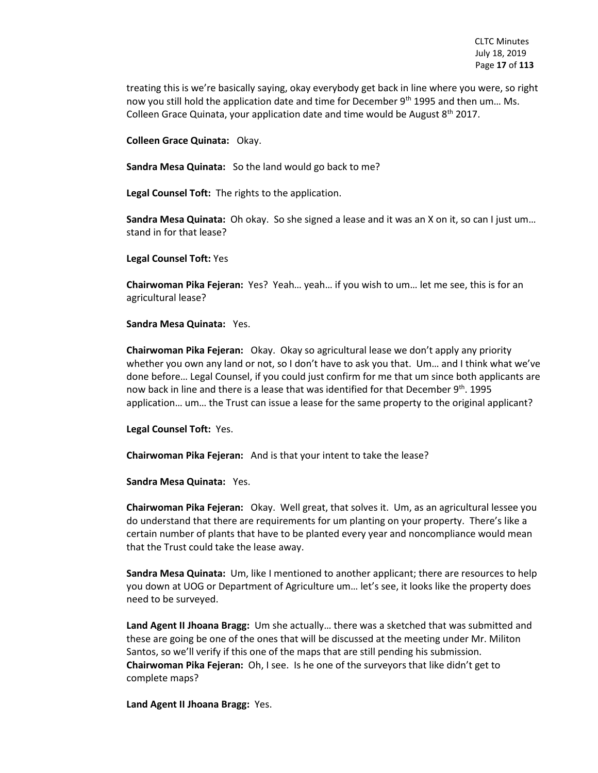treating this is we're basically saying, okay everybody get back in line where you were, so right now you still hold the application date and time for December 9<sup>th</sup> 1995 and then um... Ms. Colleen Grace Quinata, your application date and time would be August 8<sup>th</sup> 2017.

**Colleen Grace Quinata:** Okay.

**Sandra Mesa Quinata:** So the land would go back to me?

**Legal Counsel Toft:** The rights to the application.

**Sandra Mesa Quinata:** Oh okay. So she signed a lease and it was an X on it, so can I just um… stand in for that lease?

**Legal Counsel Toft:** Yes

**Chairwoman Pika Fejeran:** Yes? Yeah… yeah… if you wish to um… let me see, this is for an agricultural lease?

#### **Sandra Mesa Quinata:** Yes.

**Chairwoman Pika Fejeran:** Okay. Okay so agricultural lease we don't apply any priority whether you own any land or not, so I don't have to ask you that. Um... and I think what we've done before… Legal Counsel, if you could just confirm for me that um since both applicants are now back in line and there is a lease that was identified for that December  $9<sup>th</sup>$ . 1995 application… um… the Trust can issue a lease for the same property to the original applicant?

**Legal Counsel Toft:** Yes.

**Chairwoman Pika Fejeran:** And is that your intent to take the lease?

**Sandra Mesa Quinata:** Yes.

**Chairwoman Pika Fejeran:** Okay. Well great, that solves it. Um, as an agricultural lessee you do understand that there are requirements for um planting on your property. There's like a certain number of plants that have to be planted every year and noncompliance would mean that the Trust could take the lease away.

**Sandra Mesa Quinata:** Um, like I mentioned to another applicant; there are resources to help you down at UOG or Department of Agriculture um… let's see, it looks like the property does need to be surveyed.

**Land Agent II Jhoana Bragg:** Um she actually… there was a sketched that was submitted and these are going be one of the ones that will be discussed at the meeting under Mr. Militon Santos, so we'll verify if this one of the maps that are still pending his submission. **Chairwoman Pika Fejeran:** Oh, I see. Is he one of the surveyors that like didn't get to complete maps?

**Land Agent II Jhoana Bragg:** Yes.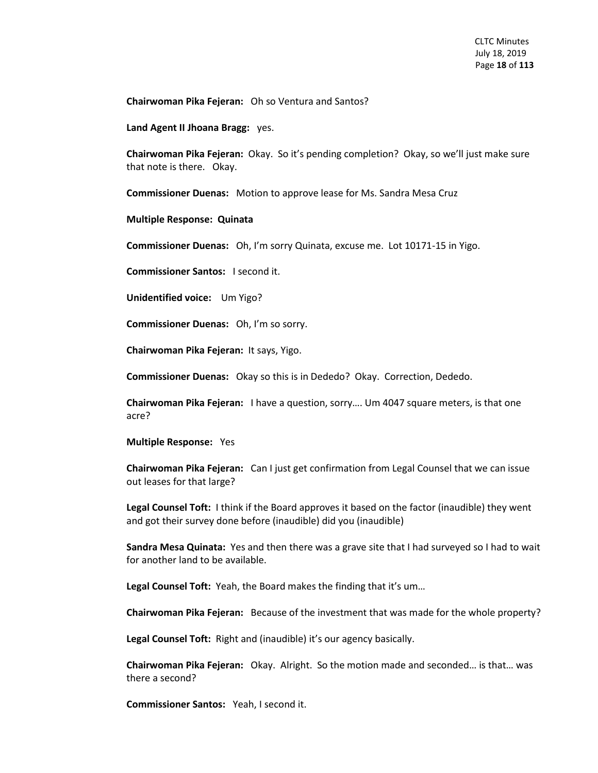**Chairwoman Pika Fejeran:** Oh so Ventura and Santos?

**Land Agent II Jhoana Bragg:** yes.

**Chairwoman Pika Fejeran:** Okay. So it's pending completion? Okay, so we'll just make sure that note is there. Okay.

**Commissioner Duenas:** Motion to approve lease for Ms. Sandra Mesa Cruz

#### **Multiple Response: Quinata**

**Commissioner Duenas:** Oh, I'm sorry Quinata, excuse me. Lot 10171-15 in Yigo.

**Commissioner Santos:** I second it.

**Unidentified voice:** Um Yigo?

**Commissioner Duenas:** Oh, I'm so sorry.

**Chairwoman Pika Fejeran:** It says, Yigo.

**Commissioner Duenas:** Okay so this is in Dededo? Okay. Correction, Dededo.

**Chairwoman Pika Fejeran:** I have a question, sorry…. Um 4047 square meters, is that one acre?

#### **Multiple Response:** Yes

**Chairwoman Pika Fejeran:** Can I just get confirmation from Legal Counsel that we can issue out leases for that large?

**Legal Counsel Toft:** I think if the Board approves it based on the factor (inaudible) they went and got their survey done before (inaudible) did you (inaudible)

**Sandra Mesa Quinata:** Yes and then there was a grave site that I had surveyed so I had to wait for another land to be available.

**Legal Counsel Toft:** Yeah, the Board makes the finding that it's um…

**Chairwoman Pika Fejeran:** Because of the investment that was made for the whole property?

**Legal Counsel Toft:** Right and (inaudible) it's our agency basically.

**Chairwoman Pika Fejeran:** Okay. Alright. So the motion made and seconded… is that… was there a second?

**Commissioner Santos:** Yeah, I second it.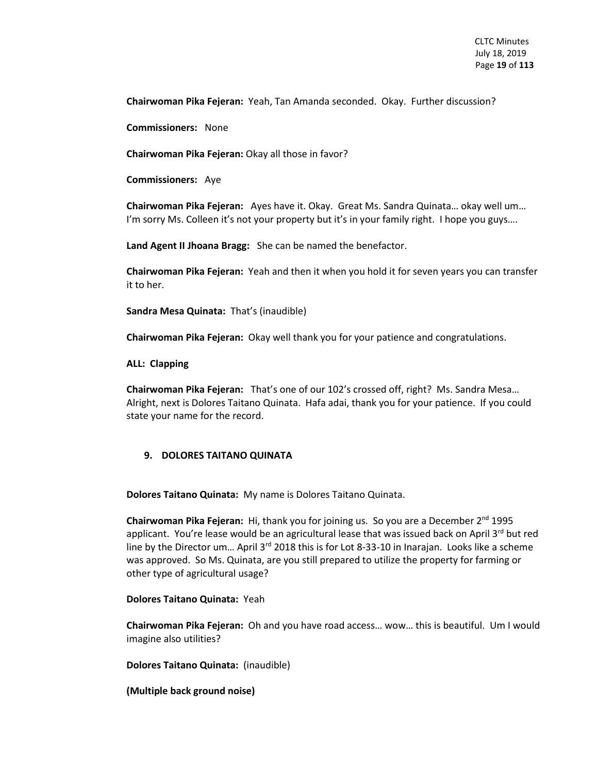**Chairwoman Pika Fejeran:** Yeah, Tan Amanda seconded. Okay. Further discussion?

**Commissioners:** None

**Chairwoman Pika Fejeran:** Okay all those in favor?

**Commissioners:** Aye

**Chairwoman Pika Fejeran:** Ayes have it. Okay. Great Ms. Sandra Quinata… okay well um… I'm sorry Ms. Colleen it's not your property but it's in your family right. I hope you guys....

**Land Agent II Jhoana Bragg:** She can be named the benefactor.

**Chairwoman Pika Fejeran:** Yeah and then it when you hold it for seven years you can transfer it to her.

**Sandra Mesa Quinata:** That's (inaudible)

**Chairwoman Pika Fejeran:** Okay well thank you for your patience and congratulations.

**ALL: Clapping**

**Chairwoman Pika Fejeran:** That's one of our 102's crossed off, right? Ms. Sandra Mesa… Alright, next is Dolores Taitano Quinata. Hafa adai, thank you for your patience. If you could state your name for the record.

#### **9. DOLORES TAITANO QUINATA**

**Dolores Taitano Quinata:** My name is Dolores Taitano Quinata.

**Chairwoman Pika Fejeran:** Hi, thank you for joining us. So you are a December 2nd 1995 applicant. You're lease would be an agricultural lease that was issued back on April  $3^{rd}$  but red line by the Director um... April 3<sup>rd</sup> 2018 this is for Lot 8-33-10 in Inarajan. Looks like a scheme was approved. So Ms. Quinata, are you still prepared to utilize the property for farming or other type of agricultural usage?

#### **Dolores Taitano Quinata:** Yeah

**Chairwoman Pika Fejeran:** Oh and you have road access… wow… this is beautiful. Um I would imagine also utilities?

**Dolores Taitano Quinata:** (inaudible)

**(Multiple back ground noise)**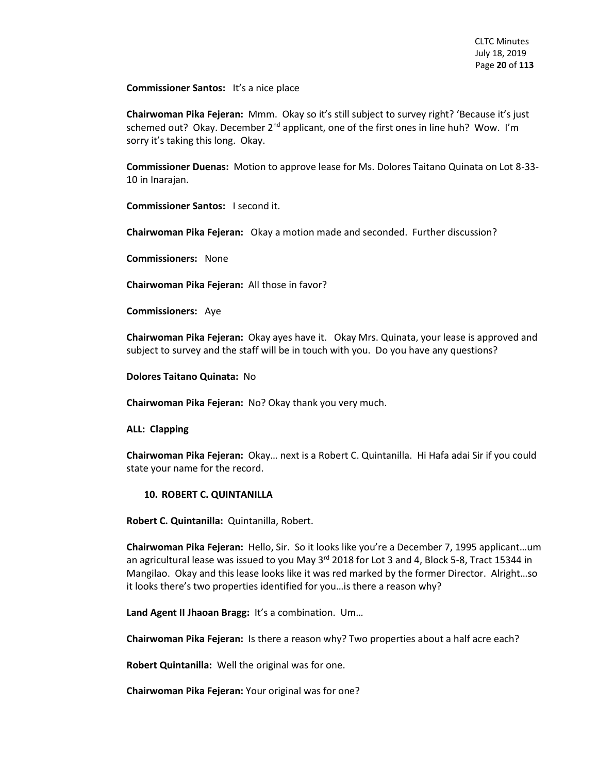**Commissioner Santos:** It's a nice place

**Chairwoman Pika Fejeran:** Mmm. Okay so it's still subject to survey right? 'Because it's just schemed out? Okay. December  $2<sup>nd</sup>$  applicant, one of the first ones in line huh? Wow. I'm sorry it's taking this long. Okay.

**Commissioner Duenas:** Motion to approve lease for Ms. Dolores Taitano Quinata on Lot 8-33- 10 in Inarajan.

**Commissioner Santos:** I second it.

**Chairwoman Pika Fejeran:** Okay a motion made and seconded. Further discussion?

**Commissioners:** None

**Chairwoman Pika Fejeran:** All those in favor?

**Commissioners:** Aye

**Chairwoman Pika Fejeran:** Okay ayes have it. Okay Mrs. Quinata, your lease is approved and subject to survey and the staff will be in touch with you. Do you have any questions?

**Dolores Taitano Quinata:** No

**Chairwoman Pika Fejeran:** No? Okay thank you very much.

**ALL: Clapping**

**Chairwoman Pika Fejeran:** Okay… next is a Robert C. Quintanilla. Hi Hafa adai Sir if you could state your name for the record.

#### **10. ROBERT C. QUINTANILLA**

**Robert C. Quintanilla:** Quintanilla, Robert.

**Chairwoman Pika Fejeran:** Hello, Sir. So it looks like you're a December 7, 1995 applicant…um an agricultural lease was issued to you May  $3<sup>rd</sup>$  2018 for Lot 3 and 4, Block 5-8, Tract 15344 in Mangilao. Okay and this lease looks like it was red marked by the former Director. Alright…so it looks there's two properties identified for you…is there a reason why?

**Land Agent II Jhaoan Bragg:** It's a combination. Um…

**Chairwoman Pika Fejeran:** Is there a reason why? Two properties about a half acre each?

**Robert Quintanilla:** Well the original was for one.

**Chairwoman Pika Fejeran:** Your original was for one?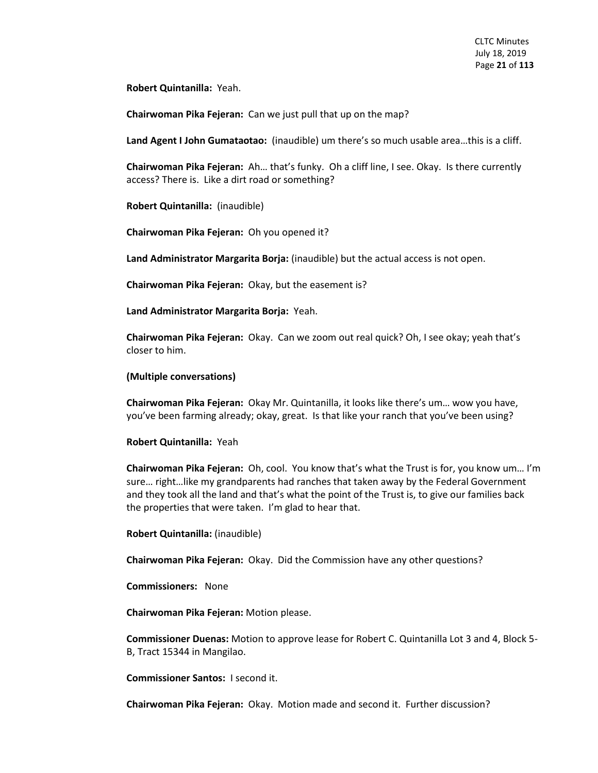**Robert Quintanilla:** Yeah.

**Chairwoman Pika Fejeran:** Can we just pull that up on the map?

**Land Agent I John Gumataotao:** (inaudible) um there's so much usable area…this is a cliff.

**Chairwoman Pika Fejeran:** Ah… that's funky. Oh a cliff line, I see. Okay. Is there currently access? There is. Like a dirt road or something?

**Robert Quintanilla:** (inaudible)

**Chairwoman Pika Fejeran:** Oh you opened it?

**Land Administrator Margarita Borja:** (inaudible) but the actual access is not open.

**Chairwoman Pika Fejeran:** Okay, but the easement is?

**Land Administrator Margarita Borja:** Yeah.

**Chairwoman Pika Fejeran:** Okay. Can we zoom out real quick? Oh, I see okay; yeah that's closer to him.

#### **(Multiple conversations)**

**Chairwoman Pika Fejeran:** Okay Mr. Quintanilla, it looks like there's um… wow you have, you've been farming already; okay, great. Is that like your ranch that you've been using?

#### **Robert Quintanilla:** Yeah

**Chairwoman Pika Fejeran:** Oh, cool. You know that's what the Trust is for, you know um… I'm sure… right…like my grandparents had ranches that taken away by the Federal Government and they took all the land and that's what the point of the Trust is, to give our families back the properties that were taken. I'm glad to hear that.

**Robert Quintanilla:** (inaudible)

**Chairwoman Pika Fejeran:** Okay. Did the Commission have any other questions?

**Commissioners:** None

**Chairwoman Pika Fejeran:** Motion please.

**Commissioner Duenas:** Motion to approve lease for Robert C. Quintanilla Lot 3 and 4, Block 5- B, Tract 15344 in Mangilao.

**Commissioner Santos:** I second it.

**Chairwoman Pika Fejeran:** Okay. Motion made and second it. Further discussion?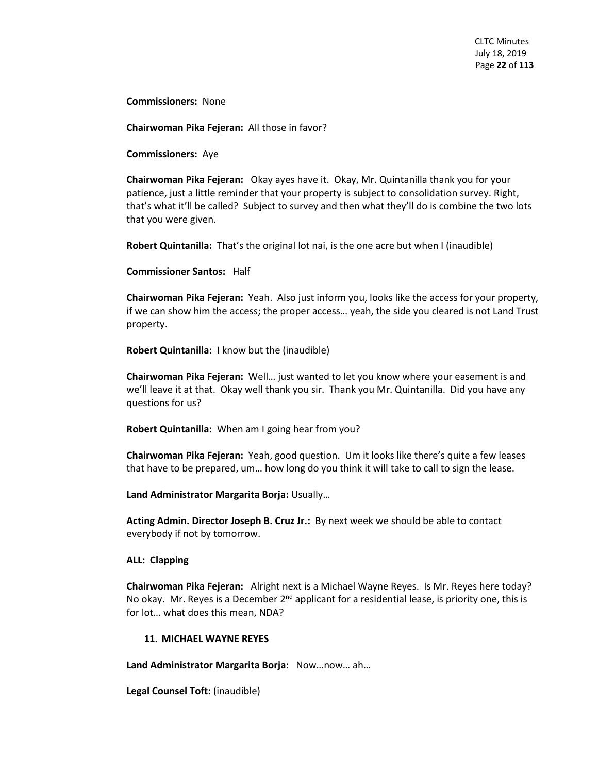**Commissioners:** None

**Chairwoman Pika Fejeran:** All those in favor?

**Commissioners:** Aye

**Chairwoman Pika Fejeran:** Okay ayes have it. Okay, Mr. Quintanilla thank you for your patience, just a little reminder that your property is subject to consolidation survey. Right, that's what it'll be called? Subject to survey and then what they'll do is combine the two lots that you were given.

**Robert Quintanilla:** That's the original lot nai, is the one acre but when I (inaudible)

**Commissioner Santos:** Half

**Chairwoman Pika Fejeran:** Yeah. Also just inform you, looks like the access for your property, if we can show him the access; the proper access… yeah, the side you cleared is not Land Trust property.

**Robert Quintanilla:** I know but the (inaudible)

**Chairwoman Pika Fejeran:** Well… just wanted to let you know where your easement is and we'll leave it at that. Okay well thank you sir. Thank you Mr. Quintanilla. Did you have any questions for us?

**Robert Quintanilla:** When am I going hear from you?

**Chairwoman Pika Fejeran:** Yeah, good question. Um it looks like there's quite a few leases that have to be prepared, um… how long do you think it will take to call to sign the lease.

**Land Administrator Margarita Borja:** Usually…

**Acting Admin. Director Joseph B. Cruz Jr.:** By next week we should be able to contact everybody if not by tomorrow.

#### **ALL: Clapping**

**Chairwoman Pika Fejeran:** Alright next is a Michael Wayne Reyes. Is Mr. Reyes here today? No okay. Mr. Reyes is a December  $2<sup>nd</sup>$  applicant for a residential lease, is priority one, this is for lot… what does this mean, NDA?

#### **11. MICHAEL WAYNE REYES**

**Land Administrator Margarita Borja:** Now…now… ah…

**Legal Counsel Toft:** (inaudible)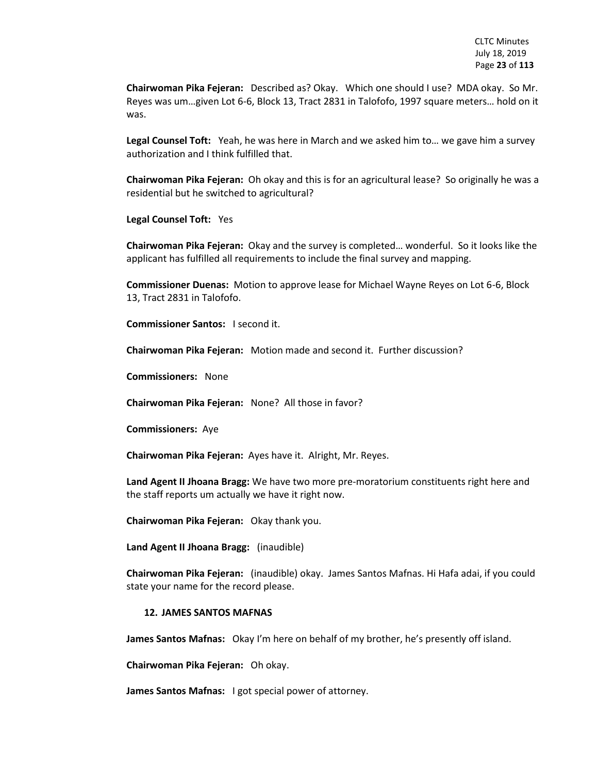**Chairwoman Pika Fejeran:** Described as? Okay. Which one should I use? MDA okay. So Mr. Reyes was um…given Lot 6-6, Block 13, Tract 2831 in Talofofo, 1997 square meters… hold on it was.

**Legal Counsel Toft:** Yeah, he was here in March and we asked him to… we gave him a survey authorization and I think fulfilled that.

**Chairwoman Pika Fejeran:** Oh okay and this is for an agricultural lease? So originally he was a residential but he switched to agricultural?

**Legal Counsel Toft:** Yes

**Chairwoman Pika Fejeran:** Okay and the survey is completed… wonderful. So it looks like the applicant has fulfilled all requirements to include the final survey and mapping.

**Commissioner Duenas:** Motion to approve lease for Michael Wayne Reyes on Lot 6-6, Block 13, Tract 2831 in Talofofo.

**Commissioner Santos:** I second it.

**Chairwoman Pika Fejeran:** Motion made and second it. Further discussion?

**Commissioners:** None

**Chairwoman Pika Fejeran:** None? All those in favor?

**Commissioners:** Aye

**Chairwoman Pika Fejeran:** Ayes have it. Alright, Mr. Reyes.

**Land Agent II Jhoana Bragg:** We have two more pre-moratorium constituents right here and the staff reports um actually we have it right now.

**Chairwoman Pika Fejeran:** Okay thank you.

**Land Agent II Jhoana Bragg:** (inaudible)

**Chairwoman Pika Fejeran:** (inaudible) okay. James Santos Mafnas. Hi Hafa adai, if you could state your name for the record please.

#### **12. JAMES SANTOS MAFNAS**

**James Santos Mafnas:** Okay I'm here on behalf of my brother, he's presently off island.

**Chairwoman Pika Fejeran:** Oh okay.

**James Santos Mafnas:** I got special power of attorney.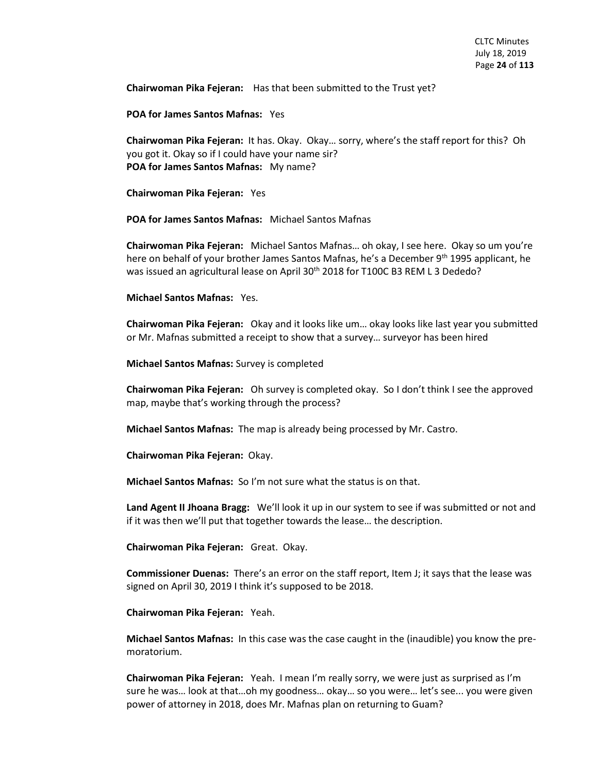**Chairwoman Pika Fejeran:** Has that been submitted to the Trust yet?

**POA for James Santos Mafnas:** Yes

**Chairwoman Pika Fejeran:** It has. Okay. Okay… sorry, where's the staff report for this? Oh you got it. Okay so if I could have your name sir? **POA for James Santos Mafnas:** My name?

**Chairwoman Pika Fejeran:** Yes

**POA for James Santos Mafnas:** Michael Santos Mafnas

**Chairwoman Pika Fejeran:** Michael Santos Mafnas… oh okay, I see here. Okay so um you're here on behalf of your brother James Santos Mafnas, he's a December 9th 1995 applicant, he was issued an agricultural lease on April 30<sup>th</sup> 2018 for T100C B3 REM L 3 Dededo?

**Michael Santos Mafnas:** Yes.

**Chairwoman Pika Fejeran:** Okay and it looks like um… okay looks like last year you submitted or Mr. Mafnas submitted a receipt to show that a survey… surveyor has been hired

**Michael Santos Mafnas:** Survey is completed

**Chairwoman Pika Fejeran:** Oh survey is completed okay. So I don't think I see the approved map, maybe that's working through the process?

**Michael Santos Mafnas:** The map is already being processed by Mr. Castro.

**Chairwoman Pika Fejeran:** Okay.

**Michael Santos Mafnas:** So I'm not sure what the status is on that.

**Land Agent II Jhoana Bragg:** We'll look it up in our system to see if was submitted or not and if it was then we'll put that together towards the lease… the description.

**Chairwoman Pika Fejeran:** Great. Okay.

**Commissioner Duenas:** There's an error on the staff report, Item J; it says that the lease was signed on April 30, 2019 I think it's supposed to be 2018.

**Chairwoman Pika Fejeran:** Yeah.

**Michael Santos Mafnas:** In this case was the case caught in the (inaudible) you know the premoratorium.

**Chairwoman Pika Fejeran:** Yeah. I mean I'm really sorry, we were just as surprised as I'm sure he was… look at that…oh my goodness… okay… so you were… let's see... you were given power of attorney in 2018, does Mr. Mafnas plan on returning to Guam?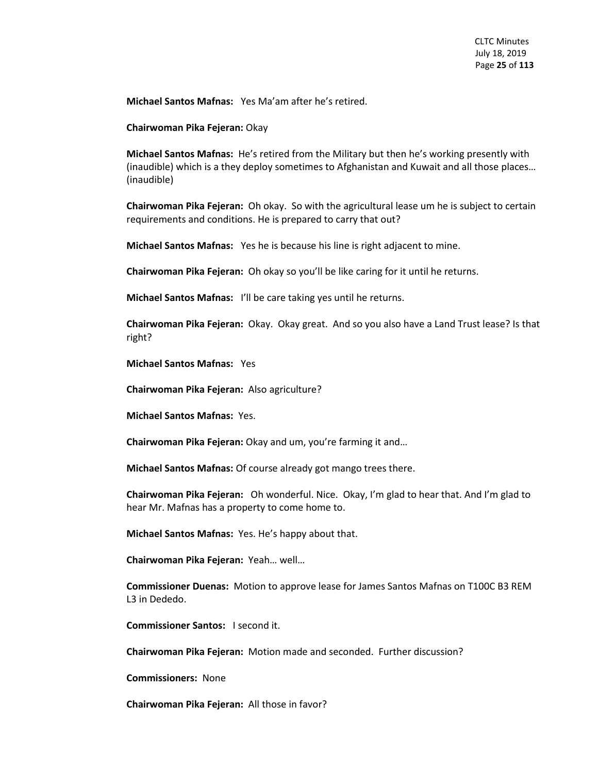**Michael Santos Mafnas:** Yes Ma'am after he's retired.

**Chairwoman Pika Fejeran:** Okay

**Michael Santos Mafnas:** He's retired from the Military but then he's working presently with (inaudible) which is a they deploy sometimes to Afghanistan and Kuwait and all those places… (inaudible)

**Chairwoman Pika Fejeran:** Oh okay. So with the agricultural lease um he is subject to certain requirements and conditions. He is prepared to carry that out?

**Michael Santos Mafnas:** Yes he is because his line is right adjacent to mine.

**Chairwoman Pika Fejeran:** Oh okay so you'll be like caring for it until he returns.

**Michael Santos Mafnas:** I'll be care taking yes until he returns.

**Chairwoman Pika Fejeran:** Okay. Okay great. And so you also have a Land Trust lease? Is that right?

**Michael Santos Mafnas:** Yes

**Chairwoman Pika Fejeran:** Also agriculture?

**Michael Santos Mafnas:** Yes.

**Chairwoman Pika Fejeran:** Okay and um, you're farming it and…

**Michael Santos Mafnas:** Of course already got mango trees there.

**Chairwoman Pika Fejeran:** Oh wonderful. Nice. Okay, I'm glad to hear that. And I'm glad to hear Mr. Mafnas has a property to come home to.

**Michael Santos Mafnas:** Yes. He's happy about that.

**Chairwoman Pika Fejeran:** Yeah… well…

**Commissioner Duenas:** Motion to approve lease for James Santos Mafnas on T100C B3 REM L3 in Dededo.

**Commissioner Santos:** I second it.

**Chairwoman Pika Fejeran:** Motion made and seconded. Further discussion?

**Commissioners:** None

**Chairwoman Pika Fejeran:** All those in favor?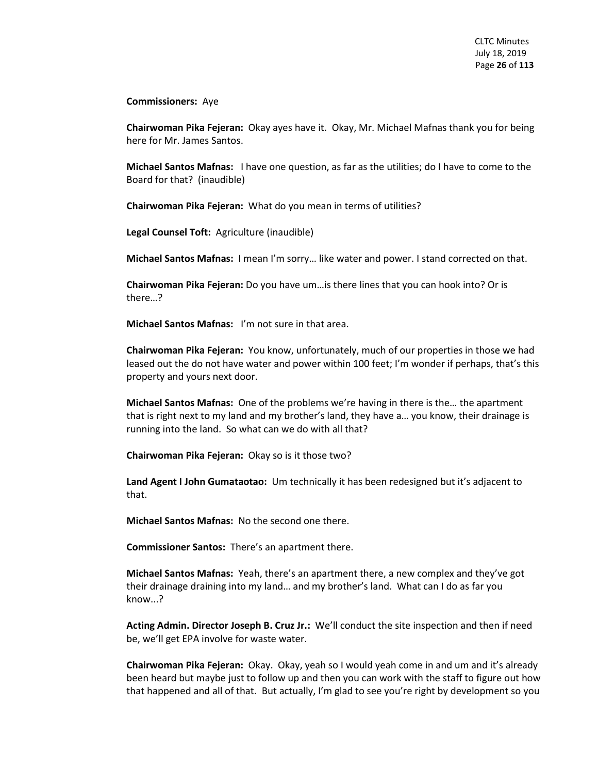**Commissioners:** Aye

**Chairwoman Pika Fejeran:** Okay ayes have it. Okay, Mr. Michael Mafnas thank you for being here for Mr. James Santos.

**Michael Santos Mafnas:** I have one question, as far as the utilities; do I have to come to the Board for that? (inaudible)

**Chairwoman Pika Fejeran:** What do you mean in terms of utilities?

**Legal Counsel Toft:** Agriculture (inaudible)

**Michael Santos Mafnas:** I mean I'm sorry… like water and power. I stand corrected on that.

**Chairwoman Pika Fejeran:** Do you have um…is there lines that you can hook into? Or is there…?

**Michael Santos Mafnas:** I'm not sure in that area.

**Chairwoman Pika Fejeran:** You know, unfortunately, much of our properties in those we had leased out the do not have water and power within 100 feet; I'm wonder if perhaps, that's this property and yours next door.

**Michael Santos Mafnas:** One of the problems we're having in there is the… the apartment that is right next to my land and my brother's land, they have a… you know, their drainage is running into the land. So what can we do with all that?

**Chairwoman Pika Fejeran:** Okay so is it those two?

**Land Agent I John Gumataotao:** Um technically it has been redesigned but it's adjacent to that.

**Michael Santos Mafnas:** No the second one there.

**Commissioner Santos:** There's an apartment there.

**Michael Santos Mafnas:** Yeah, there's an apartment there, a new complex and they've got their drainage draining into my land… and my brother's land. What can I do as far you know...?

**Acting Admin. Director Joseph B. Cruz Jr.:** We'll conduct the site inspection and then if need be, we'll get EPA involve for waste water.

**Chairwoman Pika Fejeran:** Okay. Okay, yeah so I would yeah come in and um and it's already been heard but maybe just to follow up and then you can work with the staff to figure out how that happened and all of that. But actually, I'm glad to see you're right by development so you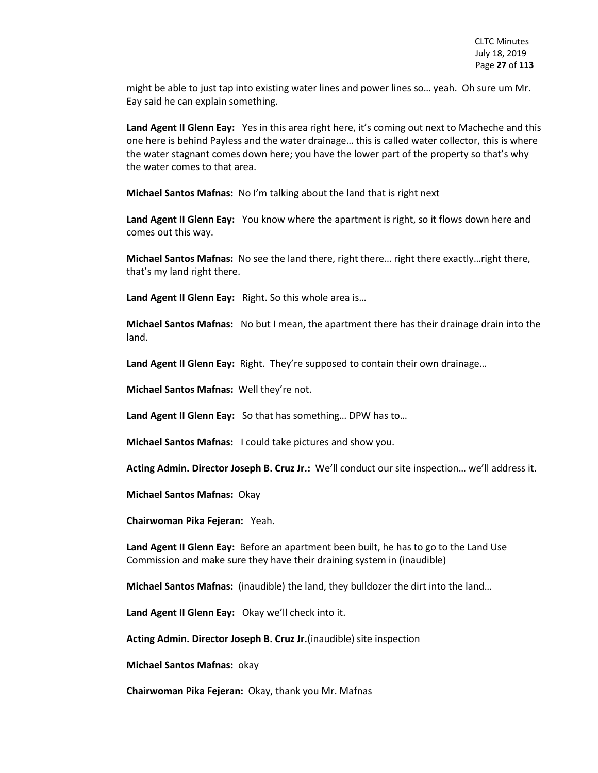might be able to just tap into existing water lines and power lines so… yeah. Oh sure um Mr. Eay said he can explain something.

Land Agent II Glenn Eay: Yes in this area right here, it's coming out next to Macheche and this one here is behind Payless and the water drainage… this is called water collector, this is where the water stagnant comes down here; you have the lower part of the property so that's why the water comes to that area.

**Michael Santos Mafnas:** No I'm talking about the land that is right next

**Land Agent II Glenn Eay:** You know where the apartment is right, so it flows down here and comes out this way.

**Michael Santos Mafnas:** No see the land there, right there… right there exactly…right there, that's my land right there.

**Land Agent II Glenn Eay:** Right. So this whole area is…

**Michael Santos Mafnas:** No but I mean, the apartment there has their drainage drain into the land.

Land Agent II Glenn Eay: Right. They're supposed to contain their own drainage...

**Michael Santos Mafnas:** Well they're not.

**Land Agent II Glenn Eay:** So that has something… DPW has to…

**Michael Santos Mafnas:** I could take pictures and show you.

**Acting Admin. Director Joseph B. Cruz Jr.:** We'll conduct our site inspection… we'll address it.

**Michael Santos Mafnas:** Okay

**Chairwoman Pika Fejeran:** Yeah.

**Land Agent II Glenn Eay:** Before an apartment been built, he has to go to the Land Use Commission and make sure they have their draining system in (inaudible)

**Michael Santos Mafnas:** (inaudible) the land, they bulldozer the dirt into the land…

**Land Agent II Glenn Eay:** Okay we'll check into it.

**Acting Admin. Director Joseph B. Cruz Jr.**(inaudible) site inspection

**Michael Santos Mafnas:** okay

**Chairwoman Pika Fejeran:** Okay, thank you Mr. Mafnas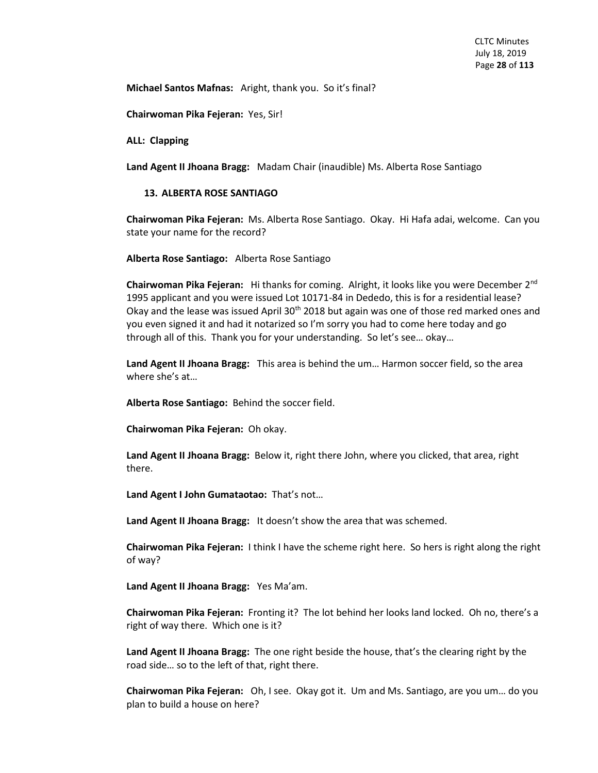**Michael Santos Mafnas:** Aright, thank you. So it's final?

**Chairwoman Pika Fejeran:** Yes, Sir!

**ALL: Clapping**

**Land Agent II Jhoana Bragg:** Madam Chair (inaudible) Ms. Alberta Rose Santiago

#### **13. ALBERTA ROSE SANTIAGO**

**Chairwoman Pika Fejeran:** Ms. Alberta Rose Santiago. Okay. Hi Hafa adai, welcome. Can you state your name for the record?

**Alberta Rose Santiago:** Alberta Rose Santiago

**Chairwoman Pika Fejeran:** Hi thanks for coming. Alright, it looks like you were December 2nd 1995 applicant and you were issued Lot 10171-84 in Dededo, this is for a residential lease? Okay and the lease was issued April  $30<sup>th</sup>$  2018 but again was one of those red marked ones and you even signed it and had it notarized so I'm sorry you had to come here today and go through all of this. Thank you for your understanding. So let's see… okay…

**Land Agent II Jhoana Bragg:** This area is behind the um… Harmon soccer field, so the area where she's at…

**Alberta Rose Santiago:** Behind the soccer field.

**Chairwoman Pika Fejeran:** Oh okay.

**Land Agent II Jhoana Bragg:** Below it, right there John, where you clicked, that area, right there.

**Land Agent I John Gumataotao:** That's not…

**Land Agent II Jhoana Bragg:** It doesn't show the area that was schemed.

**Chairwoman Pika Fejeran:** I think I have the scheme right here. So hers is right along the right of way?

**Land Agent II Jhoana Bragg:** Yes Ma'am.

**Chairwoman Pika Fejeran:** Fronting it? The lot behind her looks land locked. Oh no, there's a right of way there. Which one is it?

**Land Agent II Jhoana Bragg:** The one right beside the house, that's the clearing right by the road side… so to the left of that, right there.

**Chairwoman Pika Fejeran:** Oh, I see. Okay got it. Um and Ms. Santiago, are you um… do you plan to build a house on here?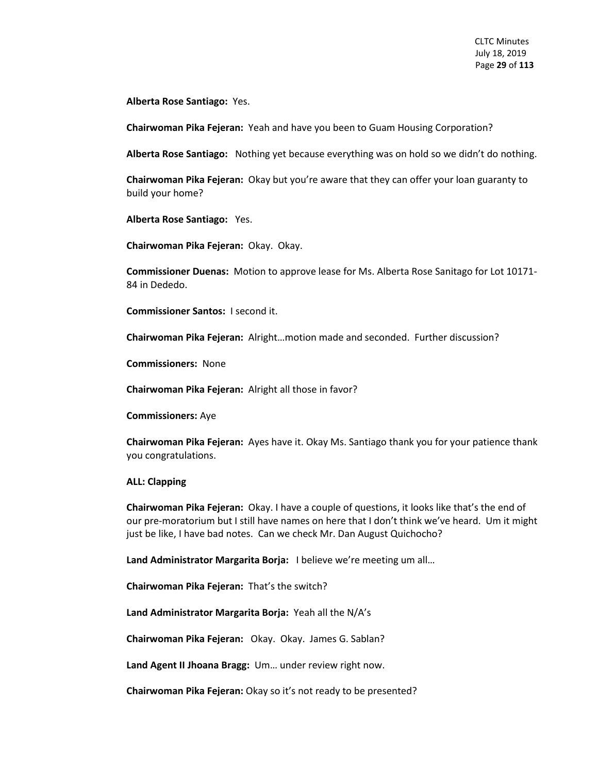**Alberta Rose Santiago:** Yes.

**Chairwoman Pika Fejeran:** Yeah and have you been to Guam Housing Corporation?

**Alberta Rose Santiago:** Nothing yet because everything was on hold so we didn't do nothing.

**Chairwoman Pika Fejeran:** Okay but you're aware that they can offer your loan guaranty to build your home?

**Alberta Rose Santiago:** Yes.

**Chairwoman Pika Fejeran:** Okay. Okay.

**Commissioner Duenas:** Motion to approve lease for Ms. Alberta Rose Sanitago for Lot 10171- 84 in Dededo.

**Commissioner Santos:** I second it.

**Chairwoman Pika Fejeran:** Alright…motion made and seconded. Further discussion?

**Commissioners:** None

**Chairwoman Pika Fejeran:** Alright all those in favor?

**Commissioners:** Aye

**Chairwoman Pika Fejeran:** Ayes have it. Okay Ms. Santiago thank you for your patience thank you congratulations.

#### **ALL: Clapping**

**Chairwoman Pika Fejeran:** Okay. I have a couple of questions, it looks like that's the end of our pre-moratorium but I still have names on here that I don't think we've heard. Um it might just be like, I have bad notes. Can we check Mr. Dan August Quichocho?

**Land Administrator Margarita Borja:** I believe we're meeting um all…

**Chairwoman Pika Fejeran:** That's the switch?

**Land Administrator Margarita Borja:** Yeah all the N/A's

**Chairwoman Pika Fejeran:** Okay. Okay. James G. Sablan?

**Land Agent II Jhoana Bragg:** Um… under review right now.

**Chairwoman Pika Fejeran:** Okay so it's not ready to be presented?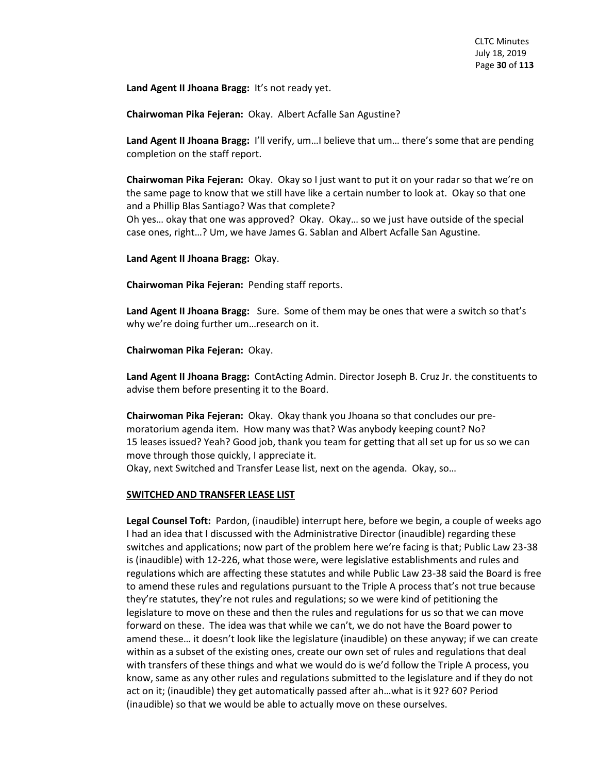**Land Agent II Jhoana Bragg:** It's not ready yet.

**Chairwoman Pika Fejeran:** Okay. Albert Acfalle San Agustine?

**Land Agent II Jhoana Bragg:** I'll verify, um…I believe that um… there's some that are pending completion on the staff report.

**Chairwoman Pika Fejeran:** Okay. Okay so I just want to put it on your radar so that we're on the same page to know that we still have like a certain number to look at. Okay so that one and a Phillip Blas Santiago? Was that complete?

Oh yes… okay that one was approved? Okay. Okay… so we just have outside of the special case ones, right…? Um, we have James G. Sablan and Albert Acfalle San Agustine.

**Land Agent II Jhoana Bragg:** Okay.

**Chairwoman Pika Fejeran:** Pending staff reports.

**Land Agent II Jhoana Bragg:** Sure. Some of them may be ones that were a switch so that's why we're doing further um…research on it.

**Chairwoman Pika Fejeran:** Okay.

**Land Agent II Jhoana Bragg:** ContActing Admin. Director Joseph B. Cruz Jr. the constituents to advise them before presenting it to the Board.

**Chairwoman Pika Fejeran:** Okay. Okay thank you Jhoana so that concludes our premoratorium agenda item. How many was that? Was anybody keeping count? No? 15 leases issued? Yeah? Good job, thank you team for getting that all set up for us so we can move through those quickly, I appreciate it. Okay, next Switched and Transfer Lease list, next on the agenda. Okay, so…

# **SWITCHED AND TRANSFER LEASE LIST**

**Legal Counsel Toft:** Pardon, (inaudible) interrupt here, before we begin, a couple of weeks ago I had an idea that I discussed with the Administrative Director (inaudible) regarding these switches and applications; now part of the problem here we're facing is that; Public Law 23-38 is (inaudible) with 12-226, what those were, were legislative establishments and rules and regulations which are affecting these statutes and while Public Law 23-38 said the Board is free to amend these rules and regulations pursuant to the Triple A process that's not true because they're statutes, they're not rules and regulations; so we were kind of petitioning the legislature to move on these and then the rules and regulations for us so that we can move forward on these. The idea was that while we can't, we do not have the Board power to amend these… it doesn't look like the legislature (inaudible) on these anyway; if we can create within as a subset of the existing ones, create our own set of rules and regulations that deal with transfers of these things and what we would do is we'd follow the Triple A process, you know, same as any other rules and regulations submitted to the legislature and if they do not act on it; (inaudible) they get automatically passed after ah…what is it 92? 60? Period (inaudible) so that we would be able to actually move on these ourselves.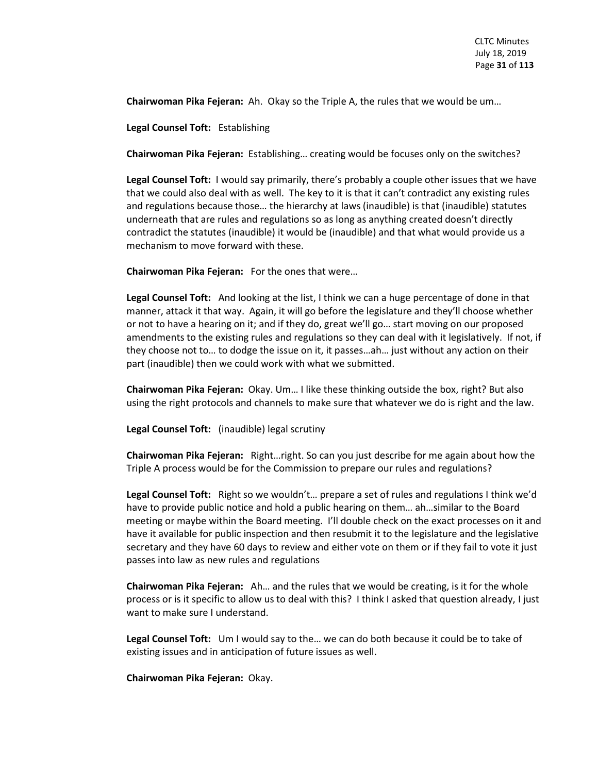**Chairwoman Pika Fejeran:** Ah. Okay so the Triple A, the rules that we would be um…

**Legal Counsel Toft:** Establishing

**Chairwoman Pika Fejeran:** Establishing… creating would be focuses only on the switches?

**Legal Counsel Toft:** I would say primarily, there's probably a couple other issues that we have that we could also deal with as well. The key to it is that it can't contradict any existing rules and regulations because those… the hierarchy at laws (inaudible) is that (inaudible) statutes underneath that are rules and regulations so as long as anything created doesn't directly contradict the statutes (inaudible) it would be (inaudible) and that what would provide us a mechanism to move forward with these.

**Chairwoman Pika Fejeran:** For the ones that were…

**Legal Counsel Toft:** And looking at the list, I think we can a huge percentage of done in that manner, attack it that way. Again, it will go before the legislature and they'll choose whether or not to have a hearing on it; and if they do, great we'll go… start moving on our proposed amendments to the existing rules and regulations so they can deal with it legislatively. If not, if they choose not to… to dodge the issue on it, it passes…ah… just without any action on their part (inaudible) then we could work with what we submitted.

**Chairwoman Pika Fejeran:** Okay. Um… I like these thinking outside the box, right? But also using the right protocols and channels to make sure that whatever we do is right and the law.

**Legal Counsel Toft:** (inaudible) legal scrutiny

**Chairwoman Pika Fejeran:** Right…right. So can you just describe for me again about how the Triple A process would be for the Commission to prepare our rules and regulations?

**Legal Counsel Toft:** Right so we wouldn't… prepare a set of rules and regulations I think we'd have to provide public notice and hold a public hearing on them… ah…similar to the Board meeting or maybe within the Board meeting. I'll double check on the exact processes on it and have it available for public inspection and then resubmit it to the legislature and the legislative secretary and they have 60 days to review and either vote on them or if they fail to vote it just passes into law as new rules and regulations

**Chairwoman Pika Fejeran:** Ah… and the rules that we would be creating, is it for the whole process or is it specific to allow us to deal with this? I think I asked that question already, I just want to make sure I understand.

**Legal Counsel Toft:** Um I would say to the… we can do both because it could be to take of existing issues and in anticipation of future issues as well.

**Chairwoman Pika Fejeran:** Okay.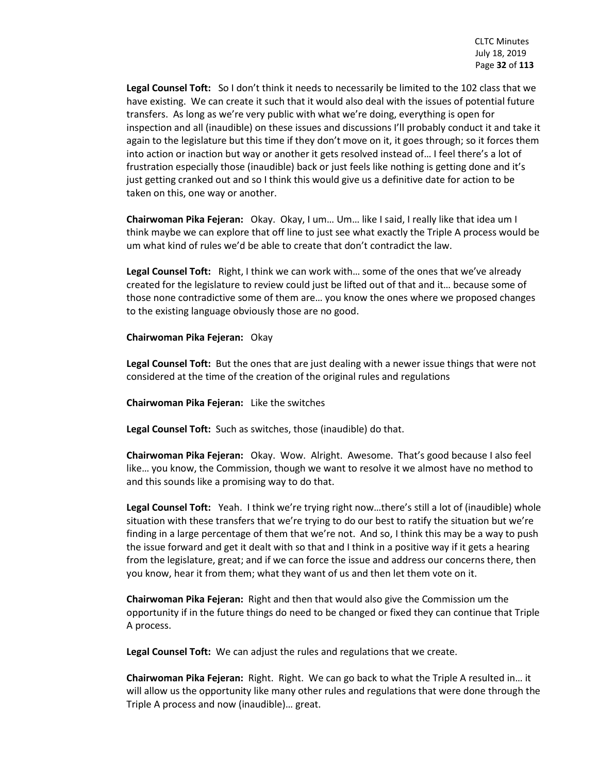**Legal Counsel Toft:** So I don't think it needs to necessarily be limited to the 102 class that we have existing. We can create it such that it would also deal with the issues of potential future transfers. As long as we're very public with what we're doing, everything is open for inspection and all (inaudible) on these issues and discussions I'll probably conduct it and take it again to the legislature but this time if they don't move on it, it goes through; so it forces them into action or inaction but way or another it gets resolved instead of… I feel there's a lot of frustration especially those (inaudible) back or just feels like nothing is getting done and it's just getting cranked out and so I think this would give us a definitive date for action to be taken on this, one way or another.

**Chairwoman Pika Fejeran:** Okay. Okay, I um… Um… like I said, I really like that idea um I think maybe we can explore that off line to just see what exactly the Triple A process would be um what kind of rules we'd be able to create that don't contradict the law.

**Legal Counsel Toft:** Right, I think we can work with… some of the ones that we've already created for the legislature to review could just be lifted out of that and it… because some of those none contradictive some of them are… you know the ones where we proposed changes to the existing language obviously those are no good.

#### **Chairwoman Pika Fejeran:** Okay

**Legal Counsel Toft:** But the ones that are just dealing with a newer issue things that were not considered at the time of the creation of the original rules and regulations

**Chairwoman Pika Fejeran:** Like the switches

**Legal Counsel Toft:** Such as switches, those (inaudible) do that.

**Chairwoman Pika Fejeran:** Okay. Wow. Alright. Awesome. That's good because I also feel like… you know, the Commission, though we want to resolve it we almost have no method to and this sounds like a promising way to do that.

**Legal Counsel Toft:** Yeah. I think we're trying right now…there's still a lot of (inaudible) whole situation with these transfers that we're trying to do our best to ratify the situation but we're finding in a large percentage of them that we're not. And so, I think this may be a way to push the issue forward and get it dealt with so that and I think in a positive way if it gets a hearing from the legislature, great; and if we can force the issue and address our concerns there, then you know, hear it from them; what they want of us and then let them vote on it.

**Chairwoman Pika Fejeran:** Right and then that would also give the Commission um the opportunity if in the future things do need to be changed or fixed they can continue that Triple A process.

**Legal Counsel Toft:** We can adjust the rules and regulations that we create.

**Chairwoman Pika Fejeran:** Right. Right. We can go back to what the Triple A resulted in… it will allow us the opportunity like many other rules and regulations that were done through the Triple A process and now (inaudible)… great.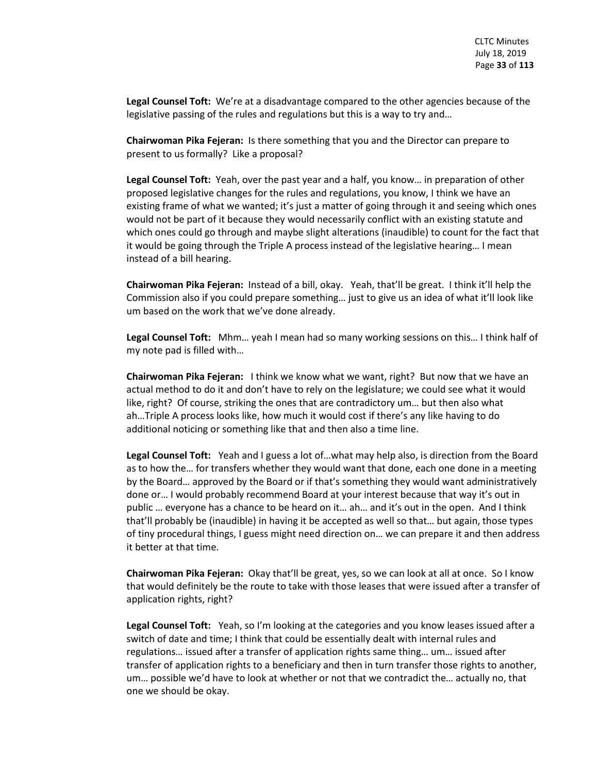**Legal Counsel Toft:** We're at a disadvantage compared to the other agencies because of the legislative passing of the rules and regulations but this is a way to try and…

**Chairwoman Pika Fejeran:** Is there something that you and the Director can prepare to present to us formally? Like a proposal?

**Legal Counsel Toft:** Yeah, over the past year and a half, you know… in preparation of other proposed legislative changes for the rules and regulations, you know, I think we have an existing frame of what we wanted; it's just a matter of going through it and seeing which ones would not be part of it because they would necessarily conflict with an existing statute and which ones could go through and maybe slight alterations (inaudible) to count for the fact that it would be going through the Triple A process instead of the legislative hearing… I mean instead of a bill hearing.

**Chairwoman Pika Fejeran:** Instead of a bill, okay. Yeah, that'll be great. I think it'll help the Commission also if you could prepare something… just to give us an idea of what it'll look like um based on the work that we've done already.

**Legal Counsel Toft:** Mhm… yeah I mean had so many working sessions on this… I think half of my note pad is filled with…

**Chairwoman Pika Fejeran:** I think we know what we want, right? But now that we have an actual method to do it and don't have to rely on the legislature; we could see what it would like, right? Of course, striking the ones that are contradictory um… but then also what ah…Triple A process looks like, how much it would cost if there's any like having to do additional noticing or something like that and then also a time line.

**Legal Counsel Toft:** Yeah and I guess a lot of…what may help also, is direction from the Board as to how the… for transfers whether they would want that done, each one done in a meeting by the Board… approved by the Board or if that's something they would want administratively done or… I would probably recommend Board at your interest because that way it's out in public … everyone has a chance to be heard on it… ah… and it's out in the open. And I think that'll probably be (inaudible) in having it be accepted as well so that… but again, those types of tiny procedural things, I guess might need direction on… we can prepare it and then address it better at that time.

**Chairwoman Pika Fejeran:** Okay that'll be great, yes, so we can look at all at once. So I know that would definitely be the route to take with those leases that were issued after a transfer of application rights, right?

**Legal Counsel Toft:** Yeah, so I'm looking at the categories and you know leases issued after a switch of date and time; I think that could be essentially dealt with internal rules and regulations… issued after a transfer of application rights same thing… um… issued after transfer of application rights to a beneficiary and then in turn transfer those rights to another, um… possible we'd have to look at whether or not that we contradict the… actually no, that one we should be okay.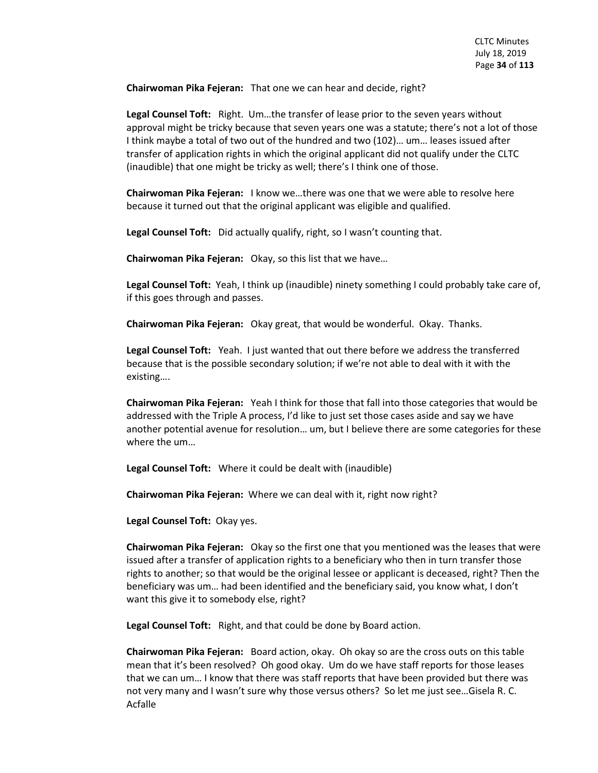**Chairwoman Pika Fejeran:** That one we can hear and decide, right?

**Legal Counsel Toft:** Right. Um…the transfer of lease prior to the seven years without approval might be tricky because that seven years one was a statute; there's not a lot of those I think maybe a total of two out of the hundred and two (102)… um… leases issued after transfer of application rights in which the original applicant did not qualify under the CLTC (inaudible) that one might be tricky as well; there's I think one of those.

**Chairwoman Pika Fejeran:** I know we…there was one that we were able to resolve here because it turned out that the original applicant was eligible and qualified.

**Legal Counsel Toft:** Did actually qualify, right, so I wasn't counting that.

**Chairwoman Pika Fejeran:** Okay, so this list that we have…

**Legal Counsel Toft:** Yeah, I think up (inaudible) ninety something I could probably take care of, if this goes through and passes.

**Chairwoman Pika Fejeran:** Okay great, that would be wonderful. Okay. Thanks.

**Legal Counsel Toft:** Yeah. I just wanted that out there before we address the transferred because that is the possible secondary solution; if we're not able to deal with it with the existing….

**Chairwoman Pika Fejeran:** Yeah I think for those that fall into those categories that would be addressed with the Triple A process, I'd like to just set those cases aside and say we have another potential avenue for resolution… um, but I believe there are some categories for these where the um…

**Legal Counsel Toft:** Where it could be dealt with (inaudible)

**Chairwoman Pika Fejeran:** Where we can deal with it, right now right?

**Legal Counsel Toft:** Okay yes.

**Chairwoman Pika Fejeran:** Okay so the first one that you mentioned was the leases that were issued after a transfer of application rights to a beneficiary who then in turn transfer those rights to another; so that would be the original lessee or applicant is deceased, right? Then the beneficiary was um… had been identified and the beneficiary said, you know what, I don't want this give it to somebody else, right?

**Legal Counsel Toft:** Right, and that could be done by Board action.

**Chairwoman Pika Fejeran:** Board action, okay. Oh okay so are the cross outs on this table mean that it's been resolved? Oh good okay. Um do we have staff reports for those leases that we can um… I know that there was staff reports that have been provided but there was not very many and I wasn't sure why those versus others? So let me just see…Gisela R. C. Acfalle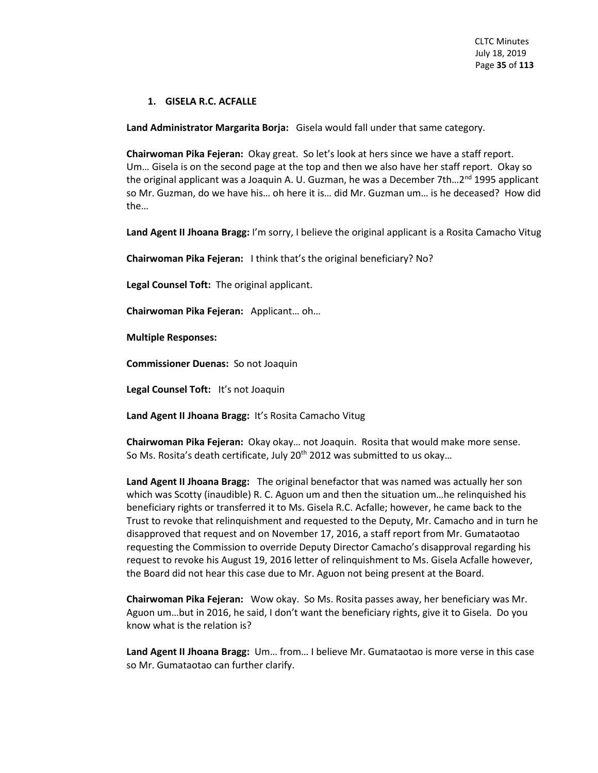#### **1. GISELA R.C. ACFALLE**

**Land Administrator Margarita Borja:** Gisela would fall under that same category.

**Chairwoman Pika Fejeran:** Okay great. So let's look at hers since we have a staff report. Um… Gisela is on the second page at the top and then we also have her staff report. Okay so the original applicant was a Joaquin A. U. Guzman, he was a December 7th...2<sup>nd</sup> 1995 applicant so Mr. Guzman, do we have his… oh here it is… did Mr. Guzman um… is he deceased? How did the…

**Land Agent II Jhoana Bragg:** I'm sorry, I believe the original applicant is a Rosita Camacho Vitug

**Chairwoman Pika Fejeran:** I think that's the original beneficiary? No?

**Legal Counsel Toft:** The original applicant.

**Chairwoman Pika Fejeran:** Applicant… oh…

**Multiple Responses:** 

**Commissioner Duenas:** So not Joaquin

**Legal Counsel Toft:** It's not Joaquin

**Land Agent II Jhoana Bragg:** It's Rosita Camacho Vitug

**Chairwoman Pika Fejeran:** Okay okay… not Joaquin. Rosita that would make more sense. So Ms. Rosita's death certificate, July 20<sup>th</sup> 2012 was submitted to us okay...

**Land Agent II Jhoana Bragg:** The original benefactor that was named was actually her son which was Scotty (inaudible) R. C. Aguon um and then the situation um…he relinquished his beneficiary rights or transferred it to Ms. Gisela R.C. Acfalle; however, he came back to the Trust to revoke that relinquishment and requested to the Deputy, Mr. Camacho and in turn he disapproved that request and on November 17, 2016, a staff report from Mr. Gumataotao requesting the Commission to override Deputy Director Camacho's disapproval regarding his request to revoke his August 19, 2016 letter of relinquishment to Ms. Gisela Acfalle however, the Board did not hear this case due to Mr. Aguon not being present at the Board.

**Chairwoman Pika Fejeran:** Wow okay. So Ms. Rosita passes away, her beneficiary was Mr. Aguon um…but in 2016, he said, I don't want the beneficiary rights, give it to Gisela. Do you know what is the relation is?

**Land Agent II Jhoana Bragg:** Um… from… I believe Mr. Gumataotao is more verse in this case so Mr. Gumataotao can further clarify.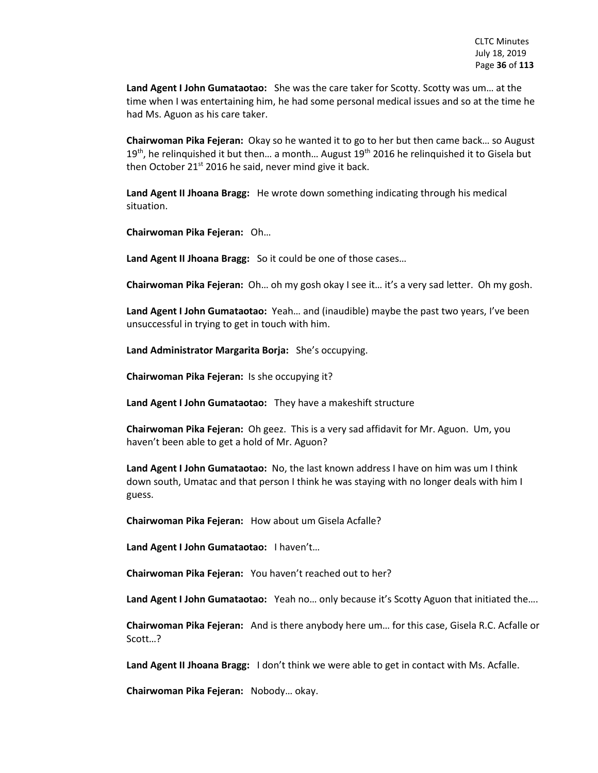**Land Agent I John Gumataotao:** She was the care taker for Scotty. Scotty was um… at the time when I was entertaining him, he had some personal medical issues and so at the time he had Ms. Aguon as his care taker.

**Chairwoman Pika Fejeran:** Okay so he wanted it to go to her but then came back… so August 19<sup>th</sup>, he relinquished it but then... a month... August 19<sup>th</sup> 2016 he relinquished it to Gisela but then October 21<sup>st</sup> 2016 he said, never mind give it back.

**Land Agent II Jhoana Bragg:** He wrote down something indicating through his medical situation.

**Chairwoman Pika Fejeran:** Oh…

**Land Agent II Jhoana Bragg:** So it could be one of those cases…

**Chairwoman Pika Fejeran:** Oh… oh my gosh okay I see it… it's a very sad letter. Oh my gosh.

**Land Agent I John Gumataotao:** Yeah… and (inaudible) maybe the past two years, I've been unsuccessful in trying to get in touch with him.

**Land Administrator Margarita Borja:** She's occupying.

**Chairwoman Pika Fejeran:** Is she occupying it?

**Land Agent I John Gumataotao:** They have a makeshift structure

**Chairwoman Pika Fejeran:** Oh geez. This is a very sad affidavit for Mr. Aguon. Um, you haven't been able to get a hold of Mr. Aguon?

**Land Agent I John Gumataotao:** No, the last known address I have on him was um I think down south, Umatac and that person I think he was staying with no longer deals with him I guess.

**Chairwoman Pika Fejeran:** How about um Gisela Acfalle?

**Land Agent I John Gumataotao:** I haven't…

**Chairwoman Pika Fejeran:** You haven't reached out to her?

**Land Agent I John Gumataotao:** Yeah no… only because it's Scotty Aguon that initiated the….

**Chairwoman Pika Fejeran:** And is there anybody here um… for this case, Gisela R.C. Acfalle or Scott…?

**Land Agent II Jhoana Bragg:** I don't think we were able to get in contact with Ms. Acfalle.

**Chairwoman Pika Fejeran:** Nobody… okay.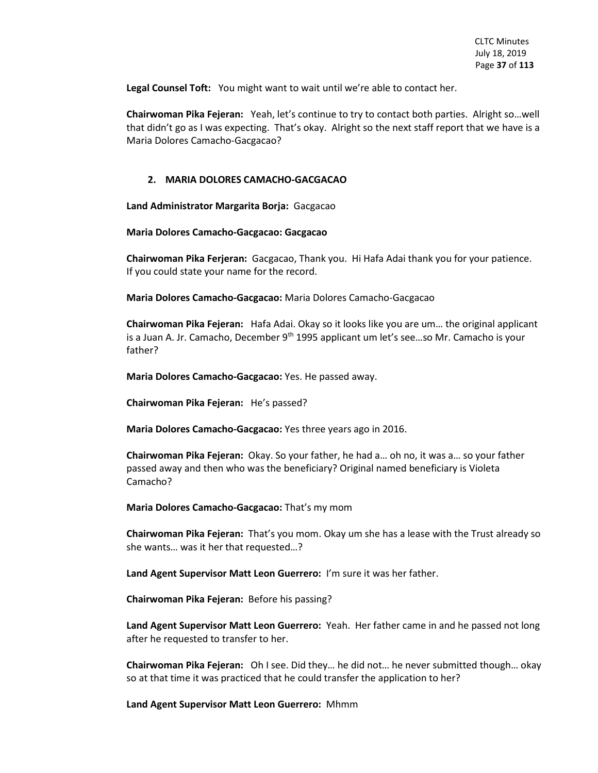**Legal Counsel Toft:** You might want to wait until we're able to contact her.

**Chairwoman Pika Fejeran:** Yeah, let's continue to try to contact both parties. Alright so…well that didn't go as I was expecting. That's okay. Alright so the next staff report that we have is a Maria Dolores Camacho-Gacgacao?

## **2. MARIA DOLORES CAMACHO-GACGACAO**

**Land Administrator Margarita Borja:** Gacgacao

**Maria Dolores Camacho-Gacgacao: Gacgacao**

**Chairwoman Pika Ferjeran:** Gacgacao, Thank you. Hi Hafa Adai thank you for your patience. If you could state your name for the record.

**Maria Dolores Camacho-Gacgacao:** Maria Dolores Camacho-Gacgacao

**Chairwoman Pika Fejeran:** Hafa Adai. Okay so it looks like you are um… the original applicant is a Juan A. Jr. Camacho, December 9<sup>th</sup> 1995 applicant um let's see...so Mr. Camacho is your father?

**Maria Dolores Camacho-Gacgacao:** Yes. He passed away.

**Chairwoman Pika Fejeran:** He's passed?

**Maria Dolores Camacho-Gacgacao:** Yes three years ago in 2016.

**Chairwoman Pika Fejeran:** Okay. So your father, he had a… oh no, it was a… so your father passed away and then who was the beneficiary? Original named beneficiary is Violeta Camacho?

**Maria Dolores Camacho-Gacgacao:** That's my mom

**Chairwoman Pika Fejeran:** That's you mom. Okay um she has a lease with the Trust already so she wants… was it her that requested…?

**Land Agent Supervisor Matt Leon Guerrero:** I'm sure it was her father.

**Chairwoman Pika Fejeran:** Before his passing?

**Land Agent Supervisor Matt Leon Guerrero:** Yeah. Her father came in and he passed not long after he requested to transfer to her.

**Chairwoman Pika Fejeran:** Oh I see. Did they… he did not… he never submitted though… okay so at that time it was practiced that he could transfer the application to her?

**Land Agent Supervisor Matt Leon Guerrero:** Mhmm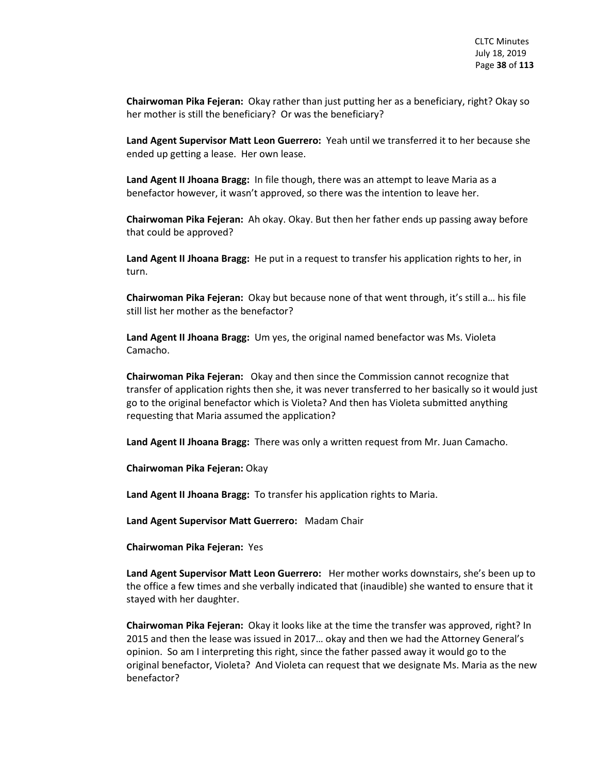**Chairwoman Pika Fejeran:** Okay rather than just putting her as a beneficiary, right? Okay so her mother is still the beneficiary? Or was the beneficiary?

**Land Agent Supervisor Matt Leon Guerrero:** Yeah until we transferred it to her because she ended up getting a lease. Her own lease.

**Land Agent II Jhoana Bragg:** In file though, there was an attempt to leave Maria as a benefactor however, it wasn't approved, so there was the intention to leave her.

**Chairwoman Pika Fejeran:** Ah okay. Okay. But then her father ends up passing away before that could be approved?

**Land Agent II Jhoana Bragg:** He put in a request to transfer his application rights to her, in turn.

**Chairwoman Pika Fejeran:** Okay but because none of that went through, it's still a… his file still list her mother as the benefactor?

**Land Agent II Jhoana Bragg:** Um yes, the original named benefactor was Ms. Violeta Camacho.

**Chairwoman Pika Fejeran:** Okay and then since the Commission cannot recognize that transfer of application rights then she, it was never transferred to her basically so it would just go to the original benefactor which is Violeta? And then has Violeta submitted anything requesting that Maria assumed the application?

**Land Agent II Jhoana Bragg:** There was only a written request from Mr. Juan Camacho.

**Chairwoman Pika Fejeran:** Okay

**Land Agent II Jhoana Bragg:** To transfer his application rights to Maria.

**Land Agent Supervisor Matt Guerrero:** Madam Chair

**Chairwoman Pika Fejeran:** Yes

**Land Agent Supervisor Matt Leon Guerrero:** Her mother works downstairs, she's been up to the office a few times and she verbally indicated that (inaudible) she wanted to ensure that it stayed with her daughter.

**Chairwoman Pika Fejeran:** Okay it looks like at the time the transfer was approved, right? In 2015 and then the lease was issued in 2017… okay and then we had the Attorney General's opinion. So am I interpreting this right, since the father passed away it would go to the original benefactor, Violeta? And Violeta can request that we designate Ms. Maria as the new benefactor?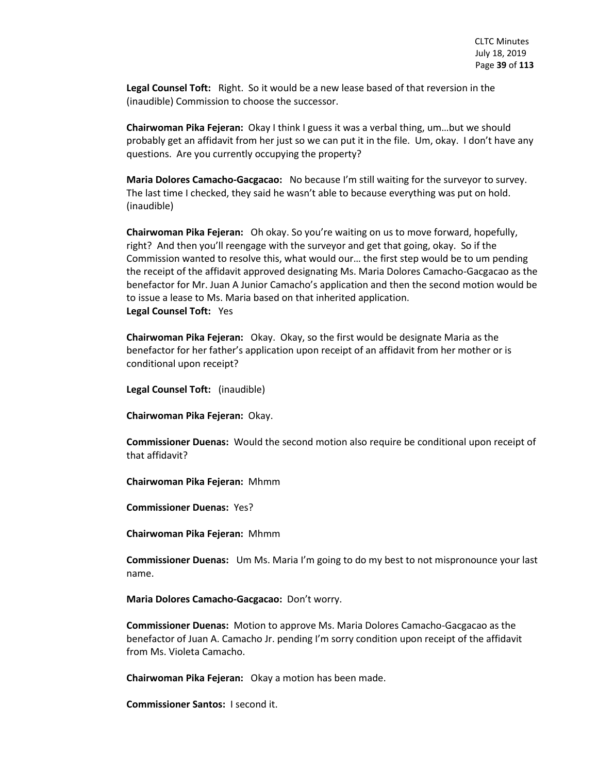**Legal Counsel Toft:** Right. So it would be a new lease based of that reversion in the (inaudible) Commission to choose the successor.

**Chairwoman Pika Fejeran:** Okay I think I guess it was a verbal thing, um…but we should probably get an affidavit from her just so we can put it in the file. Um, okay. I don't have any questions. Are you currently occupying the property?

**Maria Dolores Camacho-Gacgacao:** No because I'm still waiting for the surveyor to survey. The last time I checked, they said he wasn't able to because everything was put on hold. (inaudible)

**Chairwoman Pika Fejeran:** Oh okay. So you're waiting on us to move forward, hopefully, right? And then you'll reengage with the surveyor and get that going, okay. So if the Commission wanted to resolve this, what would our… the first step would be to um pending the receipt of the affidavit approved designating Ms. Maria Dolores Camacho-Gacgacao as the benefactor for Mr. Juan A Junior Camacho's application and then the second motion would be to issue a lease to Ms. Maria based on that inherited application. **Legal Counsel Toft:** Yes

**Chairwoman Pika Fejeran:** Okay. Okay, so the first would be designate Maria as the benefactor for her father's application upon receipt of an affidavit from her mother or is conditional upon receipt?

**Legal Counsel Toft:** (inaudible)

**Chairwoman Pika Fejeran:** Okay.

**Commissioner Duenas:** Would the second motion also require be conditional upon receipt of that affidavit?

**Chairwoman Pika Fejeran:** Mhmm

**Commissioner Duenas:** Yes?

**Chairwoman Pika Fejeran:** Mhmm

**Commissioner Duenas:** Um Ms. Maria I'm going to do my best to not mispronounce your last name.

**Maria Dolores Camacho-Gacgacao:** Don't worry.

**Commissioner Duenas:** Motion to approve Ms. Maria Dolores Camacho-Gacgacao as the benefactor of Juan A. Camacho Jr. pending I'm sorry condition upon receipt of the affidavit from Ms. Violeta Camacho.

**Chairwoman Pika Fejeran:** Okay a motion has been made.

**Commissioner Santos:** I second it.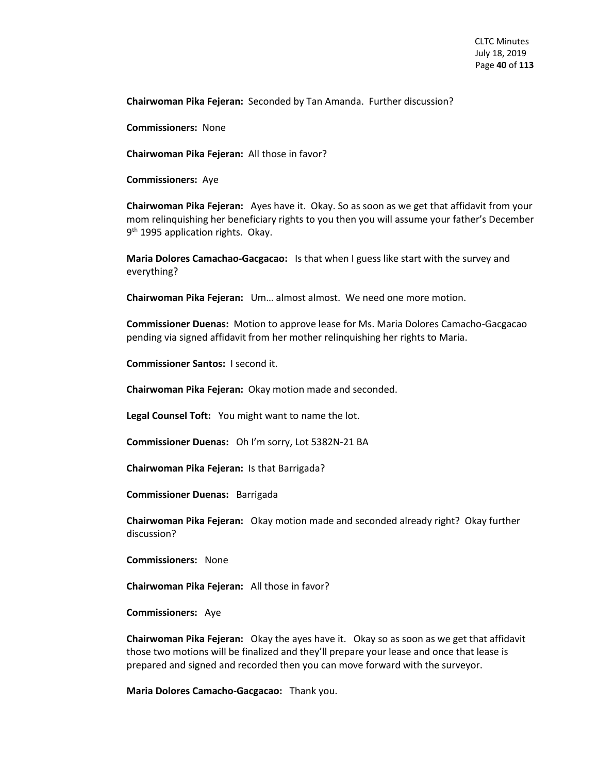**Chairwoman Pika Fejeran:** Seconded by Tan Amanda. Further discussion?

**Commissioners:** None

**Chairwoman Pika Fejeran:** All those in favor?

**Commissioners:** Aye

**Chairwoman Pika Fejeran:** Ayes have it. Okay. So as soon as we get that affidavit from your mom relinquishing her beneficiary rights to you then you will assume your father's December 9<sup>th</sup> 1995 application rights. Okay.

**Maria Dolores Camachao-Gacgacao:** Is that when I guess like start with the survey and everything?

**Chairwoman Pika Fejeran:** Um… almost almost. We need one more motion.

**Commissioner Duenas:** Motion to approve lease for Ms. Maria Dolores Camacho-Gacgacao pending via signed affidavit from her mother relinquishing her rights to Maria.

**Commissioner Santos:** I second it.

**Chairwoman Pika Fejeran:** Okay motion made and seconded.

**Legal Counsel Toft:** You might want to name the lot.

**Commissioner Duenas:** Oh I'm sorry, Lot 5382N-21 BA

**Chairwoman Pika Fejeran:** Is that Barrigada?

**Commissioner Duenas:** Barrigada

**Chairwoman Pika Fejeran:** Okay motion made and seconded already right? Okay further discussion?

**Commissioners:** None

**Chairwoman Pika Fejeran:** All those in favor?

**Commissioners:** Aye

**Chairwoman Pika Fejeran:** Okay the ayes have it. Okay so as soon as we get that affidavit those two motions will be finalized and they'll prepare your lease and once that lease is prepared and signed and recorded then you can move forward with the surveyor.

**Maria Dolores Camacho-Gacgacao:** Thank you.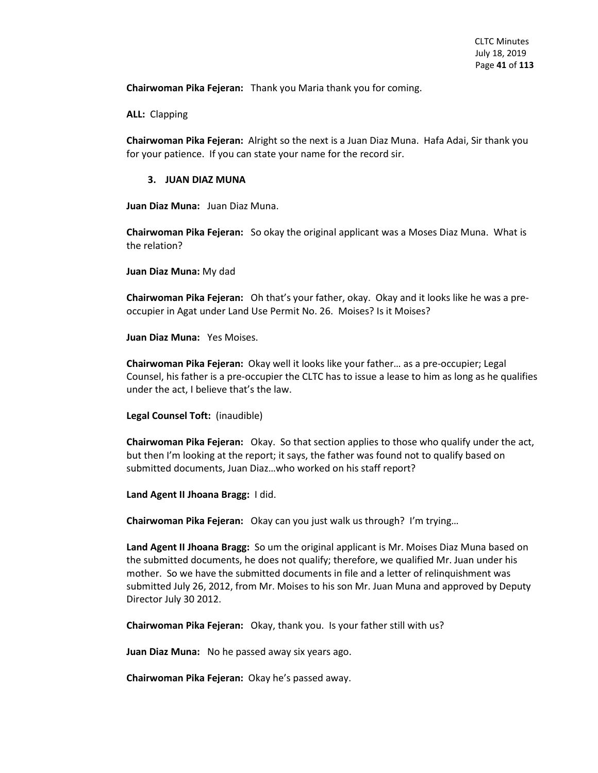**Chairwoman Pika Fejeran:** Thank you Maria thank you for coming.

**ALL:** Clapping

**Chairwoman Pika Fejeran:** Alright so the next is a Juan Diaz Muna. Hafa Adai, Sir thank you for your patience. If you can state your name for the record sir.

## **3. JUAN DIAZ MUNA**

**Juan Diaz Muna:** Juan Diaz Muna.

**Chairwoman Pika Fejeran:** So okay the original applicant was a Moses Diaz Muna. What is the relation?

**Juan Diaz Muna:** My dad

**Chairwoman Pika Fejeran:** Oh that's your father, okay. Okay and it looks like he was a preoccupier in Agat under Land Use Permit No. 26. Moises? Is it Moises?

**Juan Diaz Muna:** Yes Moises.

**Chairwoman Pika Fejeran:** Okay well it looks like your father… as a pre-occupier; Legal Counsel, his father is a pre-occupier the CLTC has to issue a lease to him as long as he qualifies under the act, I believe that's the law.

**Legal Counsel Toft:** (inaudible)

**Chairwoman Pika Fejeran:** Okay. So that section applies to those who qualify under the act, but then I'm looking at the report; it says, the father was found not to qualify based on submitted documents, Juan Diaz…who worked on his staff report?

**Land Agent II Jhoana Bragg:** I did.

**Chairwoman Pika Fejeran:** Okay can you just walk us through? I'm trying…

**Land Agent II Jhoana Bragg:** So um the original applicant is Mr. Moises Diaz Muna based on the submitted documents, he does not qualify; therefore, we qualified Mr. Juan under his mother. So we have the submitted documents in file and a letter of relinquishment was submitted July 26, 2012, from Mr. Moises to his son Mr. Juan Muna and approved by Deputy Director July 30 2012.

**Chairwoman Pika Fejeran:** Okay, thank you. Is your father still with us?

**Juan Diaz Muna:** No he passed away six years ago.

**Chairwoman Pika Fejeran:** Okay he's passed away.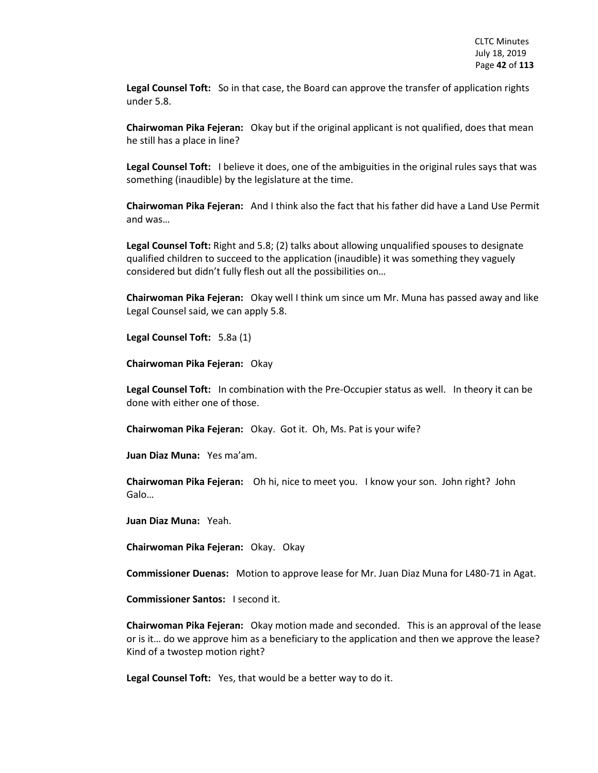**Legal Counsel Toft:** So in that case, the Board can approve the transfer of application rights under 5.8.

**Chairwoman Pika Fejeran:** Okay but if the original applicant is not qualified, does that mean he still has a place in line?

**Legal Counsel Toft:** I believe it does, one of the ambiguities in the original rules says that was something (inaudible) by the legislature at the time.

**Chairwoman Pika Fejeran:** And I think also the fact that his father did have a Land Use Permit and was…

**Legal Counsel Toft:** Right and 5.8; (2) talks about allowing unqualified spouses to designate qualified children to succeed to the application (inaudible) it was something they vaguely considered but didn't fully flesh out all the possibilities on…

**Chairwoman Pika Fejeran:** Okay well I think um since um Mr. Muna has passed away and like Legal Counsel said, we can apply 5.8.

**Legal Counsel Toft:** 5.8a (1)

**Chairwoman Pika Fejeran:** Okay

**Legal Counsel Toft:** In combination with the Pre-Occupier status as well. In theory it can be done with either one of those.

**Chairwoman Pika Fejeran:** Okay. Got it. Oh, Ms. Pat is your wife?

**Juan Diaz Muna:** Yes ma'am.

**Chairwoman Pika Fejeran:** Oh hi, nice to meet you. I know your son. John right? John Galo…

**Juan Diaz Muna:** Yeah.

**Chairwoman Pika Fejeran:** Okay. Okay

**Commissioner Duenas:** Motion to approve lease for Mr. Juan Diaz Muna for L480-71 in Agat.

**Commissioner Santos:** I second it.

**Chairwoman Pika Fejeran:** Okay motion made and seconded. This is an approval of the lease or is it… do we approve him as a beneficiary to the application and then we approve the lease? Kind of a twostep motion right?

**Legal Counsel Toft:** Yes, that would be a better way to do it.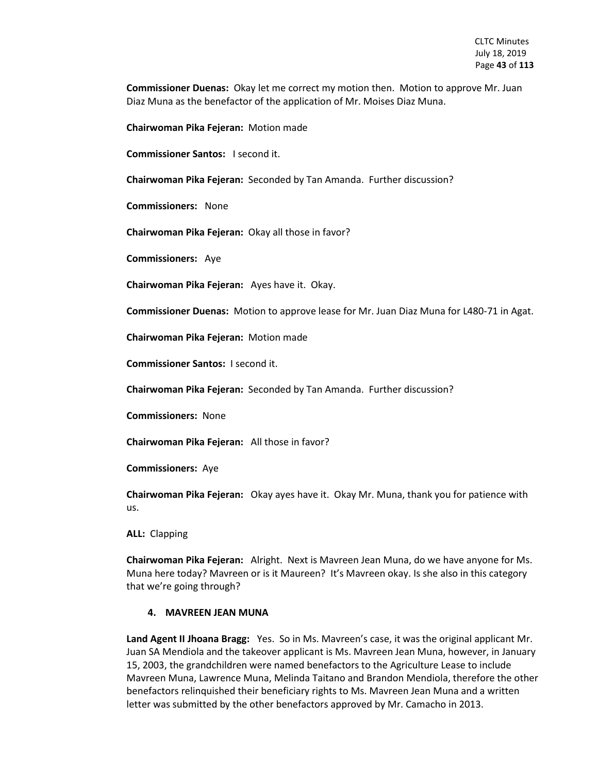**Commissioner Duenas:** Okay let me correct my motion then. Motion to approve Mr. Juan Diaz Muna as the benefactor of the application of Mr. Moises Diaz Muna.

**Chairwoman Pika Fejeran:** Motion made

**Commissioner Santos:** I second it.

**Chairwoman Pika Fejeran:** Seconded by Tan Amanda. Further discussion?

**Commissioners:** None

**Chairwoman Pika Fejeran:** Okay all those in favor?

**Commissioners:** Aye

**Chairwoman Pika Fejeran:** Ayes have it. Okay.

**Commissioner Duenas:** Motion to approve lease for Mr. Juan Diaz Muna for L480-71 in Agat.

**Chairwoman Pika Fejeran:** Motion made

**Commissioner Santos:** I second it.

**Chairwoman Pika Fejeran:** Seconded by Tan Amanda. Further discussion?

**Commissioners:** None

**Chairwoman Pika Fejeran:** All those in favor?

**Commissioners:** Aye

**Chairwoman Pika Fejeran:** Okay ayes have it. Okay Mr. Muna, thank you for patience with us.

**ALL:** Clapping

**Chairwoman Pika Fejeran:** Alright. Next is Mavreen Jean Muna, do we have anyone for Ms. Muna here today? Mavreen or is it Maureen? It's Mavreen okay. Is she also in this category that we're going through?

#### **4. MAVREEN JEAN MUNA**

**Land Agent II Jhoana Bragg:** Yes. So in Ms. Mavreen's case, it was the original applicant Mr. Juan SA Mendiola and the takeover applicant is Ms. Mavreen Jean Muna, however, in January 15, 2003, the grandchildren were named benefactors to the Agriculture Lease to include Mavreen Muna, Lawrence Muna, Melinda Taitano and Brandon Mendiola, therefore the other benefactors relinquished their beneficiary rights to Ms. Mavreen Jean Muna and a written letter was submitted by the other benefactors approved by Mr. Camacho in 2013.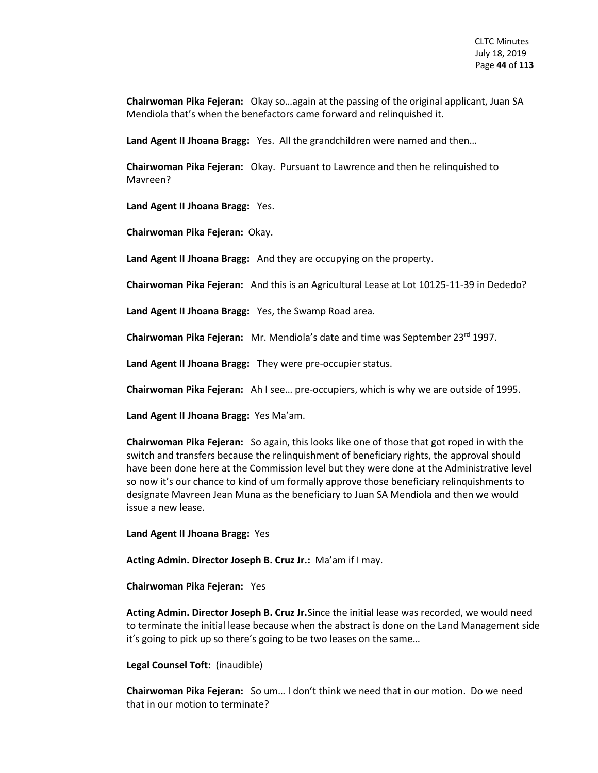**Chairwoman Pika Fejeran:** Okay so…again at the passing of the original applicant, Juan SA Mendiola that's when the benefactors came forward and relinquished it.

**Land Agent II Jhoana Bragg:** Yes. All the grandchildren were named and then…

**Chairwoman Pika Fejeran:** Okay. Pursuant to Lawrence and then he relinquished to Mavreen?

**Land Agent II Jhoana Bragg:** Yes.

**Chairwoman Pika Fejeran:** Okay.

**Land Agent II Jhoana Bragg:** And they are occupying on the property.

**Chairwoman Pika Fejeran:** And this is an Agricultural Lease at Lot 10125-11-39 in Dededo?

**Land Agent II Jhoana Bragg:** Yes, the Swamp Road area.

**Chairwoman Pika Fejeran:** Mr. Mendiola's date and time was September 23rd 1997.

**Land Agent II Jhoana Bragg:** They were pre-occupier status.

**Chairwoman Pika Fejeran:** Ah I see… pre-occupiers, which is why we are outside of 1995.

**Land Agent II Jhoana Bragg:** Yes Ma'am.

**Chairwoman Pika Fejeran:** So again, this looks like one of those that got roped in with the switch and transfers because the relinquishment of beneficiary rights, the approval should have been done here at the Commission level but they were done at the Administrative level so now it's our chance to kind of um formally approve those beneficiary relinquishments to designate Mavreen Jean Muna as the beneficiary to Juan SA Mendiola and then we would issue a new lease.

**Land Agent II Jhoana Bragg:** Yes

**Acting Admin. Director Joseph B. Cruz Jr.:** Ma'am if I may.

**Chairwoman Pika Fejeran:** Yes

**Acting Admin. Director Joseph B. Cruz Jr.**Since the initial lease was recorded, we would need to terminate the initial lease because when the abstract is done on the Land Management side it's going to pick up so there's going to be two leases on the same…

**Legal Counsel Toft:** (inaudible)

**Chairwoman Pika Fejeran:** So um… I don't think we need that in our motion. Do we need that in our motion to terminate?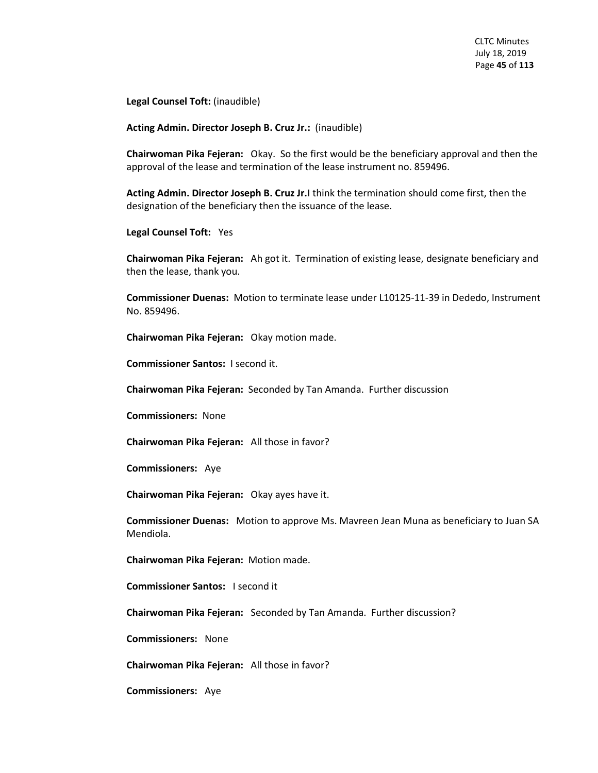**Legal Counsel Toft:** (inaudible)

**Acting Admin. Director Joseph B. Cruz Jr.:** (inaudible)

**Chairwoman Pika Fejeran:** Okay. So the first would be the beneficiary approval and then the approval of the lease and termination of the lease instrument no. 859496.

**Acting Admin. Director Joseph B. Cruz Jr.**I think the termination should come first, then the designation of the beneficiary then the issuance of the lease.

**Legal Counsel Toft:** Yes

**Chairwoman Pika Fejeran:** Ah got it. Termination of existing lease, designate beneficiary and then the lease, thank you.

**Commissioner Duenas:** Motion to terminate lease under L10125-11-39 in Dededo, Instrument No. 859496.

**Chairwoman Pika Fejeran:** Okay motion made.

**Commissioner Santos:** I second it.

**Chairwoman Pika Fejeran:** Seconded by Tan Amanda. Further discussion

**Commissioners:** None

**Chairwoman Pika Fejeran:** All those in favor?

**Commissioners:** Aye

**Chairwoman Pika Fejeran:** Okay ayes have it.

**Commissioner Duenas:** Motion to approve Ms. Mavreen Jean Muna as beneficiary to Juan SA Mendiola.

**Chairwoman Pika Fejeran:** Motion made.

**Commissioner Santos:** I second it

**Chairwoman Pika Fejeran:** Seconded by Tan Amanda. Further discussion?

**Commissioners:** None

**Chairwoman Pika Fejeran:** All those in favor?

**Commissioners:** Aye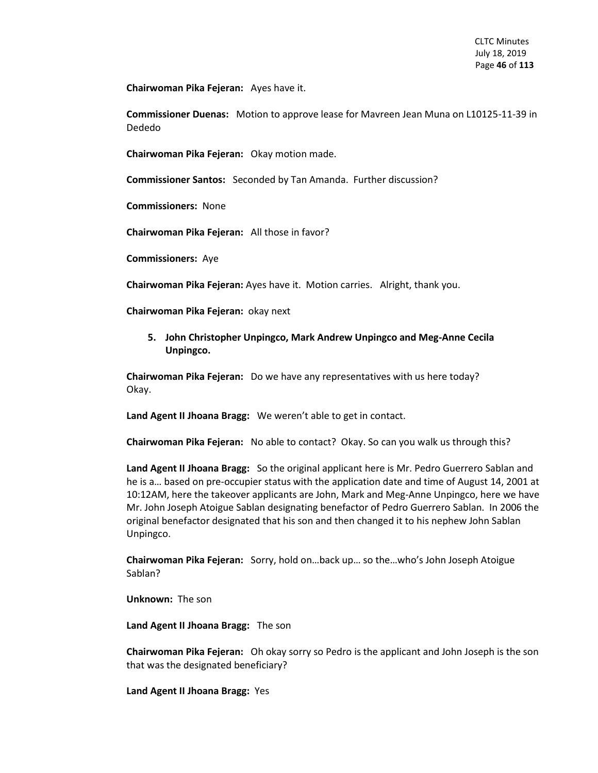**Chairwoman Pika Fejeran:** Ayes have it.

**Commissioner Duenas:** Motion to approve lease for Mavreen Jean Muna on L10125-11-39 in Dededo

**Chairwoman Pika Fejeran:** Okay motion made.

**Commissioner Santos:** Seconded by Tan Amanda. Further discussion?

**Commissioners:** None

**Chairwoman Pika Fejeran:** All those in favor?

**Commissioners:** Aye

**Chairwoman Pika Fejeran:** Ayes have it. Motion carries. Alright, thank you.

**Chairwoman Pika Fejeran:** okay next

**5. John Christopher Unpingco, Mark Andrew Unpingco and Meg-Anne Cecila Unpingco.** 

**Chairwoman Pika Fejeran:** Do we have any representatives with us here today? Okay.

**Land Agent II Jhoana Bragg:** We weren't able to get in contact.

**Chairwoman Pika Fejeran:** No able to contact? Okay. So can you walk us through this?

**Land Agent II Jhoana Bragg:** So the original applicant here is Mr. Pedro Guerrero Sablan and he is a… based on pre-occupier status with the application date and time of August 14, 2001 at 10:12AM, here the takeover applicants are John, Mark and Meg-Anne Unpingco, here we have Mr. John Joseph Atoigue Sablan designating benefactor of Pedro Guerrero Sablan. In 2006 the original benefactor designated that his son and then changed it to his nephew John Sablan Unpingco.

**Chairwoman Pika Fejeran:** Sorry, hold on…back up… so the…who's John Joseph Atoigue Sablan?

**Unknown:** The son

**Land Agent II Jhoana Bragg:** The son

**Chairwoman Pika Fejeran:** Oh okay sorry so Pedro is the applicant and John Joseph is the son that was the designated beneficiary?

**Land Agent II Jhoana Bragg:** Yes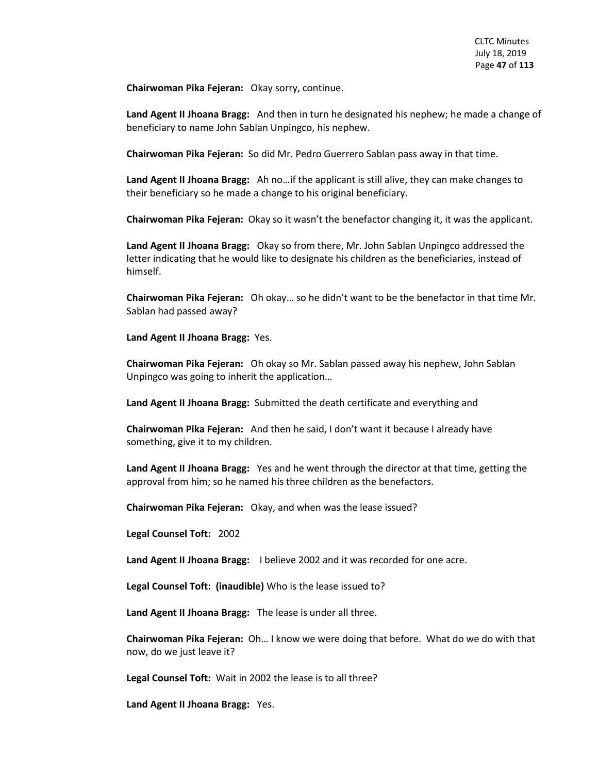**Chairwoman Pika Fejeran:** Okay sorry, continue.

**Land Agent II Jhoana Bragg:** And then in turn he designated his nephew; he made a change of beneficiary to name John Sablan Unpingco, his nephew.

**Chairwoman Pika Fejeran:** So did Mr. Pedro Guerrero Sablan pass away in that time.

**Land Agent II Jhoana Bragg:** Ah no…if the applicant is still alive, they can make changes to their beneficiary so he made a change to his original beneficiary.

**Chairwoman Pika Fejeran:** Okay so it wasn't the benefactor changing it, it was the applicant.

**Land Agent II Jhoana Bragg:** Okay so from there, Mr. John Sablan Unpingco addressed the letter indicating that he would like to designate his children as the beneficiaries, instead of himself.

**Chairwoman Pika Fejeran:** Oh okay… so he didn't want to be the benefactor in that time Mr. Sablan had passed away?

**Land Agent II Jhoana Bragg:** Yes.

**Chairwoman Pika Fejeran:** Oh okay so Mr. Sablan passed away his nephew, John Sablan Unpingco was going to inherit the application…

**Land Agent II Jhoana Bragg:** Submitted the death certificate and everything and

**Chairwoman Pika Fejeran:** And then he said, I don't want it because I already have something, give it to my children.

**Land Agent II Jhoana Bragg:** Yes and he went through the director at that time, getting the approval from him; so he named his three children as the benefactors.

**Chairwoman Pika Fejeran:** Okay, and when was the lease issued?

**Legal Counsel Toft:** 2002

**Land Agent II Jhoana Bragg:** I believe 2002 and it was recorded for one acre.

**Legal Counsel Toft: (inaudible)** Who is the lease issued to?

**Land Agent II Jhoana Bragg:** The lease is under all three.

**Chairwoman Pika Fejeran:** Oh… I know we were doing that before. What do we do with that now, do we just leave it?

**Legal Counsel Toft:** Wait in 2002 the lease is to all three?

**Land Agent II Jhoana Bragg:** Yes.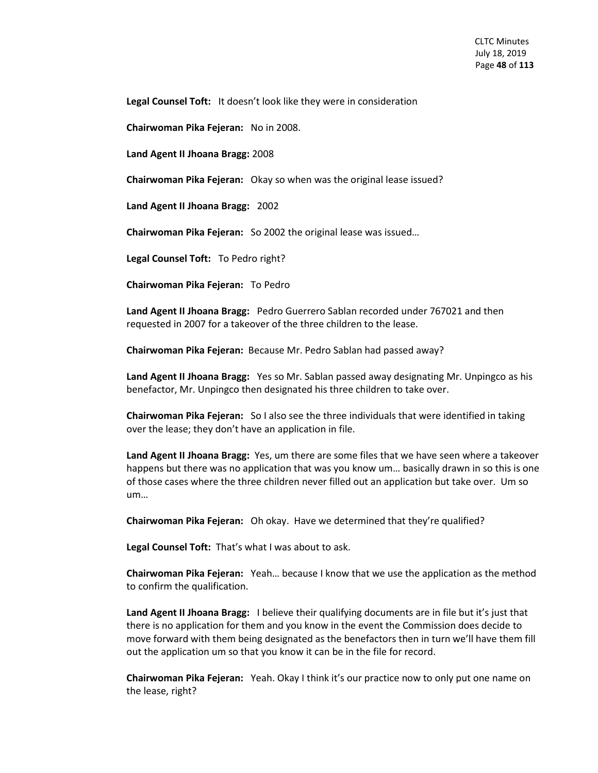**Legal Counsel Toft:** It doesn't look like they were in consideration

**Chairwoman Pika Fejeran:** No in 2008.

**Land Agent II Jhoana Bragg:** 2008

**Chairwoman Pika Fejeran:** Okay so when was the original lease issued?

**Land Agent II Jhoana Bragg:** 2002

**Chairwoman Pika Fejeran:** So 2002 the original lease was issued…

**Legal Counsel Toft:** To Pedro right?

**Chairwoman Pika Fejeran:** To Pedro

**Land Agent II Jhoana Bragg:** Pedro Guerrero Sablan recorded under 767021 and then requested in 2007 for a takeover of the three children to the lease.

**Chairwoman Pika Fejeran:** Because Mr. Pedro Sablan had passed away?

**Land Agent II Jhoana Bragg:** Yes so Mr. Sablan passed away designating Mr. Unpingco as his benefactor, Mr. Unpingco then designated his three children to take over.

**Chairwoman Pika Fejeran:** So I also see the three individuals that were identified in taking over the lease; they don't have an application in file.

**Land Agent II Jhoana Bragg:** Yes, um there are some files that we have seen where a takeover happens but there was no application that was you know um… basically drawn in so this is one of those cases where the three children never filled out an application but take over. Um so um…

**Chairwoman Pika Fejeran:** Oh okay. Have we determined that they're qualified?

**Legal Counsel Toft:** That's what I was about to ask.

**Chairwoman Pika Fejeran:** Yeah… because I know that we use the application as the method to confirm the qualification.

**Land Agent II Jhoana Bragg:** I believe their qualifying documents are in file but it's just that there is no application for them and you know in the event the Commission does decide to move forward with them being designated as the benefactors then in turn we'll have them fill out the application um so that you know it can be in the file for record.

**Chairwoman Pika Fejeran:** Yeah. Okay I think it's our practice now to only put one name on the lease, right?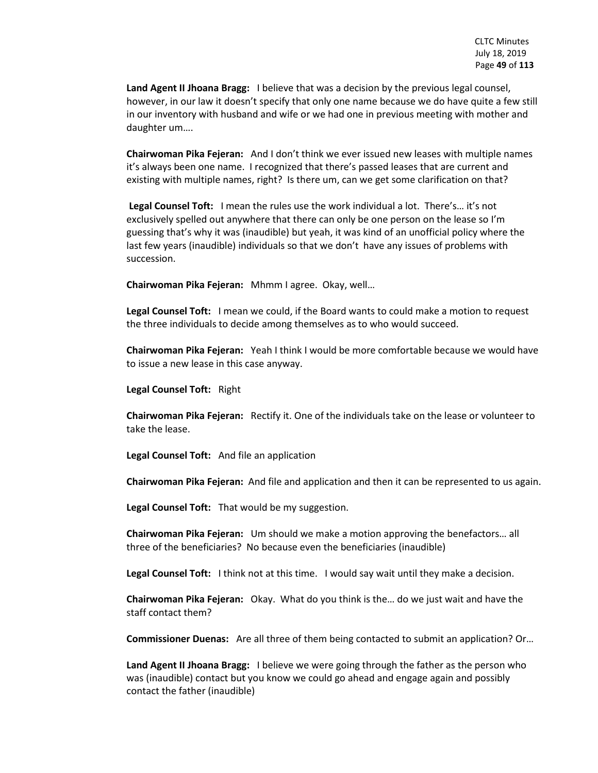**Land Agent II Jhoana Bragg:** I believe that was a decision by the previous legal counsel, however, in our law it doesn't specify that only one name because we do have quite a few still in our inventory with husband and wife or we had one in previous meeting with mother and daughter um….

**Chairwoman Pika Fejeran:** And I don't think we ever issued new leases with multiple names it's always been one name. I recognized that there's passed leases that are current and existing with multiple names, right? Is there um, can we get some clarification on that?

**Legal Counsel Toft:** I mean the rules use the work individual a lot. There's… it's not exclusively spelled out anywhere that there can only be one person on the lease so I'm guessing that's why it was (inaudible) but yeah, it was kind of an unofficial policy where the last few years (inaudible) individuals so that we don't have any issues of problems with succession.

**Chairwoman Pika Fejeran:** Mhmm I agree. Okay, well…

**Legal Counsel Toft:** I mean we could, if the Board wants to could make a motion to request the three individuals to decide among themselves as to who would succeed.

**Chairwoman Pika Fejeran:** Yeah I think I would be more comfortable because we would have to issue a new lease in this case anyway.

**Legal Counsel Toft:** Right

**Chairwoman Pika Fejeran:** Rectify it. One of the individuals take on the lease or volunteer to take the lease.

**Legal Counsel Toft:** And file an application

**Chairwoman Pika Fejeran:** And file and application and then it can be represented to us again.

**Legal Counsel Toft:** That would be my suggestion.

**Chairwoman Pika Fejeran:** Um should we make a motion approving the benefactors… all three of the beneficiaries? No because even the beneficiaries (inaudible)

**Legal Counsel Toft:** I think not at this time. I would say wait until they make a decision.

**Chairwoman Pika Fejeran:** Okay. What do you think is the… do we just wait and have the staff contact them?

**Commissioner Duenas:** Are all three of them being contacted to submit an application? Or…

**Land Agent II Jhoana Bragg:** I believe we were going through the father as the person who was (inaudible) contact but you know we could go ahead and engage again and possibly contact the father (inaudible)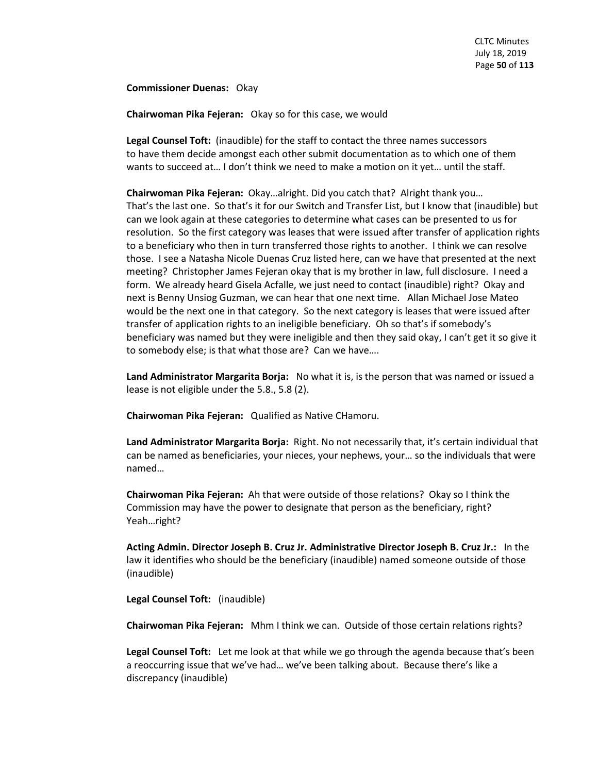**Commissioner Duenas:** Okay

**Chairwoman Pika Fejeran:** Okay so for this case, we would

**Legal Counsel Toft:** (inaudible) for the staff to contact the three names successors to have them decide amongst each other submit documentation as to which one of them wants to succeed at… I don't think we need to make a motion on it yet… until the staff.

**Chairwoman Pika Fejeran:** Okay…alright. Did you catch that? Alright thank you… That's the last one. So that's it for our Switch and Transfer List, but I know that (inaudible) but can we look again at these categories to determine what cases can be presented to us for resolution. So the first category was leases that were issued after transfer of application rights to a beneficiary who then in turn transferred those rights to another. I think we can resolve those. I see a Natasha Nicole Duenas Cruz listed here, can we have that presented at the next meeting? Christopher James Fejeran okay that is my brother in law, full disclosure. I need a form. We already heard Gisela Acfalle, we just need to contact (inaudible) right? Okay and next is Benny Unsiog Guzman, we can hear that one next time. Allan Michael Jose Mateo would be the next one in that category. So the next category is leases that were issued after transfer of application rights to an ineligible beneficiary. Oh so that's if somebody's beneficiary was named but they were ineligible and then they said okay, I can't get it so give it to somebody else; is that what those are? Can we have….

**Land Administrator Margarita Borja:** No what it is, is the person that was named or issued a lease is not eligible under the 5.8., 5.8 (2).

**Chairwoman Pika Fejeran:** Qualified as Native CHamoru.

**Land Administrator Margarita Borja:** Right. No not necessarily that, it's certain individual that can be named as beneficiaries, your nieces, your nephews, your… so the individuals that were named…

**Chairwoman Pika Fejeran:** Ah that were outside of those relations? Okay so I think the Commission may have the power to designate that person as the beneficiary, right? Yeah…right?

**Acting Admin. Director Joseph B. Cruz Jr. Administrative Director Joseph B. Cruz Jr.:** In the law it identifies who should be the beneficiary (inaudible) named someone outside of those (inaudible)

**Legal Counsel Toft:** (inaudible)

**Chairwoman Pika Fejeran:** Mhm I think we can. Outside of those certain relations rights?

**Legal Counsel Toft:** Let me look at that while we go through the agenda because that's been a reoccurring issue that we've had… we've been talking about. Because there's like a discrepancy (inaudible)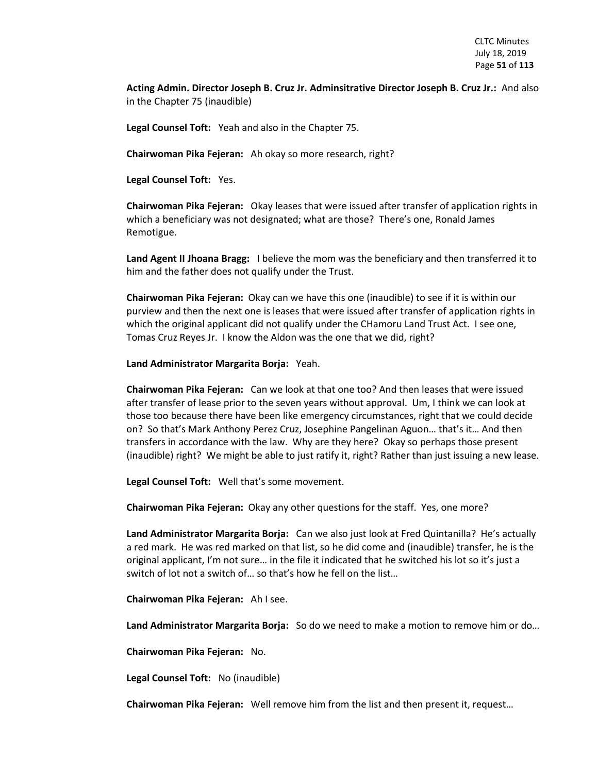**Acting Admin. Director Joseph B. Cruz Jr. Adminsitrative Director Joseph B. Cruz Jr.:** And also in the Chapter 75 (inaudible)

**Legal Counsel Toft:** Yeah and also in the Chapter 75.

**Chairwoman Pika Fejeran:** Ah okay so more research, right?

**Legal Counsel Toft:** Yes.

**Chairwoman Pika Fejeran:** Okay leases that were issued after transfer of application rights in which a beneficiary was not designated; what are those? There's one, Ronald James Remotigue.

**Land Agent II Jhoana Bragg:** I believe the mom was the beneficiary and then transferred it to him and the father does not qualify under the Trust.

**Chairwoman Pika Fejeran:** Okay can we have this one (inaudible) to see if it is within our purview and then the next one is leases that were issued after transfer of application rights in which the original applicant did not qualify under the CHamoru Land Trust Act. I see one, Tomas Cruz Reyes Jr. I know the Aldon was the one that we did, right?

**Land Administrator Margarita Borja:** Yeah.

**Chairwoman Pika Fejeran:** Can we look at that one too? And then leases that were issued after transfer of lease prior to the seven years without approval. Um, I think we can look at those too because there have been like emergency circumstances, right that we could decide on? So that's Mark Anthony Perez Cruz, Josephine Pangelinan Aguon… that's it… And then transfers in accordance with the law. Why are they here? Okay so perhaps those present (inaudible) right? We might be able to just ratify it, right? Rather than just issuing a new lease.

**Legal Counsel Toft:** Well that's some movement.

**Chairwoman Pika Fejeran:** Okay any other questions for the staff. Yes, one more?

**Land Administrator Margarita Borja:** Can we also just look at Fred Quintanilla? He's actually a red mark. He was red marked on that list, so he did come and (inaudible) transfer, he is the original applicant, I'm not sure… in the file it indicated that he switched his lot so it's just a switch of lot not a switch of… so that's how he fell on the list…

**Chairwoman Pika Fejeran:** Ah I see.

**Land Administrator Margarita Borja:** So do we need to make a motion to remove him or do…

**Chairwoman Pika Fejeran:** No.

**Legal Counsel Toft:** No (inaudible)

**Chairwoman Pika Fejeran:** Well remove him from the list and then present it, request…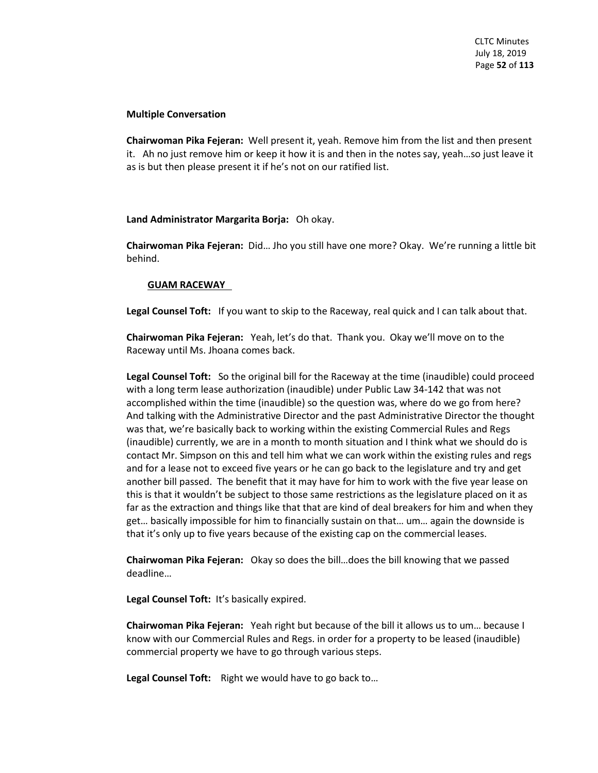# **Multiple Conversation**

**Chairwoman Pika Fejeran:** Well present it, yeah. Remove him from the list and then present it. Ah no just remove him or keep it how it is and then in the notes say, yeah…so just leave it as is but then please present it if he's not on our ratified list.

# **Land Administrator Margarita Borja:** Oh okay.

**Chairwoman Pika Fejeran:** Did… Jho you still have one more? Okay. We're running a little bit behind.

# **GUAM RACEWAY**

**Legal Counsel Toft:** If you want to skip to the Raceway, real quick and I can talk about that.

**Chairwoman Pika Fejeran:** Yeah, let's do that. Thank you. Okay we'll move on to the Raceway until Ms. Jhoana comes back.

**Legal Counsel Toft:** So the original bill for the Raceway at the time (inaudible) could proceed with a long term lease authorization (inaudible) under Public Law 34-142 that was not accomplished within the time (inaudible) so the question was, where do we go from here? And talking with the Administrative Director and the past Administrative Director the thought was that, we're basically back to working within the existing Commercial Rules and Regs (inaudible) currently, we are in a month to month situation and I think what we should do is contact Mr. Simpson on this and tell him what we can work within the existing rules and regs and for a lease not to exceed five years or he can go back to the legislature and try and get another bill passed. The benefit that it may have for him to work with the five year lease on this is that it wouldn't be subject to those same restrictions as the legislature placed on it as far as the extraction and things like that that are kind of deal breakers for him and when they get… basically impossible for him to financially sustain on that… um… again the downside is that it's only up to five years because of the existing cap on the commercial leases.

**Chairwoman Pika Fejeran:** Okay so does the bill…does the bill knowing that we passed deadline…

**Legal Counsel Toft:** It's basically expired.

**Chairwoman Pika Fejeran:** Yeah right but because of the bill it allows us to um… because I know with our Commercial Rules and Regs. in order for a property to be leased (inaudible) commercial property we have to go through various steps.

**Legal Counsel Toft:** Right we would have to go back to…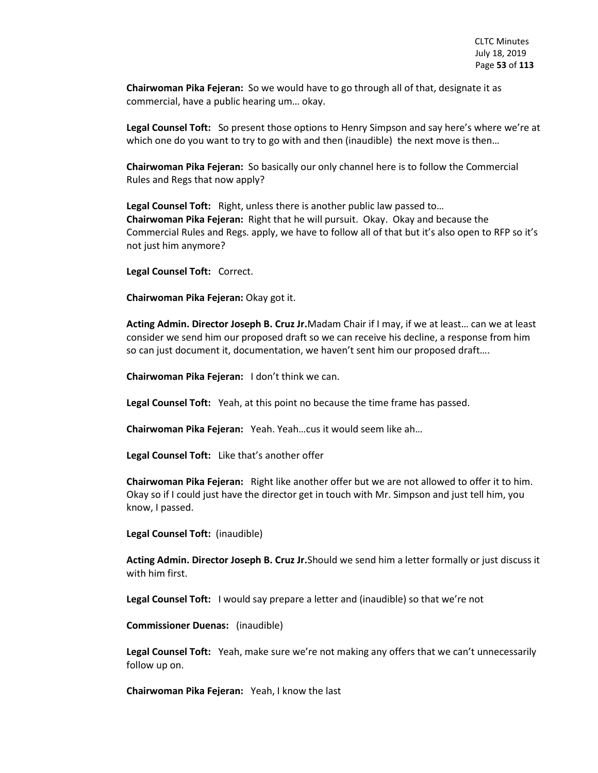**Chairwoman Pika Fejeran:** So we would have to go through all of that, designate it as commercial, have a public hearing um… okay.

**Legal Counsel Toft:** So present those options to Henry Simpson and say here's where we're at which one do you want to try to go with and then (inaudible) the next move is then...

**Chairwoman Pika Fejeran:** So basically our only channel here is to follow the Commercial Rules and Regs that now apply?

**Legal Counsel Toft:** Right, unless there is another public law passed to… **Chairwoman Pika Fejeran:** Right that he will pursuit. Okay. Okay and because the Commercial Rules and Regs. apply, we have to follow all of that but it's also open to RFP so it's not just him anymore?

**Legal Counsel Toft:** Correct.

**Chairwoman Pika Fejeran:** Okay got it.

**Acting Admin. Director Joseph B. Cruz Jr.**Madam Chair if I may, if we at least… can we at least consider we send him our proposed draft so we can receive his decline, a response from him so can just document it, documentation, we haven't sent him our proposed draft….

**Chairwoman Pika Fejeran:** I don't think we can.

**Legal Counsel Toft:** Yeah, at this point no because the time frame has passed.

**Chairwoman Pika Fejeran:** Yeah. Yeah…cus it would seem like ah…

**Legal Counsel Toft:** Like that's another offer

**Chairwoman Pika Fejeran:** Right like another offer but we are not allowed to offer it to him. Okay so if I could just have the director get in touch with Mr. Simpson and just tell him, you know, I passed.

**Legal Counsel Toft:** (inaudible)

**Acting Admin. Director Joseph B. Cruz Jr.**Should we send him a letter formally or just discuss it with him first.

**Legal Counsel Toft:** I would say prepare a letter and (inaudible) so that we're not

**Commissioner Duenas:** (inaudible)

**Legal Counsel Toft:** Yeah, make sure we're not making any offers that we can't unnecessarily follow up on.

**Chairwoman Pika Fejeran:** Yeah, I know the last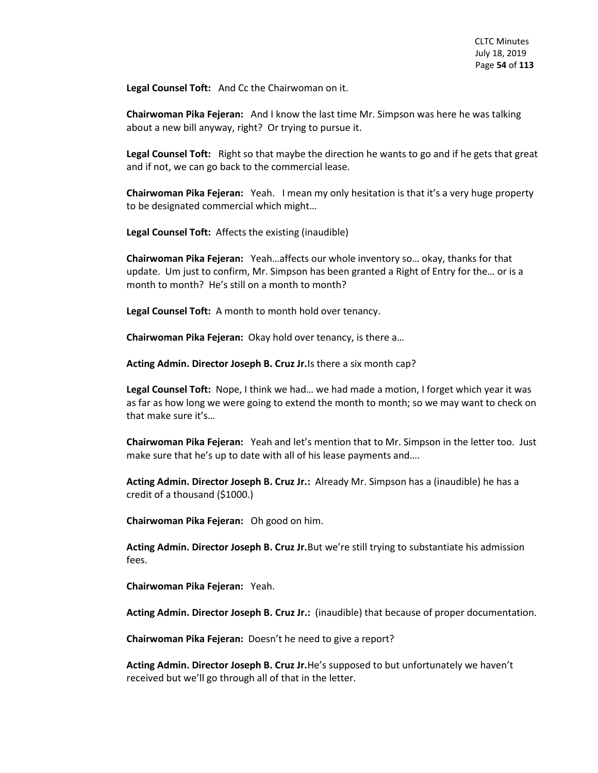**Legal Counsel Toft:** And Cc the Chairwoman on it.

**Chairwoman Pika Fejeran:** And I know the last time Mr. Simpson was here he was talking about a new bill anyway, right? Or trying to pursue it.

**Legal Counsel Toft:** Right so that maybe the direction he wants to go and if he gets that great and if not, we can go back to the commercial lease.

**Chairwoman Pika Fejeran:** Yeah. I mean my only hesitation is that it's a very huge property to be designated commercial which might…

**Legal Counsel Toft:** Affects the existing (inaudible)

**Chairwoman Pika Fejeran:** Yeah…affects our whole inventory so… okay, thanks for that update. Um just to confirm, Mr. Simpson has been granted a Right of Entry for the… or is a month to month? He's still on a month to month?

**Legal Counsel Toft:** A month to month hold over tenancy.

**Chairwoman Pika Fejeran:** Okay hold over tenancy, is there a…

**Acting Admin. Director Joseph B. Cruz Jr.**Is there a six month cap?

**Legal Counsel Toft:** Nope, I think we had… we had made a motion, I forget which year it was as far as how long we were going to extend the month to month; so we may want to check on that make sure it's…

**Chairwoman Pika Fejeran:** Yeah and let's mention that to Mr. Simpson in the letter too. Just make sure that he's up to date with all of his lease payments and….

**Acting Admin. Director Joseph B. Cruz Jr.:** Already Mr. Simpson has a (inaudible) he has a credit of a thousand (\$1000.)

**Chairwoman Pika Fejeran:** Oh good on him.

**Acting Admin. Director Joseph B. Cruz Jr.**But we're still trying to substantiate his admission fees.

**Chairwoman Pika Fejeran:** Yeah.

**Acting Admin. Director Joseph B. Cruz Jr.:** (inaudible) that because of proper documentation.

**Chairwoman Pika Fejeran:** Doesn't he need to give a report?

**Acting Admin. Director Joseph B. Cruz Jr.**He's supposed to but unfortunately we haven't received but we'll go through all of that in the letter.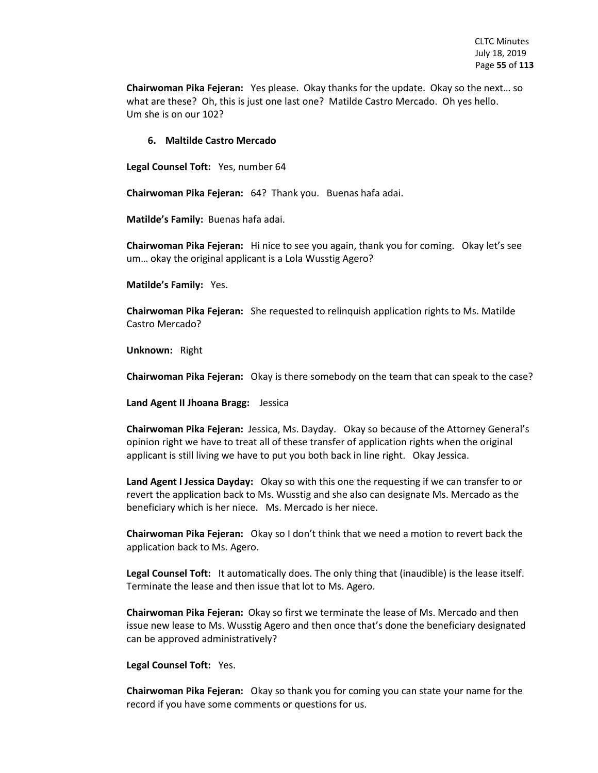**Chairwoman Pika Fejeran:** Yes please. Okay thanks for the update. Okay so the next… so what are these? Oh, this is just one last one? Matilde Castro Mercado. Oh yes hello. Um she is on our 102?

### **6. Maltilde Castro Mercado**

**Legal Counsel Toft:** Yes, number 64

**Chairwoman Pika Fejeran:** 64? Thank you. Buenas hafa adai.

**Matilde's Family:** Buenas hafa adai.

**Chairwoman Pika Fejeran:** Hi nice to see you again, thank you for coming. Okay let's see um… okay the original applicant is a Lola Wusstig Agero?

**Matilde's Family:** Yes.

**Chairwoman Pika Fejeran:** She requested to relinquish application rights to Ms. Matilde Castro Mercado?

**Unknown:** Right

**Chairwoman Pika Fejeran:** Okay is there somebody on the team that can speak to the case?

**Land Agent II Jhoana Bragg:** Jessica

**Chairwoman Pika Fejeran:** Jessica, Ms. Dayday. Okay so because of the Attorney General's opinion right we have to treat all of these transfer of application rights when the original applicant is still living we have to put you both back in line right. Okay Jessica.

**Land Agent I Jessica Dayday:** Okay so with this one the requesting if we can transfer to or revert the application back to Ms. Wusstig and she also can designate Ms. Mercado as the beneficiary which is her niece. Ms. Mercado is her niece.

**Chairwoman Pika Fejeran:** Okay so I don't think that we need a motion to revert back the application back to Ms. Agero.

**Legal Counsel Toft:** It automatically does. The only thing that (inaudible) is the lease itself. Terminate the lease and then issue that lot to Ms. Agero.

**Chairwoman Pika Fejeran:** Okay so first we terminate the lease of Ms. Mercado and then issue new lease to Ms. Wusstig Agero and then once that's done the beneficiary designated can be approved administratively?

### **Legal Counsel Toft:** Yes.

**Chairwoman Pika Fejeran:** Okay so thank you for coming you can state your name for the record if you have some comments or questions for us.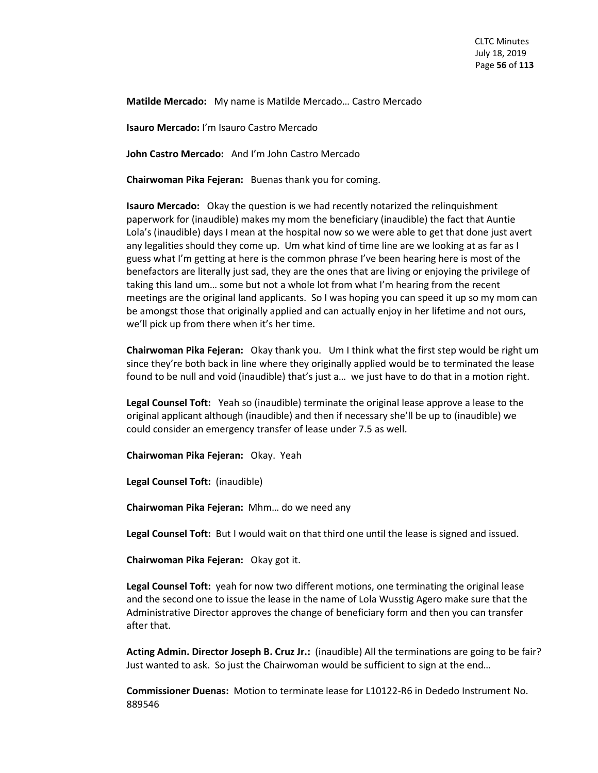**Matilde Mercado:** My name is Matilde Mercado… Castro Mercado

**Isauro Mercado:** I'm Isauro Castro Mercado

**John Castro Mercado:** And I'm John Castro Mercado

**Chairwoman Pika Fejeran:** Buenas thank you for coming.

**Isauro Mercado:** Okay the question is we had recently notarized the relinquishment paperwork for (inaudible) makes my mom the beneficiary (inaudible) the fact that Auntie Lola's (inaudible) days I mean at the hospital now so we were able to get that done just avert any legalities should they come up. Um what kind of time line are we looking at as far as I guess what I'm getting at here is the common phrase I've been hearing here is most of the benefactors are literally just sad, they are the ones that are living or enjoying the privilege of taking this land um… some but not a whole lot from what I'm hearing from the recent meetings are the original land applicants. So I was hoping you can speed it up so my mom can be amongst those that originally applied and can actually enjoy in her lifetime and not ours, we'll pick up from there when it's her time.

**Chairwoman Pika Fejeran:** Okay thank you. Um I think what the first step would be right um since they're both back in line where they originally applied would be to terminated the lease found to be null and void (inaudible) that's just a… we just have to do that in a motion right.

**Legal Counsel Toft:** Yeah so (inaudible) terminate the original lease approve a lease to the original applicant although (inaudible) and then if necessary she'll be up to (inaudible) we could consider an emergency transfer of lease under 7.5 as well.

**Chairwoman Pika Fejeran:** Okay. Yeah

**Legal Counsel Toft:** (inaudible)

**Chairwoman Pika Fejeran:** Mhm… do we need any

**Legal Counsel Toft:** But I would wait on that third one until the lease is signed and issued.

**Chairwoman Pika Fejeran:** Okay got it.

**Legal Counsel Toft:** yeah for now two different motions, one terminating the original lease and the second one to issue the lease in the name of Lola Wusstig Agero make sure that the Administrative Director approves the change of beneficiary form and then you can transfer after that.

**Acting Admin. Director Joseph B. Cruz Jr.:** (inaudible) All the terminations are going to be fair? Just wanted to ask. So just the Chairwoman would be sufficient to sign at the end…

**Commissioner Duenas:** Motion to terminate lease for L10122-R6 in Dededo Instrument No. 889546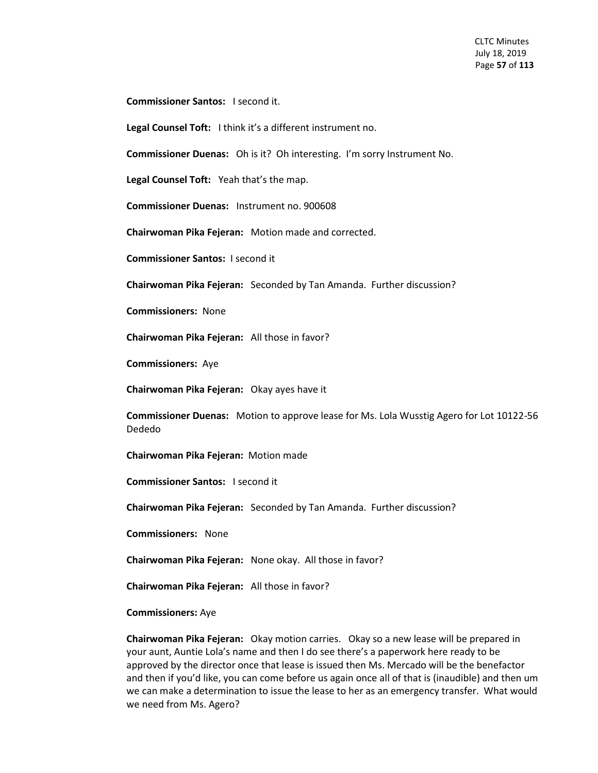**Commissioner Santos:** I second it.

**Legal Counsel Toft:** I think it's a different instrument no.

**Commissioner Duenas:** Oh is it? Oh interesting. I'm sorry Instrument No.

**Legal Counsel Toft:** Yeah that's the map.

**Commissioner Duenas:** Instrument no. 900608

**Chairwoman Pika Fejeran:** Motion made and corrected.

**Commissioner Santos:** I second it

**Chairwoman Pika Fejeran:** Seconded by Tan Amanda. Further discussion?

**Commissioners:** None

**Chairwoman Pika Fejeran:** All those in favor?

**Commissioners:** Aye

**Chairwoman Pika Fejeran:** Okay ayes have it

**Commissioner Duenas:** Motion to approve lease for Ms. Lola Wusstig Agero for Lot 10122-56 Dededo

**Chairwoman Pika Fejeran:** Motion made

**Commissioner Santos:** I second it

**Chairwoman Pika Fejeran:** Seconded by Tan Amanda. Further discussion?

**Commissioners:** None

**Chairwoman Pika Fejeran:** None okay. All those in favor?

**Chairwoman Pika Fejeran:** All those in favor?

**Commissioners:** Aye

**Chairwoman Pika Fejeran:** Okay motion carries. Okay so a new lease will be prepared in your aunt, Auntie Lola's name and then I do see there's a paperwork here ready to be approved by the director once that lease is issued then Ms. Mercado will be the benefactor and then if you'd like, you can come before us again once all of that is (inaudible) and then um we can make a determination to issue the lease to her as an emergency transfer. What would we need from Ms. Agero?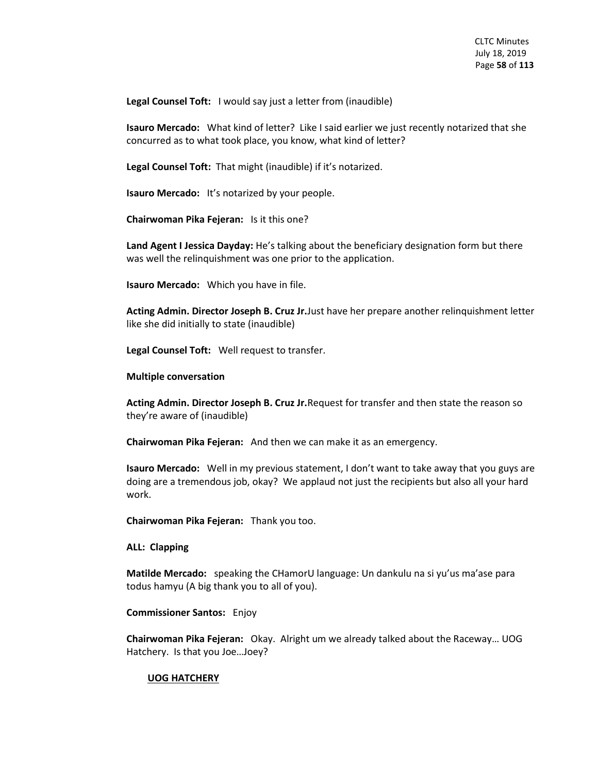**Legal Counsel Toft:** I would say just a letter from (inaudible)

**Isauro Mercado:** What kind of letter? Like I said earlier we just recently notarized that she concurred as to what took place, you know, what kind of letter?

**Legal Counsel Toft:** That might (inaudible) if it's notarized.

**Isauro Mercado:** It's notarized by your people.

**Chairwoman Pika Fejeran:** Is it this one?

**Land Agent I Jessica Dayday:** He's talking about the beneficiary designation form but there was well the relinquishment was one prior to the application.

**Isauro Mercado:** Which you have in file.

**Acting Admin. Director Joseph B. Cruz Jr.**Just have her prepare another relinquishment letter like she did initially to state (inaudible)

**Legal Counsel Toft:** Well request to transfer.

### **Multiple conversation**

**Acting Admin. Director Joseph B. Cruz Jr.**Request for transfer and then state the reason so they're aware of (inaudible)

**Chairwoman Pika Fejeran:** And then we can make it as an emergency.

**Isauro Mercado:** Well in my previous statement, I don't want to take away that you guys are doing are a tremendous job, okay? We applaud not just the recipients but also all your hard work.

**Chairwoman Pika Fejeran:** Thank you too.

**ALL: Clapping**

**Matilde Mercado:** speaking the CHamorU language: Un dankulu na si yu'us ma'ase para todus hamyu (A big thank you to all of you).

**Commissioner Santos:** Enjoy

**Chairwoman Pika Fejeran:** Okay. Alright um we already talked about the Raceway… UOG Hatchery. Is that you Joe…Joey?

#### **UOG HATCHERY**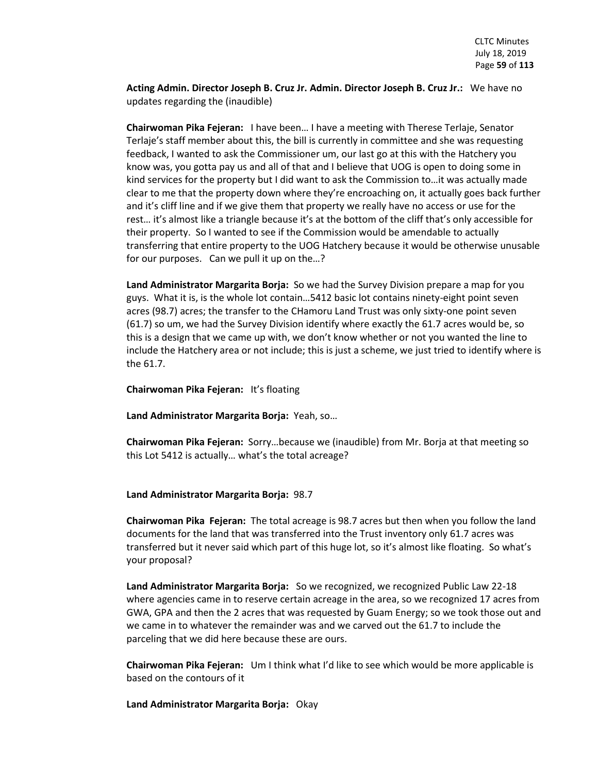**Acting Admin. Director Joseph B. Cruz Jr. Admin. Director Joseph B. Cruz Jr.:** We have no updates regarding the (inaudible)

**Chairwoman Pika Fejeran:** I have been… I have a meeting with Therese Terlaje, Senator Terlaje's staff member about this, the bill is currently in committee and she was requesting feedback, I wanted to ask the Commissioner um, our last go at this with the Hatchery you know was, you gotta pay us and all of that and I believe that UOG is open to doing some in kind services for the property but I did want to ask the Commission to…it was actually made clear to me that the property down where they're encroaching on, it actually goes back further and it's cliff line and if we give them that property we really have no access or use for the rest… it's almost like a triangle because it's at the bottom of the cliff that's only accessible for their property. So I wanted to see if the Commission would be amendable to actually transferring that entire property to the UOG Hatchery because it would be otherwise unusable for our purposes. Can we pull it up on the…?

**Land Administrator Margarita Borja:** So we had the Survey Division prepare a map for you guys. What it is, is the whole lot contain…5412 basic lot contains ninety-eight point seven acres (98.7) acres; the transfer to the CHamoru Land Trust was only sixty-one point seven (61.7) so um, we had the Survey Division identify where exactly the 61.7 acres would be, so this is a design that we came up with, we don't know whether or not you wanted the line to include the Hatchery area or not include; this is just a scheme, we just tried to identify where is the 61.7.

**Chairwoman Pika Fejeran:** It's floating

**Land Administrator Margarita Borja:** Yeah, so…

**Chairwoman Pika Fejeran:** Sorry…because we (inaudible) from Mr. Borja at that meeting so this Lot 5412 is actually… what's the total acreage?

## **Land Administrator Margarita Borja:** 98.7

**Chairwoman Pika Fejeran:** The total acreage is 98.7 acres but then when you follow the land documents for the land that was transferred into the Trust inventory only 61.7 acres was transferred but it never said which part of this huge lot, so it's almost like floating. So what's your proposal?

**Land Administrator Margarita Borja:** So we recognized, we recognized Public Law 22-18 where agencies came in to reserve certain acreage in the area, so we recognized 17 acres from GWA, GPA and then the 2 acres that was requested by Guam Energy; so we took those out and we came in to whatever the remainder was and we carved out the 61.7 to include the parceling that we did here because these are ours.

**Chairwoman Pika Fejeran:** Um I think what I'd like to see which would be more applicable is based on the contours of it

**Land Administrator Margarita Borja:** Okay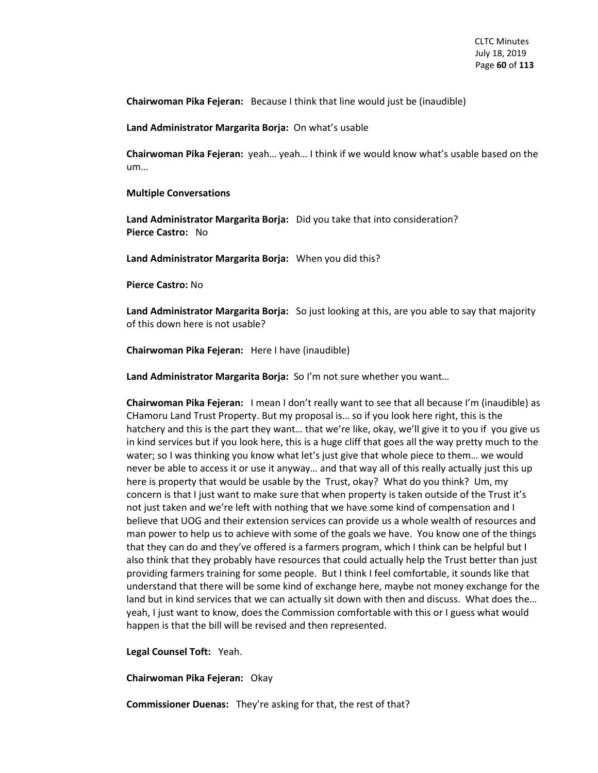**Chairwoman Pika Fejeran:** Because I think that line would just be (inaudible)

**Land Administrator Margarita Borja:** On what's usable

**Chairwoman Pika Fejeran:** yeah… yeah… I think if we would know what's usable based on the um…

#### **Multiple Conversations**

**Land Administrator Margarita Borja:** Did you take that into consideration? **Pierce Castro:** No

**Land Administrator Margarita Borja:** When you did this?

**Pierce Castro:** No

**Land Administrator Margarita Borja:** So just looking at this, are you able to say that majority of this down here is not usable?

**Chairwoman Pika Fejeran:** Here I have (inaudible)

**Land Administrator Margarita Borja:** So I'm not sure whether you want…

**Chairwoman Pika Fejeran:** I mean I don't really want to see that all because I'm (inaudible) as CHamoru Land Trust Property. But my proposal is… so if you look here right, this is the hatchery and this is the part they want... that we're like, okay, we'll give it to you if you give us in kind services but if you look here, this is a huge cliff that goes all the way pretty much to the water; so I was thinking you know what let's just give that whole piece to them… we would never be able to access it or use it anyway… and that way all of this really actually just this up here is property that would be usable by the Trust, okay? What do you think? Um, my concern is that I just want to make sure that when property is taken outside of the Trust it's not just taken and we're left with nothing that we have some kind of compensation and I believe that UOG and their extension services can provide us a whole wealth of resources and man power to help us to achieve with some of the goals we have. You know one of the things that they can do and they've offered is a farmers program, which I think can be helpful but I also think that they probably have resources that could actually help the Trust better than just providing farmers training for some people. But I think I feel comfortable, it sounds like that understand that there will be some kind of exchange here, maybe not money exchange for the land but in kind services that we can actually sit down with then and discuss. What does the… yeah, I just want to know, does the Commission comfortable with this or I guess what would happen is that the bill will be revised and then represented.

**Legal Counsel Toft:** Yeah.

**Chairwoman Pika Fejeran:** Okay

**Commissioner Duenas:** They're asking for that, the rest of that?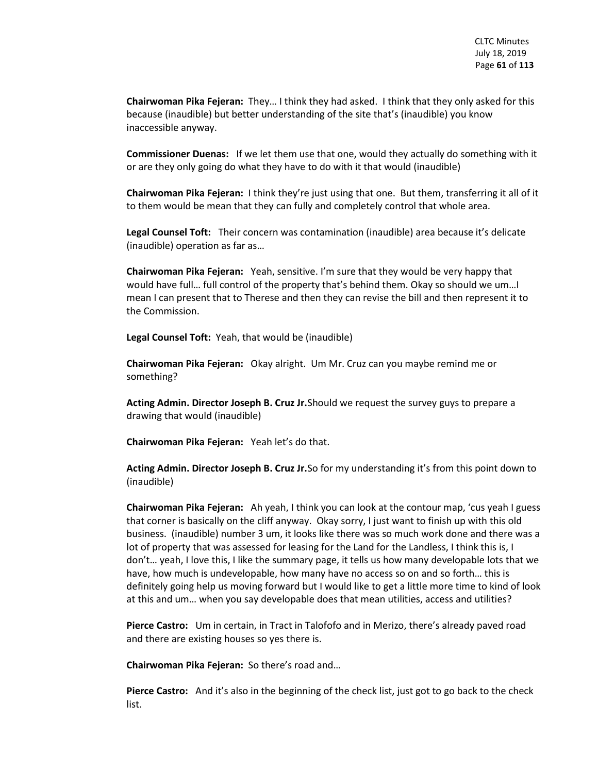**Chairwoman Pika Fejeran:** They… I think they had asked. I think that they only asked for this because (inaudible) but better understanding of the site that's (inaudible) you know inaccessible anyway.

**Commissioner Duenas:** If we let them use that one, would they actually do something with it or are they only going do what they have to do with it that would (inaudible)

**Chairwoman Pika Fejeran:** I think they're just using that one. But them, transferring it all of it to them would be mean that they can fully and completely control that whole area.

**Legal Counsel Toft:** Their concern was contamination (inaudible) area because it's delicate (inaudible) operation as far as…

**Chairwoman Pika Fejeran:** Yeah, sensitive. I'm sure that they would be very happy that would have full… full control of the property that's behind them. Okay so should we um…I mean I can present that to Therese and then they can revise the bill and then represent it to the Commission.

**Legal Counsel Toft:** Yeah, that would be (inaudible)

**Chairwoman Pika Fejeran:** Okay alright. Um Mr. Cruz can you maybe remind me or something?

**Acting Admin. Director Joseph B. Cruz Jr.**Should we request the survey guys to prepare a drawing that would (inaudible)

**Chairwoman Pika Fejeran:** Yeah let's do that.

**Acting Admin. Director Joseph B. Cruz Jr.**So for my understanding it's from this point down to (inaudible)

**Chairwoman Pika Fejeran:** Ah yeah, I think you can look at the contour map, 'cus yeah I guess that corner is basically on the cliff anyway. Okay sorry, I just want to finish up with this old business. (inaudible) number 3 um, it looks like there was so much work done and there was a lot of property that was assessed for leasing for the Land for the Landless, I think this is, I don't… yeah, I love this, I like the summary page, it tells us how many developable lots that we have, how much is undevelopable, how many have no access so on and so forth… this is definitely going help us moving forward but I would like to get a little more time to kind of look at this and um… when you say developable does that mean utilities, access and utilities?

**Pierce Castro:** Um in certain, in Tract in Talofofo and in Merizo, there's already paved road and there are existing houses so yes there is.

**Chairwoman Pika Fejeran:** So there's road and…

**Pierce Castro:** And it's also in the beginning of the check list, just got to go back to the check list.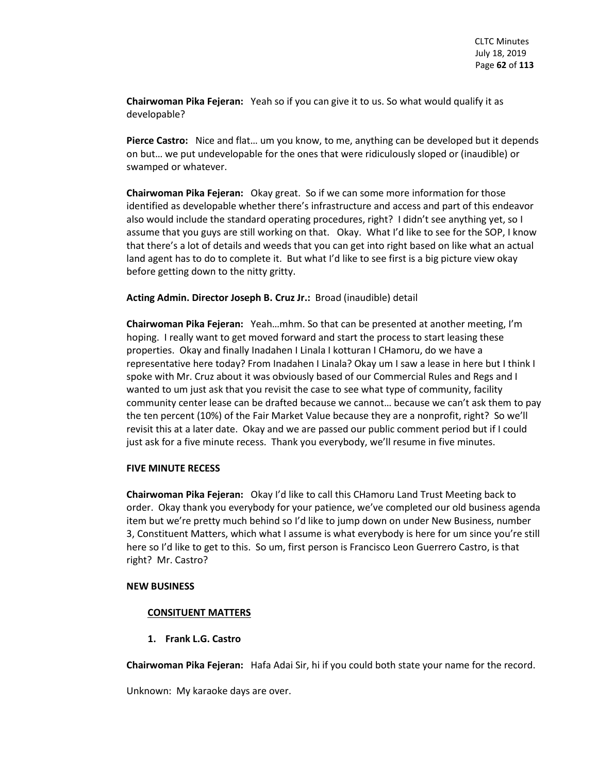**Chairwoman Pika Fejeran:** Yeah so if you can give it to us. So what would qualify it as developable?

**Pierce Castro:** Nice and flat… um you know, to me, anything can be developed but it depends on but… we put undevelopable for the ones that were ridiculously sloped or (inaudible) or swamped or whatever.

**Chairwoman Pika Fejeran:** Okay great. So if we can some more information for those identified as developable whether there's infrastructure and access and part of this endeavor also would include the standard operating procedures, right? I didn't see anything yet, so I assume that you guys are still working on that. Okay. What I'd like to see for the SOP, I know that there's a lot of details and weeds that you can get into right based on like what an actual land agent has to do to complete it. But what I'd like to see first is a big picture view okay before getting down to the nitty gritty.

# **Acting Admin. Director Joseph B. Cruz Jr.:** Broad (inaudible) detail

**Chairwoman Pika Fejeran:** Yeah…mhm. So that can be presented at another meeting, I'm hoping. I really want to get moved forward and start the process to start leasing these properties. Okay and finally Inadahen I Linala I kotturan I CHamoru, do we have a representative here today? From Inadahen I Linala? Okay um I saw a lease in here but I think I spoke with Mr. Cruz about it was obviously based of our Commercial Rules and Regs and I wanted to um just ask that you revisit the case to see what type of community, facility community center lease can be drafted because we cannot… because we can't ask them to pay the ten percent (10%) of the Fair Market Value because they are a nonprofit, right? So we'll revisit this at a later date. Okay and we are passed our public comment period but if I could just ask for a five minute recess. Thank you everybody, we'll resume in five minutes.

## **FIVE MINUTE RECESS**

**Chairwoman Pika Fejeran:** Okay I'd like to call this CHamoru Land Trust Meeting back to order. Okay thank you everybody for your patience, we've completed our old business agenda item but we're pretty much behind so I'd like to jump down on under New Business, number 3, Constituent Matters, which what I assume is what everybody is here for um since you're still here so I'd like to get to this. So um, first person is Francisco Leon Guerrero Castro, is that right? Mr. Castro?

## **NEW BUSINESS**

## **CONSITUENT MATTERS**

**1. Frank L.G. Castro**

**Chairwoman Pika Fejeran:** Hafa Adai Sir, hi if you could both state your name for the record.

Unknown: My karaoke days are over.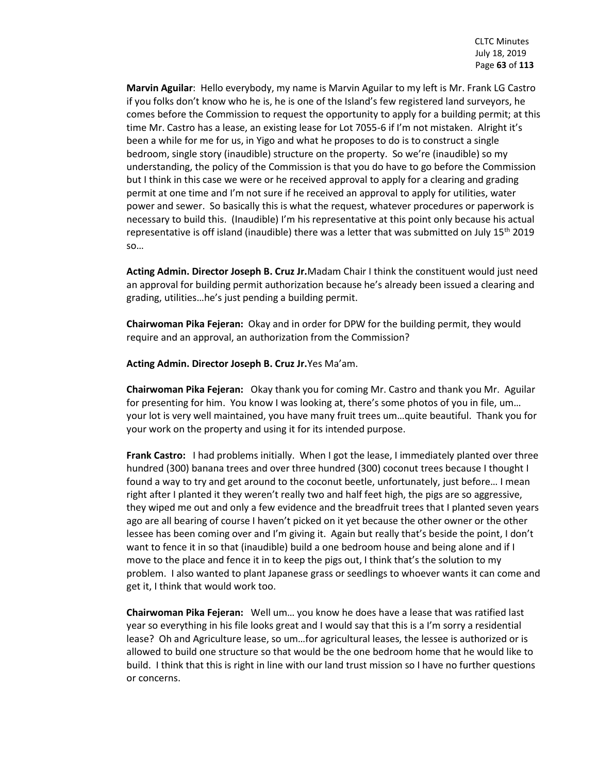**Marvin Aguilar**: Hello everybody, my name is Marvin Aguilar to my left is Mr. Frank LG Castro if you folks don't know who he is, he is one of the Island's few registered land surveyors, he comes before the Commission to request the opportunity to apply for a building permit; at this time Mr. Castro has a lease, an existing lease for Lot 7055-6 if I'm not mistaken. Alright it's been a while for me for us, in Yigo and what he proposes to do is to construct a single bedroom, single story (inaudible) structure on the property. So we're (inaudible) so my understanding, the policy of the Commission is that you do have to go before the Commission but I think in this case we were or he received approval to apply for a clearing and grading permit at one time and I'm not sure if he received an approval to apply for utilities, water power and sewer. So basically this is what the request, whatever procedures or paperwork is necessary to build this. (Inaudible) I'm his representative at this point only because his actual representative is off island (inaudible) there was a letter that was submitted on July  $15^{th}$  2019 so…

**Acting Admin. Director Joseph B. Cruz Jr.**Madam Chair I think the constituent would just need an approval for building permit authorization because he's already been issued a clearing and grading, utilities…he's just pending a building permit.

**Chairwoman Pika Fejeran:** Okay and in order for DPW for the building permit, they would require and an approval, an authorization from the Commission?

**Acting Admin. Director Joseph B. Cruz Jr.**Yes Ma'am.

**Chairwoman Pika Fejeran:** Okay thank you for coming Mr. Castro and thank you Mr. Aguilar for presenting for him. You know I was looking at, there's some photos of you in file, um… your lot is very well maintained, you have many fruit trees um…quite beautiful. Thank you for your work on the property and using it for its intended purpose.

**Frank Castro:** I had problems initially. When I got the lease, I immediately planted over three hundred (300) banana trees and over three hundred (300) coconut trees because I thought I found a way to try and get around to the coconut beetle, unfortunately, just before… I mean right after I planted it they weren't really two and half feet high, the pigs are so aggressive, they wiped me out and only a few evidence and the breadfruit trees that I planted seven years ago are all bearing of course I haven't picked on it yet because the other owner or the other lessee has been coming over and I'm giving it. Again but really that's beside the point, I don't want to fence it in so that (inaudible) build a one bedroom house and being alone and if I move to the place and fence it in to keep the pigs out, I think that's the solution to my problem. I also wanted to plant Japanese grass or seedlings to whoever wants it can come and get it, I think that would work too.

**Chairwoman Pika Fejeran:** Well um… you know he does have a lease that was ratified last year so everything in his file looks great and I would say that this is a I'm sorry a residential lease? Oh and Agriculture lease, so um…for agricultural leases, the lessee is authorized or is allowed to build one structure so that would be the one bedroom home that he would like to build. I think that this is right in line with our land trust mission so I have no further questions or concerns.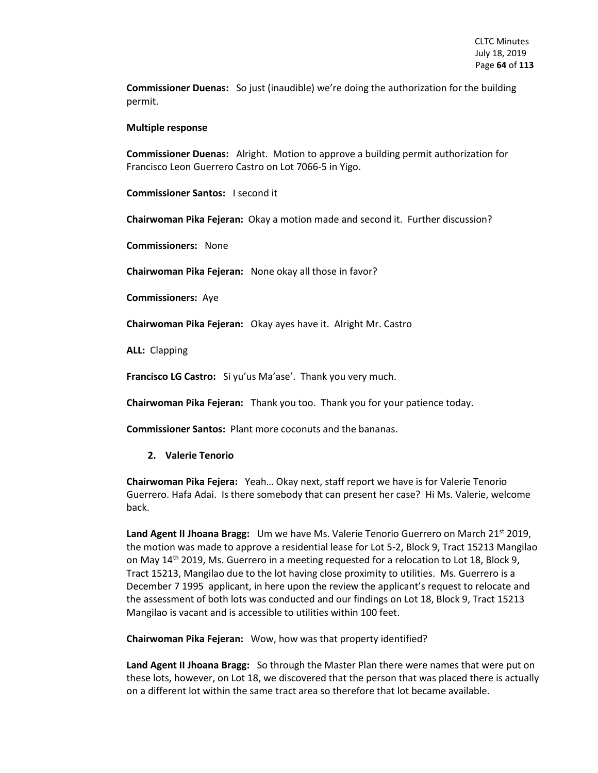**Commissioner Duenas:** So just (inaudible) we're doing the authorization for the building permit.

### **Multiple response**

**Commissioner Duenas:** Alright. Motion to approve a building permit authorization for Francisco Leon Guerrero Castro on Lot 7066-5 in Yigo.

**Commissioner Santos:** I second it

**Chairwoman Pika Fejeran:** Okay a motion made and second it. Further discussion?

**Commissioners:** None

**Chairwoman Pika Fejeran:** None okay all those in favor?

**Commissioners:** Aye

**Chairwoman Pika Fejeran:** Okay ayes have it. Alright Mr. Castro

**ALL:** Clapping

**Francisco LG Castro:** Si yu'us Ma'ase'. Thank you very much.

**Chairwoman Pika Fejeran:** Thank you too. Thank you for your patience today.

**Commissioner Santos:** Plant more coconuts and the bananas.

## **2. Valerie Tenorio**

**Chairwoman Pika Fejera:** Yeah… Okay next, staff report we have is for Valerie Tenorio Guerrero. Hafa Adai. Is there somebody that can present her case? Hi Ms. Valerie, welcome back.

Land Agent II Jhoana Bragg: Um we have Ms. Valerie Tenorio Guerrero on March 21<sup>st</sup> 2019, the motion was made to approve a residential lease for Lot 5-2, Block 9, Tract 15213 Mangilao on May 14th 2019, Ms. Guerrero in a meeting requested for a relocation to Lot 18, Block 9, Tract 15213, Mangilao due to the lot having close proximity to utilities. Ms. Guerrero is a December 7 1995 applicant, in here upon the review the applicant's request to relocate and the assessment of both lots was conducted and our findings on Lot 18, Block 9, Tract 15213 Mangilao is vacant and is accessible to utilities within 100 feet.

**Chairwoman Pika Fejeran:** Wow, how was that property identified?

**Land Agent II Jhoana Bragg:** So through the Master Plan there were names that were put on these lots, however, on Lot 18, we discovered that the person that was placed there is actually on a different lot within the same tract area so therefore that lot became available.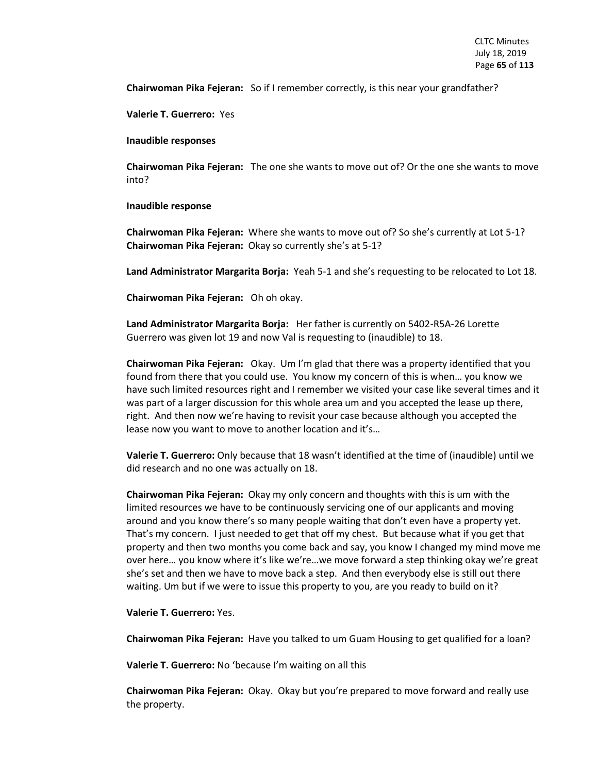**Chairwoman Pika Fejeran:** So if I remember correctly, is this near your grandfather?

**Valerie T. Guerrero:** Yes

**Inaudible responses**

**Chairwoman Pika Fejeran:** The one she wants to move out of? Or the one she wants to move into?

### **Inaudible response**

**Chairwoman Pika Fejeran:** Where she wants to move out of? So she's currently at Lot 5-1? **Chairwoman Pika Fejeran:** Okay so currently she's at 5-1?

**Land Administrator Margarita Borja:** Yeah 5-1 and she's requesting to be relocated to Lot 18.

**Chairwoman Pika Fejeran:** Oh oh okay.

**Land Administrator Margarita Borja:** Her father is currently on 5402-R5A-26 Lorette Guerrero was given lot 19 and now Val is requesting to (inaudible) to 18.

**Chairwoman Pika Fejeran:** Okay. Um I'm glad that there was a property identified that you found from there that you could use. You know my concern of this is when… you know we have such limited resources right and I remember we visited your case like several times and it was part of a larger discussion for this whole area um and you accepted the lease up there, right. And then now we're having to revisit your case because although you accepted the lease now you want to move to another location and it's…

**Valerie T. Guerrero:** Only because that 18 wasn't identified at the time of (inaudible) until we did research and no one was actually on 18.

**Chairwoman Pika Fejeran:** Okay my only concern and thoughts with this is um with the limited resources we have to be continuously servicing one of our applicants and moving around and you know there's so many people waiting that don't even have a property yet. That's my concern. I just needed to get that off my chest. But because what if you get that property and then two months you come back and say, you know I changed my mind move me over here… you know where it's like we're…we move forward a step thinking okay we're great she's set and then we have to move back a step. And then everybody else is still out there waiting. Um but if we were to issue this property to you, are you ready to build on it?

**Valerie T. Guerrero:** Yes.

**Chairwoman Pika Fejeran:** Have you talked to um Guam Housing to get qualified for a loan?

**Valerie T. Guerrero:** No 'because I'm waiting on all this

**Chairwoman Pika Fejeran:** Okay. Okay but you're prepared to move forward and really use the property.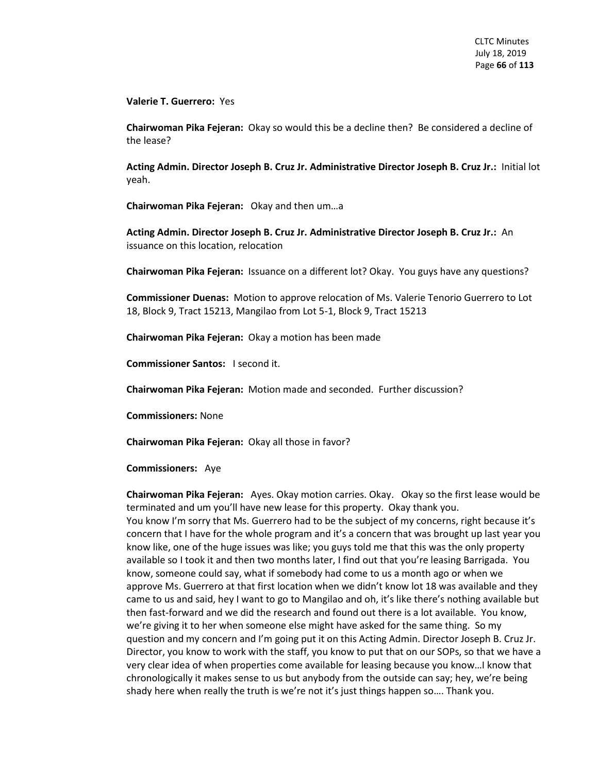**Valerie T. Guerrero:** Yes

**Chairwoman Pika Fejeran:** Okay so would this be a decline then? Be considered a decline of the lease?

**Acting Admin. Director Joseph B. Cruz Jr. Administrative Director Joseph B. Cruz Jr.:** Initial lot yeah.

**Chairwoman Pika Fejeran:** Okay and then um…a

**Acting Admin. Director Joseph B. Cruz Jr. Administrative Director Joseph B. Cruz Jr.:** An issuance on this location, relocation

**Chairwoman Pika Fejeran:** Issuance on a different lot? Okay. You guys have any questions?

**Commissioner Duenas:** Motion to approve relocation of Ms. Valerie Tenorio Guerrero to Lot 18, Block 9, Tract 15213, Mangilao from Lot 5-1, Block 9, Tract 15213

**Chairwoman Pika Fejeran:** Okay a motion has been made

**Commissioner Santos:** I second it.

**Chairwoman Pika Fejeran:** Motion made and seconded. Further discussion?

**Commissioners:** None

**Chairwoman Pika Fejeran:** Okay all those in favor?

#### **Commissioners:** Aye

**Chairwoman Pika Fejeran:** Ayes. Okay motion carries. Okay. Okay so the first lease would be terminated and um you'll have new lease for this property. Okay thank you.

You know I'm sorry that Ms. Guerrero had to be the subject of my concerns, right because it's concern that I have for the whole program and it's a concern that was brought up last year you know like, one of the huge issues was like; you guys told me that this was the only property available so I took it and then two months later, I find out that you're leasing Barrigada. You know, someone could say, what if somebody had come to us a month ago or when we approve Ms. Guerrero at that first location when we didn't know lot 18 was available and they came to us and said, hey I want to go to Mangilao and oh, it's like there's nothing available but then fast-forward and we did the research and found out there is a lot available. You know, we're giving it to her when someone else might have asked for the same thing. So my question and my concern and I'm going put it on this Acting Admin. Director Joseph B. Cruz Jr. Director, you know to work with the staff, you know to put that on our SOPs, so that we have a very clear idea of when properties come available for leasing because you know…I know that chronologically it makes sense to us but anybody from the outside can say; hey, we're being shady here when really the truth is we're not it's just things happen so…. Thank you.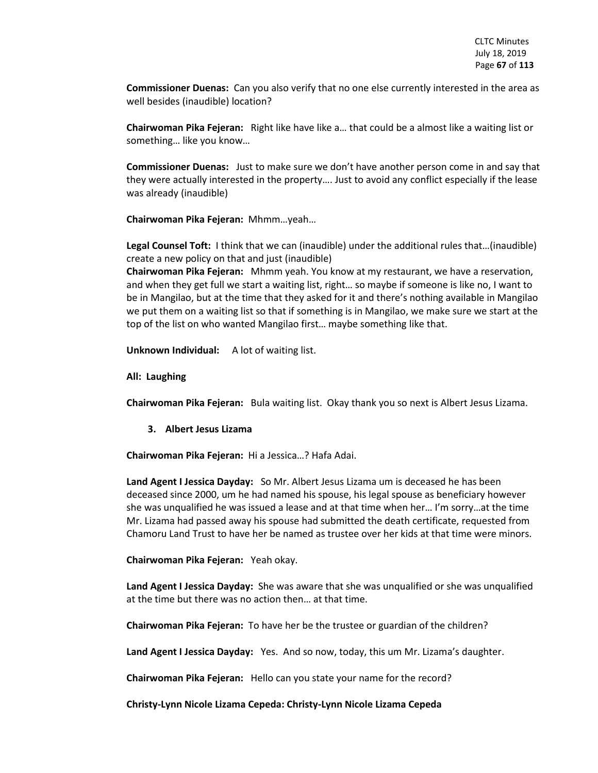**Commissioner Duenas:** Can you also verify that no one else currently interested in the area as well besides (inaudible) location?

**Chairwoman Pika Fejeran:** Right like have like a… that could be a almost like a waiting list or something… like you know…

**Commissioner Duenas:** Just to make sure we don't have another person come in and say that they were actually interested in the property…. Just to avoid any conflict especially if the lease was already (inaudible)

**Chairwoman Pika Fejeran:** Mhmm…yeah…

**Legal Counsel Toft:** I think that we can (inaudible) under the additional rules that…(inaudible) create a new policy on that and just (inaudible)

**Chairwoman Pika Fejeran:** Mhmm yeah. You know at my restaurant, we have a reservation, and when they get full we start a waiting list, right… so maybe if someone is like no, I want to be in Mangilao, but at the time that they asked for it and there's nothing available in Mangilao we put them on a waiting list so that if something is in Mangilao, we make sure we start at the top of the list on who wanted Mangilao first… maybe something like that.

**Unknown Individual:** A lot of waiting list.

**All: Laughing** 

**Chairwoman Pika Fejeran:** Bula waiting list. Okay thank you so next is Albert Jesus Lizama.

## **3. Albert Jesus Lizama**

**Chairwoman Pika Fejeran:** Hi a Jessica…? Hafa Adai.

**Land Agent I Jessica Dayday:** So Mr. Albert Jesus Lizama um is deceased he has been deceased since 2000, um he had named his spouse, his legal spouse as beneficiary however she was unqualified he was issued a lease and at that time when her… I'm sorry…at the time Mr. Lizama had passed away his spouse had submitted the death certificate, requested from Chamoru Land Trust to have her be named as trustee over her kids at that time were minors.

**Chairwoman Pika Fejeran:** Yeah okay.

**Land Agent I Jessica Dayday:** She was aware that she was unqualified or she was unqualified at the time but there was no action then… at that time.

**Chairwoman Pika Fejeran:** To have her be the trustee or guardian of the children?

**Land Agent I Jessica Dayday:** Yes. And so now, today, this um Mr. Lizama's daughter.

**Chairwoman Pika Fejeran:** Hello can you state your name for the record?

**Christy-Lynn Nicole Lizama Cepeda: Christy-Lynn Nicole Lizama Cepeda**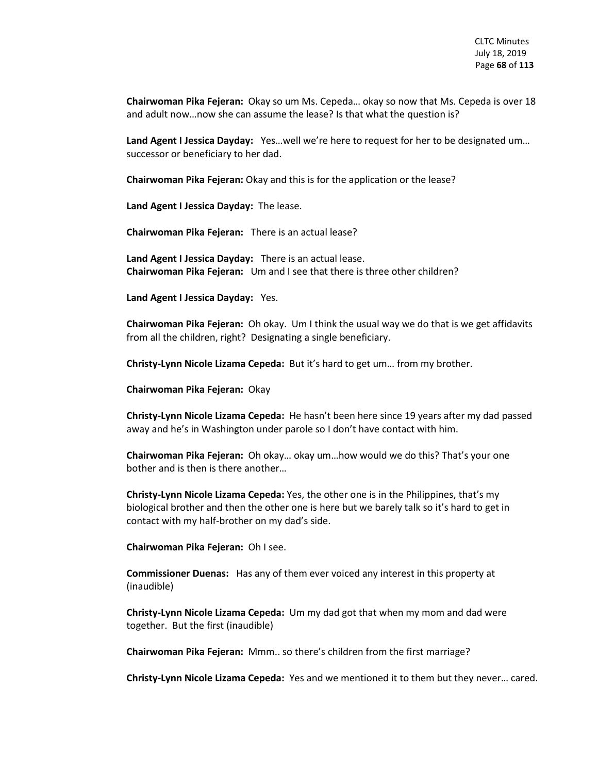**Chairwoman Pika Fejeran:** Okay so um Ms. Cepeda… okay so now that Ms. Cepeda is over 18 and adult now…now she can assume the lease? Is that what the question is?

**Land Agent I Jessica Dayday:** Yes…well we're here to request for her to be designated um… successor or beneficiary to her dad.

**Chairwoman Pika Fejeran:** Okay and this is for the application or the lease?

**Land Agent I Jessica Dayday:** The lease.

**Chairwoman Pika Fejeran:** There is an actual lease?

**Land Agent I Jessica Dayday:** There is an actual lease. **Chairwoman Pika Fejeran:** Um and I see that there is three other children?

**Land Agent I Jessica Dayday:** Yes.

**Chairwoman Pika Fejeran:** Oh okay. Um I think the usual way we do that is we get affidavits from all the children, right? Designating a single beneficiary.

**Christy-Lynn Nicole Lizama Cepeda:** But it's hard to get um… from my brother.

**Chairwoman Pika Fejeran:** Okay

**Christy-Lynn Nicole Lizama Cepeda:** He hasn't been here since 19 years after my dad passed away and he's in Washington under parole so I don't have contact with him.

**Chairwoman Pika Fejeran:** Oh okay… okay um…how would we do this? That's your one bother and is then is there another…

**Christy-Lynn Nicole Lizama Cepeda:** Yes, the other one is in the Philippines, that's my biological brother and then the other one is here but we barely talk so it's hard to get in contact with my half-brother on my dad's side.

**Chairwoman Pika Fejeran:** Oh I see.

**Commissioner Duenas:** Has any of them ever voiced any interest in this property at (inaudible)

**Christy-Lynn Nicole Lizama Cepeda:** Um my dad got that when my mom and dad were together. But the first (inaudible)

**Chairwoman Pika Fejeran:** Mmm.. so there's children from the first marriage?

**Christy-Lynn Nicole Lizama Cepeda:** Yes and we mentioned it to them but they never… cared.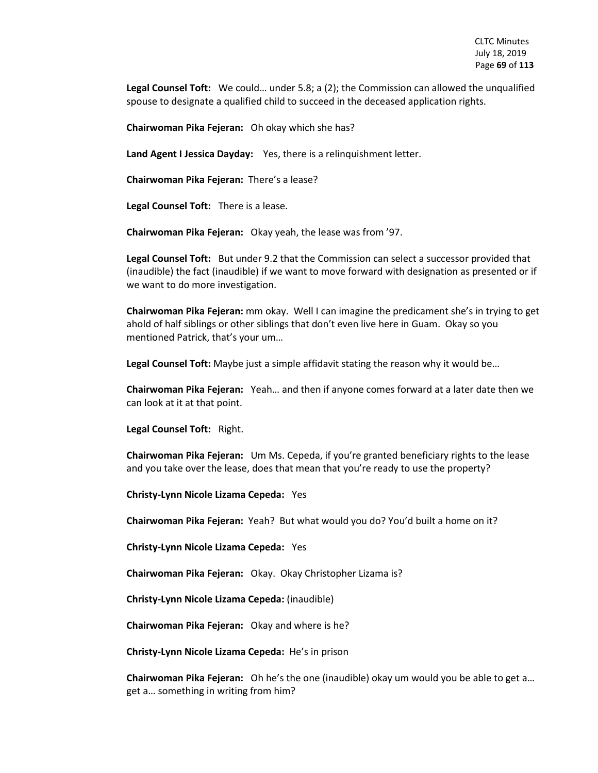**Legal Counsel Toft:** We could… under 5.8; a (2); the Commission can allowed the unqualified spouse to designate a qualified child to succeed in the deceased application rights.

**Chairwoman Pika Fejeran:** Oh okay which she has?

**Land Agent I Jessica Dayday:** Yes, there is a relinquishment letter.

**Chairwoman Pika Fejeran:** There's a lease?

**Legal Counsel Toft:** There is a lease.

**Chairwoman Pika Fejeran:** Okay yeah, the lease was from '97.

**Legal Counsel Toft:** But under 9.2 that the Commission can select a successor provided that (inaudible) the fact (inaudible) if we want to move forward with designation as presented or if we want to do more investigation.

**Chairwoman Pika Fejeran:** mm okay. Well I can imagine the predicament she's in trying to get ahold of half siblings or other siblings that don't even live here in Guam. Okay so you mentioned Patrick, that's your um…

**Legal Counsel Toft:** Maybe just a simple affidavit stating the reason why it would be…

**Chairwoman Pika Fejeran:** Yeah… and then if anyone comes forward at a later date then we can look at it at that point.

**Legal Counsel Toft:** Right.

**Chairwoman Pika Fejeran:** Um Ms. Cepeda, if you're granted beneficiary rights to the lease and you take over the lease, does that mean that you're ready to use the property?

**Christy-Lynn Nicole Lizama Cepeda:** Yes

**Chairwoman Pika Fejeran:** Yeah? But what would you do? You'd built a home on it?

**Christy-Lynn Nicole Lizama Cepeda:** Yes

**Chairwoman Pika Fejeran:** Okay. Okay Christopher Lizama is?

**Christy-Lynn Nicole Lizama Cepeda:** (inaudible)

**Chairwoman Pika Fejeran:** Okay and where is he?

**Christy-Lynn Nicole Lizama Cepeda:** He's in prison

**Chairwoman Pika Fejeran:** Oh he's the one (inaudible) okay um would you be able to get a… get a… something in writing from him?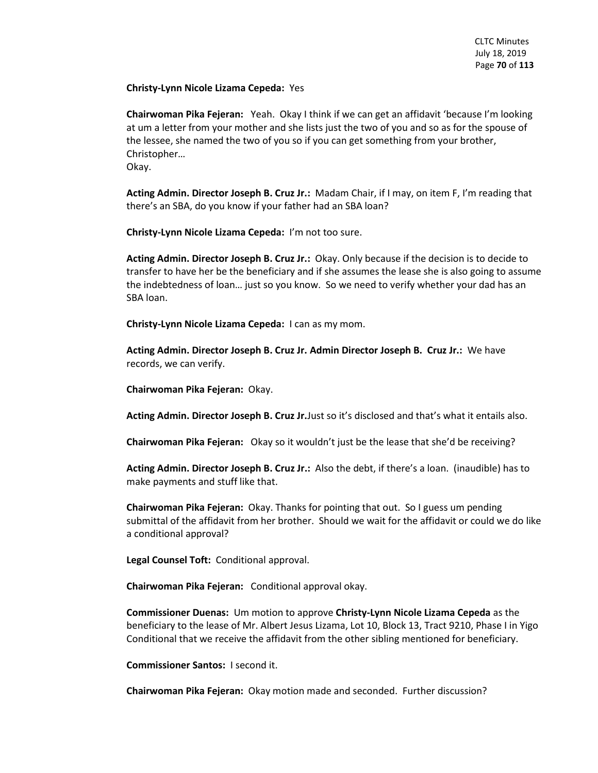**Christy-Lynn Nicole Lizama Cepeda:** Yes

**Chairwoman Pika Fejeran:** Yeah. Okay I think if we can get an affidavit 'because I'm looking at um a letter from your mother and she lists just the two of you and so as for the spouse of the lessee, she named the two of you so if you can get something from your brother, Christopher…

Okay.

**Acting Admin. Director Joseph B. Cruz Jr.:** Madam Chair, if I may, on item F, I'm reading that there's an SBA, do you know if your father had an SBA loan?

**Christy-Lynn Nicole Lizama Cepeda:** I'm not too sure.

**Acting Admin. Director Joseph B. Cruz Jr.:** Okay. Only because if the decision is to decide to transfer to have her be the beneficiary and if she assumes the lease she is also going to assume the indebtedness of loan… just so you know. So we need to verify whether your dad has an SBA loan.

**Christy-Lynn Nicole Lizama Cepeda:** I can as my mom.

**Acting Admin. Director Joseph B. Cruz Jr. Admin Director Joseph B. Cruz Jr.:** We have records, we can verify.

**Chairwoman Pika Fejeran:** Okay.

**Acting Admin. Director Joseph B. Cruz Jr.**Just so it's disclosed and that's what it entails also.

**Chairwoman Pika Fejeran:** Okay so it wouldn't just be the lease that she'd be receiving?

**Acting Admin. Director Joseph B. Cruz Jr.:** Also the debt, if there's a loan. (inaudible) has to make payments and stuff like that.

**Chairwoman Pika Fejeran:** Okay. Thanks for pointing that out. So I guess um pending submittal of the affidavit from her brother. Should we wait for the affidavit or could we do like a conditional approval?

**Legal Counsel Toft:** Conditional approval.

**Chairwoman Pika Fejeran:** Conditional approval okay.

**Commissioner Duenas:** Um motion to approve **Christy-Lynn Nicole Lizama Cepeda** as the beneficiary to the lease of Mr. Albert Jesus Lizama, Lot 10, Block 13, Tract 9210, Phase I in Yigo Conditional that we receive the affidavit from the other sibling mentioned for beneficiary.

**Commissioner Santos:** I second it.

**Chairwoman Pika Fejeran:** Okay motion made and seconded. Further discussion?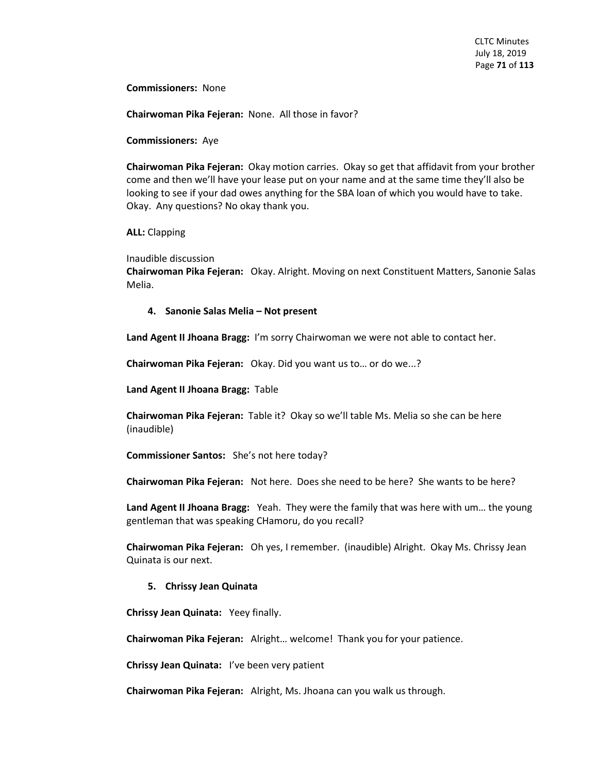**Commissioners:** None

**Chairwoman Pika Fejeran:** None. All those in favor?

**Commissioners:** Aye

**Chairwoman Pika Fejeran:** Okay motion carries. Okay so get that affidavit from your brother come and then we'll have your lease put on your name and at the same time they'll also be looking to see if your dad owes anything for the SBA loan of which you would have to take. Okay. Any questions? No okay thank you.

**ALL:** Clapping

Inaudible discussion

**Chairwoman Pika Fejeran:** Okay. Alright. Moving on next Constituent Matters, Sanonie Salas Melia.

### **4. Sanonie Salas Melia – Not present**

**Land Agent II Jhoana Bragg:** I'm sorry Chairwoman we were not able to contact her.

**Chairwoman Pika Fejeran:** Okay. Did you want us to… or do we...?

**Land Agent II Jhoana Bragg:** Table

**Chairwoman Pika Fejeran:** Table it? Okay so we'll table Ms. Melia so she can be here (inaudible)

**Commissioner Santos:** She's not here today?

**Chairwoman Pika Fejeran:** Not here. Does she need to be here? She wants to be here?

**Land Agent II Jhoana Bragg:** Yeah. They were the family that was here with um… the young gentleman that was speaking CHamoru, do you recall?

**Chairwoman Pika Fejeran:** Oh yes, I remember. (inaudible) Alright. Okay Ms. Chrissy Jean Quinata is our next.

## **5. Chrissy Jean Quinata**

**Chrissy Jean Quinata:** Yeey finally.

**Chairwoman Pika Fejeran:** Alright… welcome! Thank you for your patience.

**Chrissy Jean Quinata:** I've been very patient

**Chairwoman Pika Fejeran:** Alright, Ms. Jhoana can you walk us through.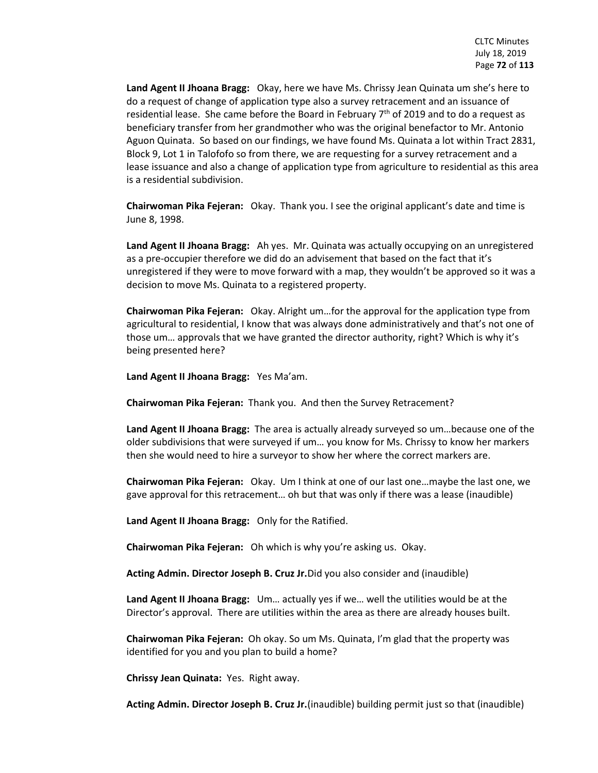**Land Agent II Jhoana Bragg:** Okay, here we have Ms. Chrissy Jean Quinata um she's here to do a request of change of application type also a survey retracement and an issuance of residential lease. She came before the Board in February  $7<sup>th</sup>$  of 2019 and to do a request as beneficiary transfer from her grandmother who was the original benefactor to Mr. Antonio Aguon Quinata. So based on our findings, we have found Ms. Quinata a lot within Tract 2831, Block 9, Lot 1 in Talofofo so from there, we are requesting for a survey retracement and a lease issuance and also a change of application type from agriculture to residential as this area is a residential subdivision.

**Chairwoman Pika Fejeran:** Okay. Thank you. I see the original applicant's date and time is June 8, 1998.

**Land Agent II Jhoana Bragg:** Ah yes. Mr. Quinata was actually occupying on an unregistered as a pre-occupier therefore we did do an advisement that based on the fact that it's unregistered if they were to move forward with a map, they wouldn't be approved so it was a decision to move Ms. Quinata to a registered property.

**Chairwoman Pika Fejeran:** Okay. Alright um…for the approval for the application type from agricultural to residential, I know that was always done administratively and that's not one of those um… approvals that we have granted the director authority, right? Which is why it's being presented here?

**Land Agent II Jhoana Bragg:** Yes Ma'am.

**Chairwoman Pika Fejeran:** Thank you. And then the Survey Retracement?

**Land Agent II Jhoana Bragg:** The area is actually already surveyed so um…because one of the older subdivisions that were surveyed if um… you know for Ms. Chrissy to know her markers then she would need to hire a surveyor to show her where the correct markers are.

**Chairwoman Pika Fejeran:** Okay. Um I think at one of our last one…maybe the last one, we gave approval for this retracement… oh but that was only if there was a lease (inaudible)

**Land Agent II Jhoana Bragg:** Only for the Ratified.

**Chairwoman Pika Fejeran:** Oh which is why you're asking us. Okay.

**Acting Admin. Director Joseph B. Cruz Jr.**Did you also consider and (inaudible)

**Land Agent II Jhoana Bragg:** Um… actually yes if we… well the utilities would be at the Director's approval. There are utilities within the area as there are already houses built.

**Chairwoman Pika Fejeran:** Oh okay. So um Ms. Quinata, I'm glad that the property was identified for you and you plan to build a home?

**Chrissy Jean Quinata:** Yes. Right away.

**Acting Admin. Director Joseph B. Cruz Jr.**(inaudible) building permit just so that (inaudible)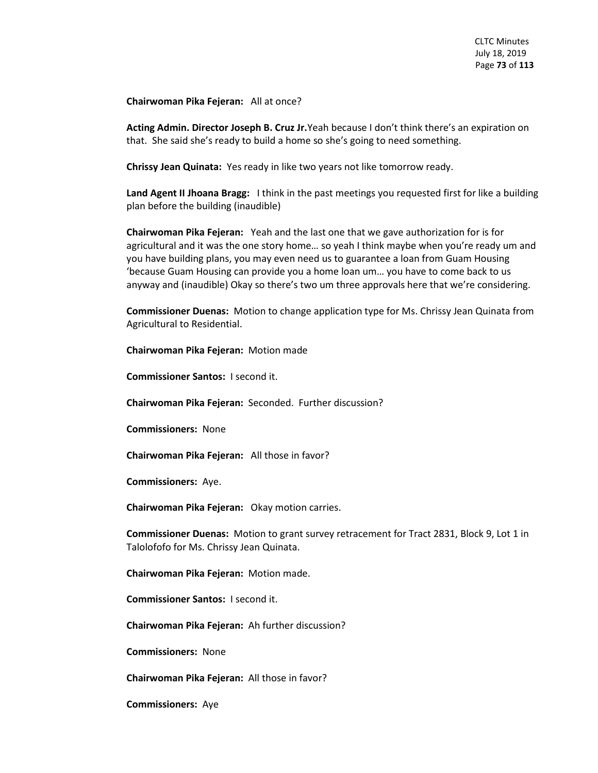**Chairwoman Pika Fejeran:** All at once?

**Acting Admin. Director Joseph B. Cruz Jr.**Yeah because I don't think there's an expiration on that. She said she's ready to build a home so she's going to need something.

**Chrissy Jean Quinata:** Yes ready in like two years not like tomorrow ready.

**Land Agent II Jhoana Bragg:** I think in the past meetings you requested first for like a building plan before the building (inaudible)

**Chairwoman Pika Fejeran:** Yeah and the last one that we gave authorization for is for agricultural and it was the one story home… so yeah I think maybe when you're ready um and you have building plans, you may even need us to guarantee a loan from Guam Housing 'because Guam Housing can provide you a home loan um… you have to come back to us anyway and (inaudible) Okay so there's two um three approvals here that we're considering.

**Commissioner Duenas:** Motion to change application type for Ms. Chrissy Jean Quinata from Agricultural to Residential.

**Chairwoman Pika Fejeran:** Motion made

**Commissioner Santos:** I second it.

**Chairwoman Pika Fejeran:** Seconded. Further discussion?

**Commissioners:** None

**Chairwoman Pika Fejeran:** All those in favor?

**Commissioners:** Aye.

**Chairwoman Pika Fejeran:** Okay motion carries.

**Commissioner Duenas:** Motion to grant survey retracement for Tract 2831, Block 9, Lot 1 in Talolofofo for Ms. Chrissy Jean Quinata.

**Chairwoman Pika Fejeran:** Motion made.

**Commissioner Santos:** I second it.

**Chairwoman Pika Fejeran:** Ah further discussion?

**Commissioners:** None

**Chairwoman Pika Fejeran:** All those in favor?

**Commissioners:** Aye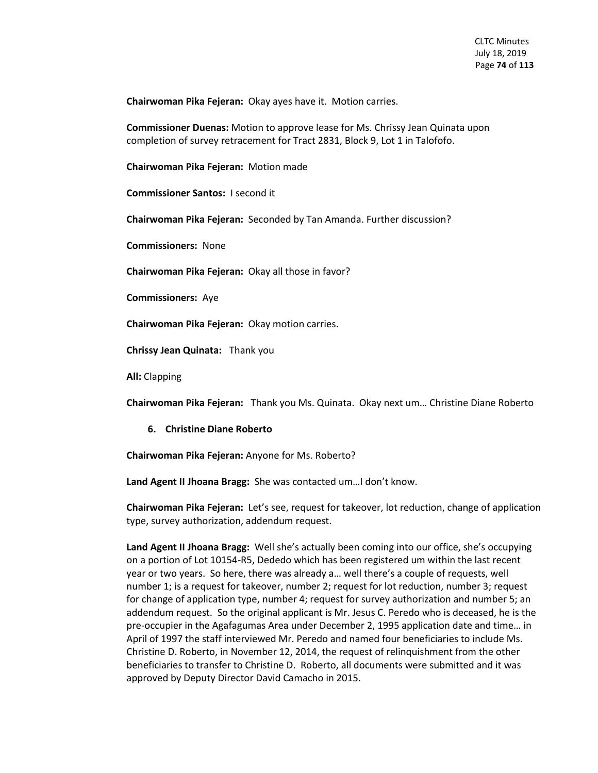**Chairwoman Pika Fejeran:** Okay ayes have it. Motion carries.

**Commissioner Duenas:** Motion to approve lease for Ms. Chrissy Jean Quinata upon completion of survey retracement for Tract 2831, Block 9, Lot 1 in Talofofo.

**Chairwoman Pika Fejeran:** Motion made

**Commissioner Santos:** I second it

**Chairwoman Pika Fejeran:** Seconded by Tan Amanda. Further discussion?

**Commissioners:** None

**Chairwoman Pika Fejeran:** Okay all those in favor?

**Commissioners:** Aye

**Chairwoman Pika Fejeran:** Okay motion carries.

**Chrissy Jean Quinata:** Thank you

**All:** Clapping

**Chairwoman Pika Fejeran:** Thank you Ms. Quinata. Okay next um… Christine Diane Roberto

#### **6. Christine Diane Roberto**

**Chairwoman Pika Fejeran:** Anyone for Ms. Roberto?

**Land Agent II Jhoana Bragg:** She was contacted um…I don't know.

**Chairwoman Pika Fejeran:** Let's see, request for takeover, lot reduction, change of application type, survey authorization, addendum request.

**Land Agent II Jhoana Bragg:** Well she's actually been coming into our office, she's occupying on a portion of Lot 10154-R5, Dededo which has been registered um within the last recent year or two years. So here, there was already a… well there's a couple of requests, well number 1; is a request for takeover, number 2; request for lot reduction, number 3; request for change of application type, number 4; request for survey authorization and number 5; an addendum request. So the original applicant is Mr. Jesus C. Peredo who is deceased, he is the pre-occupier in the Agafagumas Area under December 2, 1995 application date and time… in April of 1997 the staff interviewed Mr. Peredo and named four beneficiaries to include Ms. Christine D. Roberto, in November 12, 2014, the request of relinquishment from the other beneficiaries to transfer to Christine D. Roberto, all documents were submitted and it was approved by Deputy Director David Camacho in 2015.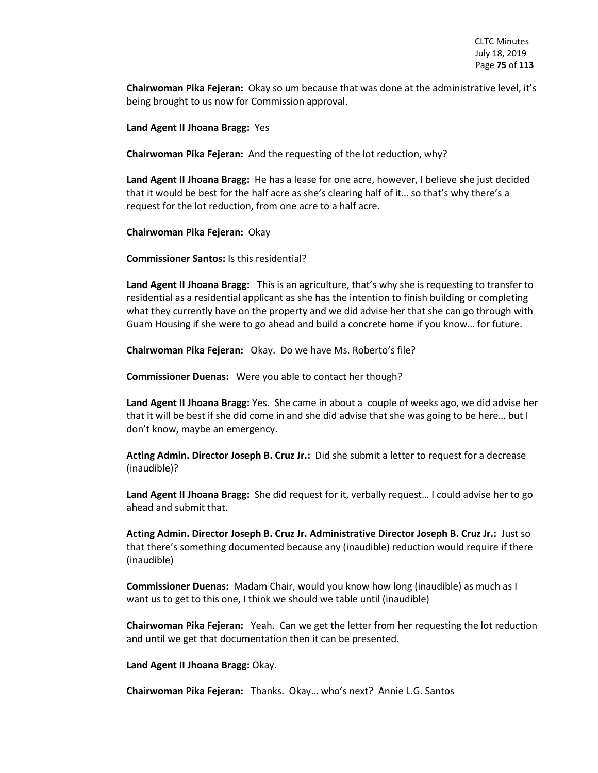**Chairwoman Pika Fejeran:** Okay so um because that was done at the administrative level, it's being brought to us now for Commission approval.

**Land Agent II Jhoana Bragg:** Yes

**Chairwoman Pika Fejeran:** And the requesting of the lot reduction, why?

**Land Agent II Jhoana Bragg:** He has a lease for one acre, however, I believe she just decided that it would be best for the half acre as she's clearing half of it… so that's why there's a request for the lot reduction, from one acre to a half acre.

**Chairwoman Pika Fejeran:** Okay

**Commissioner Santos:** Is this residential?

**Land Agent II Jhoana Bragg:** This is an agriculture, that's why she is requesting to transfer to residential as a residential applicant as she has the intention to finish building or completing what they currently have on the property and we did advise her that she can go through with Guam Housing if she were to go ahead and build a concrete home if you know… for future.

**Chairwoman Pika Fejeran:** Okay. Do we have Ms. Roberto's file?

**Commissioner Duenas:** Were you able to contact her though?

**Land Agent II Jhoana Bragg:** Yes. She came in about a couple of weeks ago, we did advise her that it will be best if she did come in and she did advise that she was going to be here… but I don't know, maybe an emergency.

**Acting Admin. Director Joseph B. Cruz Jr.:** Did she submit a letter to request for a decrease (inaudible)?

**Land Agent II Jhoana Bragg:** She did request for it, verbally request… I could advise her to go ahead and submit that.

**Acting Admin. Director Joseph B. Cruz Jr. Administrative Director Joseph B. Cruz Jr.:** Just so that there's something documented because any (inaudible) reduction would require if there (inaudible)

**Commissioner Duenas:** Madam Chair, would you know how long (inaudible) as much as I want us to get to this one, I think we should we table until (inaudible)

**Chairwoman Pika Fejeran:** Yeah. Can we get the letter from her requesting the lot reduction and until we get that documentation then it can be presented.

**Land Agent II Jhoana Bragg:** Okay.

**Chairwoman Pika Fejeran:** Thanks. Okay… who's next? Annie L.G. Santos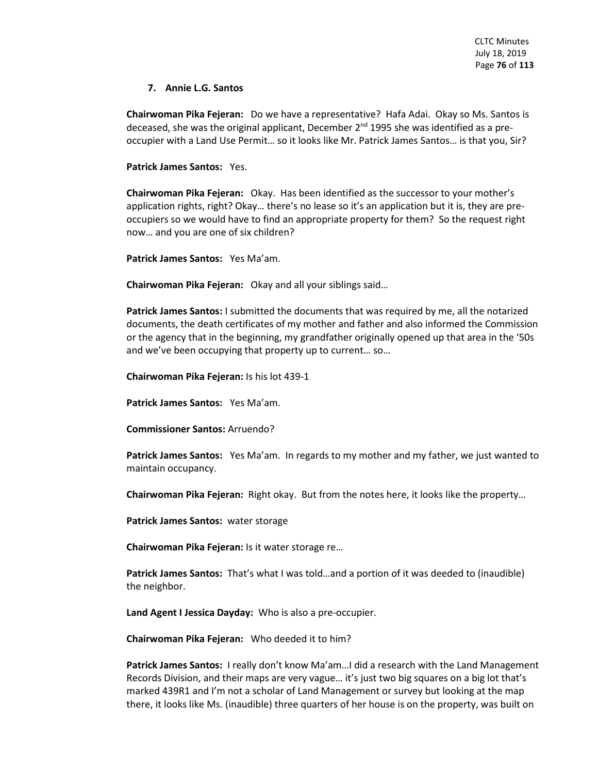# **7. Annie L.G. Santos**

**Chairwoman Pika Fejeran:** Do we have a representative? Hafa Adai. Okay so Ms. Santos is deceased, she was the original applicant, December 2<sup>nd</sup> 1995 she was identified as a preoccupier with a Land Use Permit… so it looks like Mr. Patrick James Santos… is that you, Sir?

**Patrick James Santos:** Yes.

**Chairwoman Pika Fejeran:** Okay. Has been identified as the successor to your mother's application rights, right? Okay… there's no lease so it's an application but it is, they are preoccupiers so we would have to find an appropriate property for them? So the request right now… and you are one of six children?

**Patrick James Santos:** Yes Ma'am.

**Chairwoman Pika Fejeran:** Okay and all your siblings said…

**Patrick James Santos:** I submitted the documents that was required by me, all the notarized documents, the death certificates of my mother and father and also informed the Commission or the agency that in the beginning, my grandfather originally opened up that area in the '50s and we've been occupying that property up to current… so…

**Chairwoman Pika Fejeran:** Is his lot 439-1

**Patrick James Santos:** Yes Ma'am.

**Commissioner Santos:** Arruendo?

**Patrick James Santos:** Yes Ma'am. In regards to my mother and my father, we just wanted to maintain occupancy.

**Chairwoman Pika Fejeran:** Right okay. But from the notes here, it looks like the property…

**Patrick James Santos:** water storage

**Chairwoman Pika Fejeran:** Is it water storage re…

**Patrick James Santos:** That's what I was told…and a portion of it was deeded to (inaudible) the neighbor.

**Land Agent I Jessica Dayday:** Who is also a pre-occupier.

**Chairwoman Pika Fejeran:** Who deeded it to him?

**Patrick James Santos:** I really don't know Ma'am…I did a research with the Land Management Records Division, and their maps are very vague… it's just two big squares on a big lot that's marked 439R1 and I'm not a scholar of Land Management or survey but looking at the map there, it looks like Ms. (inaudible) three quarters of her house is on the property, was built on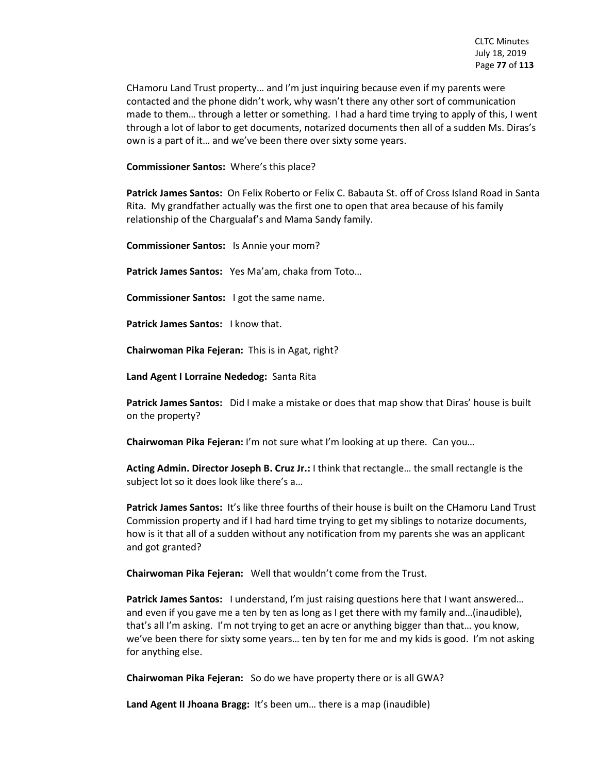CHamoru Land Trust property… and I'm just inquiring because even if my parents were contacted and the phone didn't work, why wasn't there any other sort of communication made to them… through a letter or something. I had a hard time trying to apply of this, I went through a lot of labor to get documents, notarized documents then all of a sudden Ms. Diras's own is a part of it… and we've been there over sixty some years.

**Commissioner Santos:** Where's this place?

**Patrick James Santos:** On Felix Roberto or Felix C. Babauta St. off of Cross Island Road in Santa Rita. My grandfather actually was the first one to open that area because of his family relationship of the Chargualaf's and Mama Sandy family.

**Commissioner Santos:** Is Annie your mom?

**Patrick James Santos:** Yes Ma'am, chaka from Toto…

**Commissioner Santos:** I got the same name.

**Patrick James Santos:** I know that.

**Chairwoman Pika Fejeran:** This is in Agat, right?

**Land Agent I Lorraine Nededog:** Santa Rita

**Patrick James Santos:** Did I make a mistake or does that map show that Diras' house is built on the property?

**Chairwoman Pika Fejeran:** I'm not sure what I'm looking at up there. Can you…

**Acting Admin. Director Joseph B. Cruz Jr.:** I think that rectangle… the small rectangle is the subject lot so it does look like there's a…

**Patrick James Santos:** It's like three fourths of their house is built on the CHamoru Land Trust Commission property and if I had hard time trying to get my siblings to notarize documents, how is it that all of a sudden without any notification from my parents she was an applicant and got granted?

**Chairwoman Pika Fejeran:** Well that wouldn't come from the Trust.

**Patrick James Santos:** I understand, I'm just raising questions here that I want answered... and even if you gave me a ten by ten as long as I get there with my family and…(inaudible), that's all I'm asking. I'm not trying to get an acre or anything bigger than that… you know, we've been there for sixty some years… ten by ten for me and my kids is good. I'm not asking for anything else.

**Chairwoman Pika Fejeran:** So do we have property there or is all GWA?

**Land Agent II Jhoana Bragg:** It's been um… there is a map (inaudible)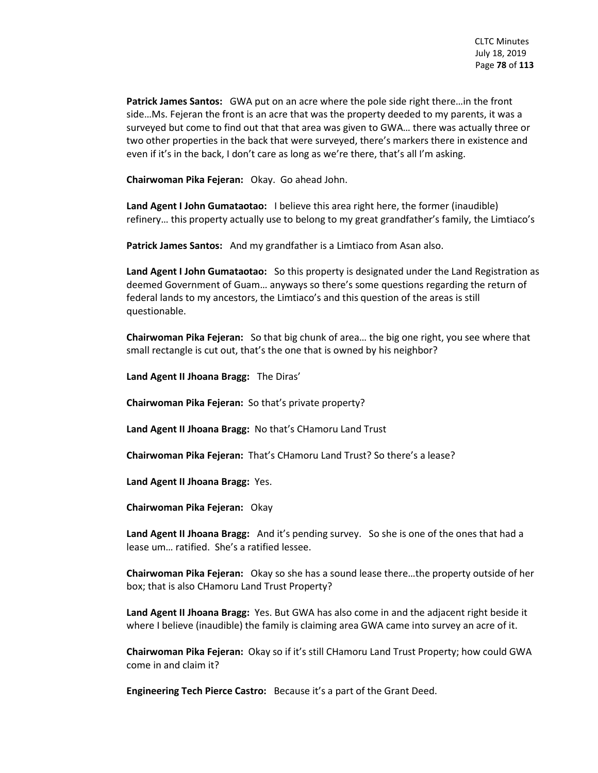**Patrick James Santos:** GWA put on an acre where the pole side right there…in the front side…Ms. Fejeran the front is an acre that was the property deeded to my parents, it was a surveyed but come to find out that that area was given to GWA… there was actually three or two other properties in the back that were surveyed, there's markers there in existence and even if it's in the back, I don't care as long as we're there, that's all I'm asking.

**Chairwoman Pika Fejeran:** Okay. Go ahead John.

**Land Agent I John Gumataotao:** I believe this area right here, the former (inaudible) refinery… this property actually use to belong to my great grandfather's family, the Limtiaco's

**Patrick James Santos:** And my grandfather is a Limtiaco from Asan also.

**Land Agent I John Gumataotao:** So this property is designated under the Land Registration as deemed Government of Guam… anyways so there's some questions regarding the return of federal lands to my ancestors, the Limtiaco's and this question of the areas is still questionable.

**Chairwoman Pika Fejeran:** So that big chunk of area… the big one right, you see where that small rectangle is cut out, that's the one that is owned by his neighbor?

**Land Agent II Jhoana Bragg:** The Diras'

**Chairwoman Pika Fejeran:** So that's private property?

**Land Agent II Jhoana Bragg:** No that's CHamoru Land Trust

**Chairwoman Pika Fejeran:** That's CHamoru Land Trust? So there's a lease?

**Land Agent II Jhoana Bragg:** Yes.

**Chairwoman Pika Fejeran:** Okay

**Land Agent II Jhoana Bragg:** And it's pending survey. So she is one of the ones that had a lease um… ratified. She's a ratified lessee.

**Chairwoman Pika Fejeran:** Okay so she has a sound lease there…the property outside of her box; that is also CHamoru Land Trust Property?

**Land Agent II Jhoana Bragg:** Yes. But GWA has also come in and the adjacent right beside it where I believe (inaudible) the family is claiming area GWA came into survey an acre of it.

**Chairwoman Pika Fejeran:** Okay so if it's still CHamoru Land Trust Property; how could GWA come in and claim it?

**Engineering Tech Pierce Castro:** Because it's a part of the Grant Deed.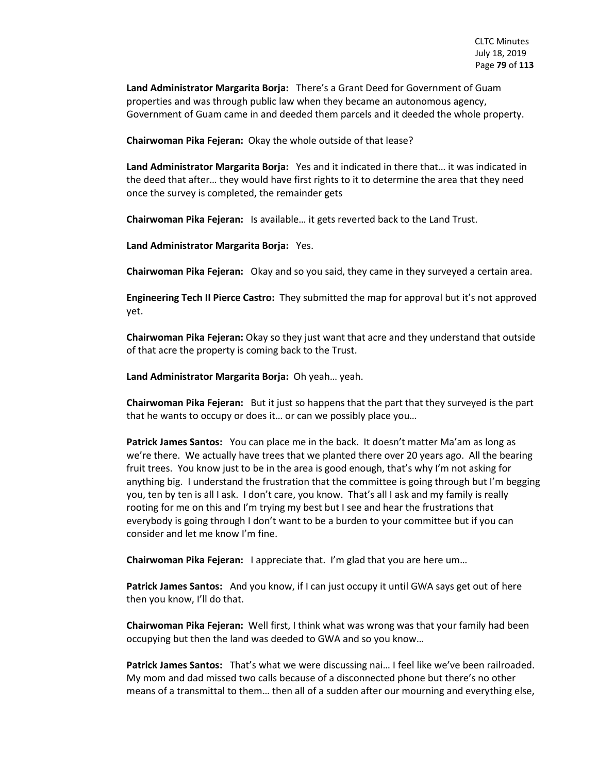**Land Administrator Margarita Borja:** There's a Grant Deed for Government of Guam properties and was through public law when they became an autonomous agency, Government of Guam came in and deeded them parcels and it deeded the whole property.

**Chairwoman Pika Fejeran:** Okay the whole outside of that lease?

**Land Administrator Margarita Borja:** Yes and it indicated in there that… it was indicated in the deed that after… they would have first rights to it to determine the area that they need once the survey is completed, the remainder gets

**Chairwoman Pika Fejeran:** Is available… it gets reverted back to the Land Trust.

**Land Administrator Margarita Borja:** Yes.

**Chairwoman Pika Fejeran:** Okay and so you said, they came in they surveyed a certain area.

**Engineering Tech II Pierce Castro:** They submitted the map for approval but it's not approved yet.

**Chairwoman Pika Fejeran:** Okay so they just want that acre and they understand that outside of that acre the property is coming back to the Trust.

**Land Administrator Margarita Borja:** Oh yeah… yeah.

**Chairwoman Pika Fejeran:** But it just so happens that the part that they surveyed is the part that he wants to occupy or does it… or can we possibly place you…

**Patrick James Santos:** You can place me in the back. It doesn't matter Ma'am as long as we're there. We actually have trees that we planted there over 20 years ago. All the bearing fruit trees. You know just to be in the area is good enough, that's why I'm not asking for anything big. I understand the frustration that the committee is going through but I'm begging you, ten by ten is all I ask. I don't care, you know. That's all I ask and my family is really rooting for me on this and I'm trying my best but I see and hear the frustrations that everybody is going through I don't want to be a burden to your committee but if you can consider and let me know I'm fine.

**Chairwoman Pika Fejeran:** I appreciate that. I'm glad that you are here um…

**Patrick James Santos:** And you know, if I can just occupy it until GWA says get out of here then you know, I'll do that.

**Chairwoman Pika Fejeran:** Well first, I think what was wrong was that your family had been occupying but then the land was deeded to GWA and so you know…

**Patrick James Santos:** That's what we were discussing nai… I feel like we've been railroaded. My mom and dad missed two calls because of a disconnected phone but there's no other means of a transmittal to them… then all of a sudden after our mourning and everything else,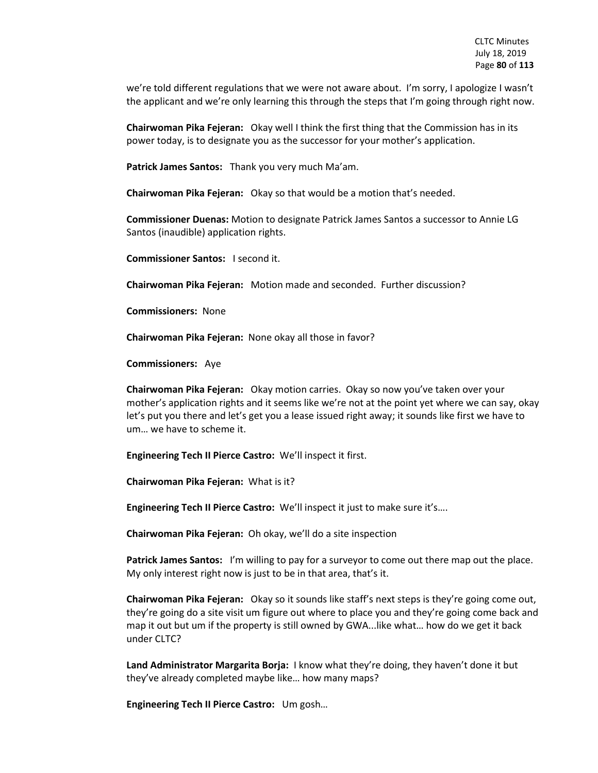we're told different regulations that we were not aware about. I'm sorry, I apologize I wasn't the applicant and we're only learning this through the steps that I'm going through right now.

**Chairwoman Pika Fejeran:** Okay well I think the first thing that the Commission has in its power today, is to designate you as the successor for your mother's application.

**Patrick James Santos:** Thank you very much Ma'am.

**Chairwoman Pika Fejeran:** Okay so that would be a motion that's needed.

**Commissioner Duenas:** Motion to designate Patrick James Santos a successor to Annie LG Santos (inaudible) application rights.

**Commissioner Santos:** I second it.

**Chairwoman Pika Fejeran:** Motion made and seconded. Further discussion?

**Commissioners:** None

**Chairwoman Pika Fejeran:** None okay all those in favor?

**Commissioners:** Aye

**Chairwoman Pika Fejeran:** Okay motion carries. Okay so now you've taken over your mother's application rights and it seems like we're not at the point yet where we can say, okay let's put you there and let's get you a lease issued right away; it sounds like first we have to um… we have to scheme it.

**Engineering Tech II Pierce Castro:** We'll inspect it first.

**Chairwoman Pika Fejeran:** What is it?

**Engineering Tech II Pierce Castro:** We'll inspect it just to make sure it's….

**Chairwoman Pika Fejeran:** Oh okay, we'll do a site inspection

**Patrick James Santos:** I'm willing to pay for a surveyor to come out there map out the place. My only interest right now is just to be in that area, that's it.

**Chairwoman Pika Fejeran:** Okay so it sounds like staff's next steps is they're going come out, they're going do a site visit um figure out where to place you and they're going come back and map it out but um if the property is still owned by GWA...like what… how do we get it back under CLTC?

**Land Administrator Margarita Borja:** I know what they're doing, they haven't done it but they've already completed maybe like… how many maps?

**Engineering Tech II Pierce Castro:** Um gosh…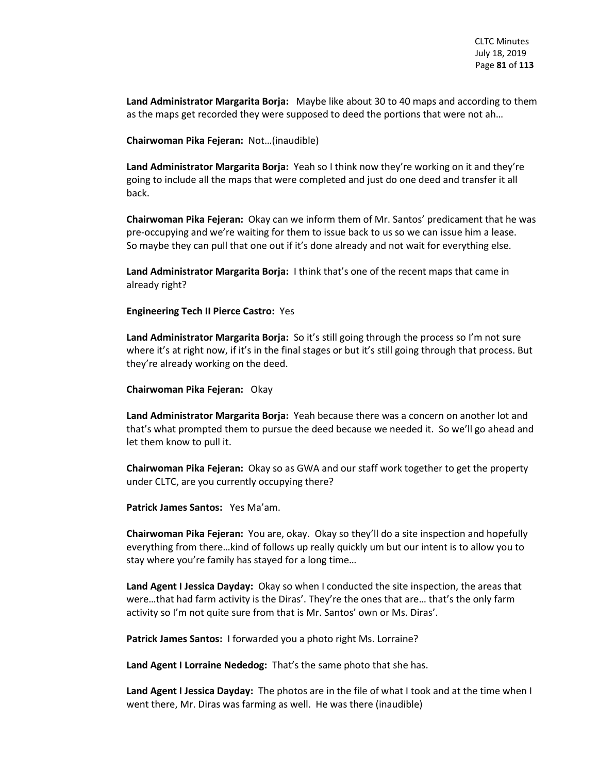**Land Administrator Margarita Borja:** Maybe like about 30 to 40 maps and according to them as the maps get recorded they were supposed to deed the portions that were not ah…

**Chairwoman Pika Fejeran:** Not…(inaudible)

**Land Administrator Margarita Borja:** Yeah so I think now they're working on it and they're going to include all the maps that were completed and just do one deed and transfer it all back.

**Chairwoman Pika Fejeran:** Okay can we inform them of Mr. Santos' predicament that he was pre-occupying and we're waiting for them to issue back to us so we can issue him a lease. So maybe they can pull that one out if it's done already and not wait for everything else.

**Land Administrator Margarita Borja:** I think that's one of the recent maps that came in already right?

**Engineering Tech II Pierce Castro:** Yes

**Land Administrator Margarita Borja:** So it's still going through the process so I'm not sure where it's at right now, if it's in the final stages or but it's still going through that process. But they're already working on the deed.

**Chairwoman Pika Fejeran:** Okay

**Land Administrator Margarita Borja:** Yeah because there was a concern on another lot and that's what prompted them to pursue the deed because we needed it. So we'll go ahead and let them know to pull it.

**Chairwoman Pika Fejeran:** Okay so as GWA and our staff work together to get the property under CLTC, are you currently occupying there?

**Patrick James Santos:** Yes Ma'am.

**Chairwoman Pika Fejeran:** You are, okay. Okay so they'll do a site inspection and hopefully everything from there…kind of follows up really quickly um but our intent is to allow you to stay where you're family has stayed for a long time…

**Land Agent I Jessica Dayday:** Okay so when I conducted the site inspection, the areas that were…that had farm activity is the Diras'. They're the ones that are… that's the only farm activity so I'm not quite sure from that is Mr. Santos' own or Ms. Diras'.

**Patrick James Santos:** I forwarded you a photo right Ms. Lorraine?

**Land Agent I Lorraine Nededog:** That's the same photo that she has.

**Land Agent I Jessica Dayday:** The photos are in the file of what I took and at the time when I went there, Mr. Diras was farming as well. He was there (inaudible)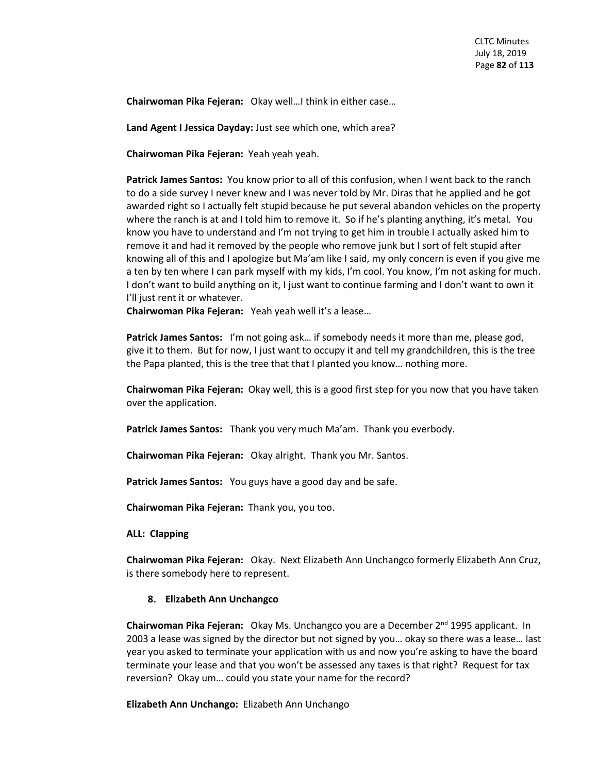**Chairwoman Pika Fejeran:** Okay well…I think in either case…

**Land Agent I Jessica Dayday:** Just see which one, which area?

**Chairwoman Pika Fejeran:** Yeah yeah yeah.

**Patrick James Santos:** You know prior to all of this confusion, when I went back to the ranch to do a side survey I never knew and I was never told by Mr. Diras that he applied and he got awarded right so I actually felt stupid because he put several abandon vehicles on the property where the ranch is at and I told him to remove it. So if he's planting anything, it's metal. You know you have to understand and I'm not trying to get him in trouble I actually asked him to remove it and had it removed by the people who remove junk but I sort of felt stupid after knowing all of this and I apologize but Ma'am like I said, my only concern is even if you give me a ten by ten where I can park myself with my kids, I'm cool. You know, I'm not asking for much. I don't want to build anything on it, I just want to continue farming and I don't want to own it I'll just rent it or whatever.

**Chairwoman Pika Fejeran:** Yeah yeah well it's a lease…

**Patrick James Santos:** I'm not going ask… if somebody needs it more than me, please god, give it to them. But for now, I just want to occupy it and tell my grandchildren, this is the tree the Papa planted, this is the tree that that I planted you know… nothing more.

**Chairwoman Pika Fejeran:** Okay well, this is a good first step for you now that you have taken over the application.

**Patrick James Santos:** Thank you very much Ma'am. Thank you everbody.

**Chairwoman Pika Fejeran:** Okay alright. Thank you Mr. Santos.

**Patrick James Santos:** You guys have a good day and be safe.

**Chairwoman Pika Fejeran:** Thank you, you too.

**ALL: Clapping** 

**Chairwoman Pika Fejeran:** Okay. Next Elizabeth Ann Unchangco formerly Elizabeth Ann Cruz, is there somebody here to represent.

## **8. Elizabeth Ann Unchangco**

**Chairwoman Pika Fejeran:** Okay Ms. Unchangco you are a December 2nd 1995 applicant. In 2003 a lease was signed by the director but not signed by you… okay so there was a lease… last year you asked to terminate your application with us and now you're asking to have the board terminate your lease and that you won't be assessed any taxes is that right? Request for tax reversion? Okay um… could you state your name for the record?

**Elizabeth Ann Unchango:** Elizabeth Ann Unchango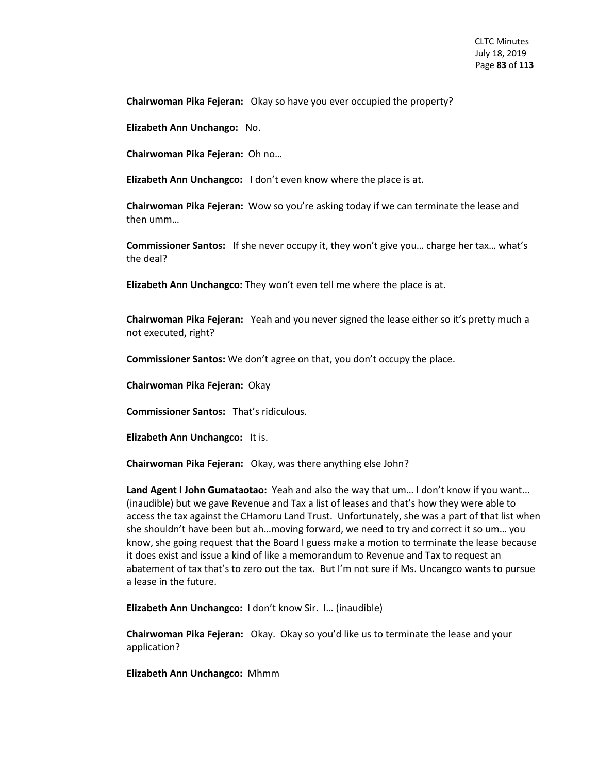**Chairwoman Pika Fejeran:** Okay so have you ever occupied the property?

**Elizabeth Ann Unchango:** No.

**Chairwoman Pika Fejeran:** Oh no…

**Elizabeth Ann Unchangco:** I don't even know where the place is at.

**Chairwoman Pika Fejeran:** Wow so you're asking today if we can terminate the lease and then umm…

**Commissioner Santos:** If she never occupy it, they won't give you… charge her tax… what's the deal?

**Elizabeth Ann Unchangco:** They won't even tell me where the place is at.

**Chairwoman Pika Fejeran:** Yeah and you never signed the lease either so it's pretty much a not executed, right?

**Commissioner Santos:** We don't agree on that, you don't occupy the place.

**Chairwoman Pika Fejeran:** Okay

**Commissioner Santos:** That's ridiculous.

**Elizabeth Ann Unchangco:** It is.

**Chairwoman Pika Fejeran:** Okay, was there anything else John?

**Land Agent I John Gumataotao:** Yeah and also the way that um… I don't know if you want... (inaudible) but we gave Revenue and Tax a list of leases and that's how they were able to access the tax against the CHamoru Land Trust. Unfortunately, she was a part of that list when she shouldn't have been but ah…moving forward, we need to try and correct it so um… you know, she going request that the Board I guess make a motion to terminate the lease because it does exist and issue a kind of like a memorandum to Revenue and Tax to request an abatement of tax that's to zero out the tax. But I'm not sure if Ms. Uncangco wants to pursue a lease in the future.

**Elizabeth Ann Unchangco:** I don't know Sir. I… (inaudible)

**Chairwoman Pika Fejeran:** Okay. Okay so you'd like us to terminate the lease and your application?

**Elizabeth Ann Unchangco:** Mhmm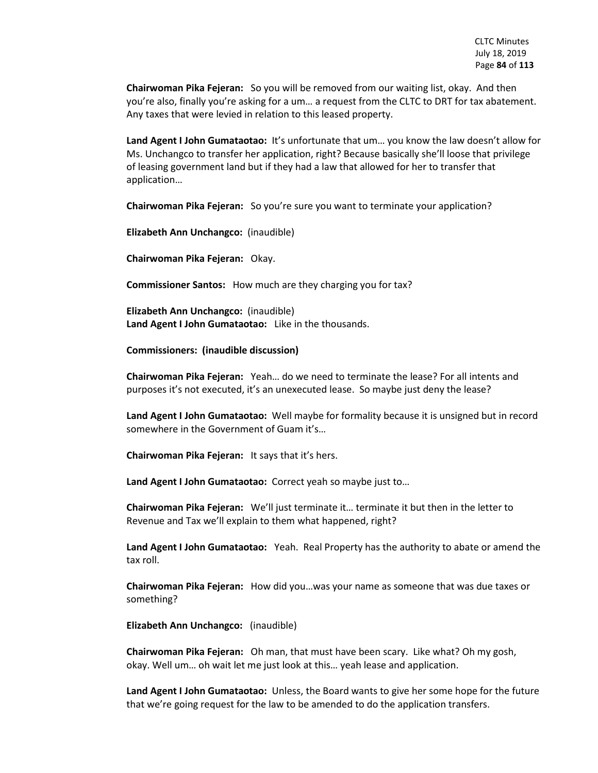**Chairwoman Pika Fejeran:** So you will be removed from our waiting list, okay. And then you're also, finally you're asking for a um… a request from the CLTC to DRT for tax abatement. Any taxes that were levied in relation to this leased property.

**Land Agent I John Gumataotao:** It's unfortunate that um… you know the law doesn't allow for Ms. Unchangco to transfer her application, right? Because basically she'll loose that privilege of leasing government land but if they had a law that allowed for her to transfer that application…

**Chairwoman Pika Fejeran:** So you're sure you want to terminate your application?

**Elizabeth Ann Unchangco:** (inaudible)

**Chairwoman Pika Fejeran:** Okay.

**Commissioner Santos:** How much are they charging you for tax?

**Elizabeth Ann Unchangco:** (inaudible) **Land Agent I John Gumataotao:** Like in the thousands.

**Commissioners: (inaudible discussion)**

**Chairwoman Pika Fejeran:** Yeah… do we need to terminate the lease? For all intents and purposes it's not executed, it's an unexecuted lease. So maybe just deny the lease?

**Land Agent I John Gumataotao:** Well maybe for formality because it is unsigned but in record somewhere in the Government of Guam it's…

**Chairwoman Pika Fejeran:** It says that it's hers.

**Land Agent I John Gumataotao:** Correct yeah so maybe just to…

**Chairwoman Pika Fejeran:** We'll just terminate it… terminate it but then in the letter to Revenue and Tax we'll explain to them what happened, right?

**Land Agent I John Gumataotao:** Yeah. Real Property has the authority to abate or amend the tax roll.

**Chairwoman Pika Fejeran:** How did you…was your name as someone that was due taxes or something?

**Elizabeth Ann Unchangco:** (inaudible)

**Chairwoman Pika Fejeran:** Oh man, that must have been scary. Like what? Oh my gosh, okay. Well um… oh wait let me just look at this… yeah lease and application.

**Land Agent I John Gumataotao:** Unless, the Board wants to give her some hope for the future that we're going request for the law to be amended to do the application transfers.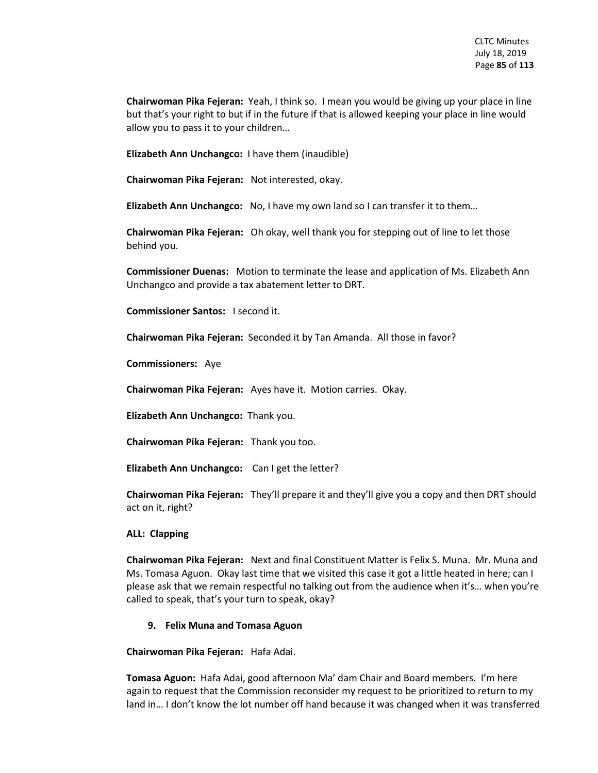**Chairwoman Pika Fejeran:** Yeah, I think so. I mean you would be giving up your place in line but that's your right to but if in the future if that is allowed keeping your place in line would allow you to pass it to your children…

**Elizabeth Ann Unchangco:** I have them (inaudible)

**Chairwoman Pika Fejeran:** Not interested, okay.

**Elizabeth Ann Unchangco:** No, I have my own land so I can transfer it to them…

**Chairwoman Pika Fejeran:** Oh okay, well thank you for stepping out of line to let those behind you.

**Commissioner Duenas:** Motion to terminate the lease and application of Ms. Elizabeth Ann Unchangco and provide a tax abatement letter to DRT.

**Commissioner Santos:** I second it.

**Chairwoman Pika Fejeran:** Seconded it by Tan Amanda. All those in favor?

**Commissioners:** Aye

**Chairwoman Pika Fejeran:** Ayes have it. Motion carries. Okay.

**Elizabeth Ann Unchangco:** Thank you.

**Chairwoman Pika Fejeran:** Thank you too.

**Elizabeth Ann Unchangco:** Can I get the letter?

**Chairwoman Pika Fejeran:** They'll prepare it and they'll give you a copy and then DRT should act on it, right?

## **ALL: Clapping**

**Chairwoman Pika Fejeran:** Next and final Constituent Matter is Felix S. Muna. Mr. Muna and Ms. Tomasa Aguon. Okay last time that we visited this case it got a little heated in here; can I please ask that we remain respectful no talking out from the audience when it's… when you're called to speak, that's your turn to speak, okay?

## **9. Felix Muna and Tomasa Aguon**

**Chairwoman Pika Fejeran:** Hafa Adai.

**Tomasa Aguon:** Hafa Adai, good afternoon Ma' dam Chair and Board members. I'm here again to request that the Commission reconsider my request to be prioritized to return to my land in… I don't know the lot number off hand because it was changed when it was transferred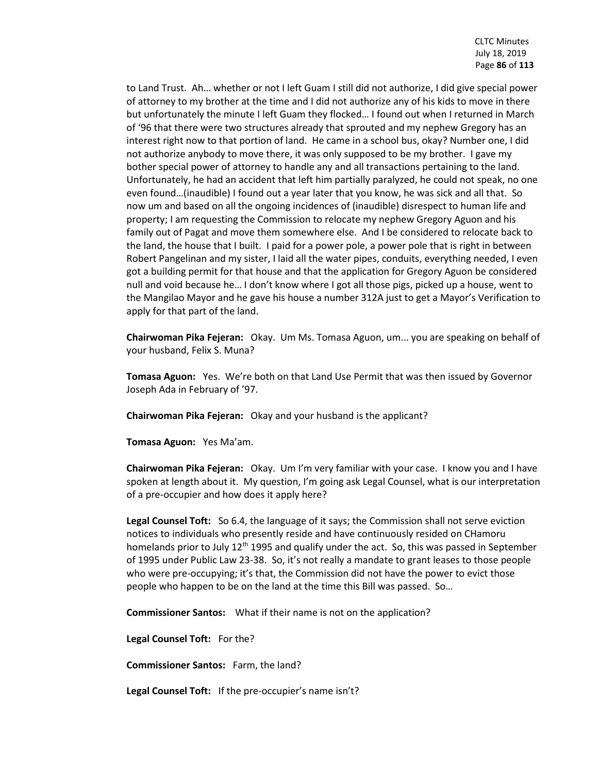to Land Trust. Ah… whether or not I left Guam I still did not authorize, I did give special power of attorney to my brother at the time and I did not authorize any of his kids to move in there but unfortunately the minute I left Guam they flocked… I found out when I returned in March of '96 that there were two structures already that sprouted and my nephew Gregory has an interest right now to that portion of land. He came in a school bus, okay? Number one, I did not authorize anybody to move there, it was only supposed to be my brother. I gave my bother special power of attorney to handle any and all transactions pertaining to the land. Unfortunately, he had an accident that left him partially paralyzed, he could not speak, no one even found…(inaudible) I found out a year later that you know, he was sick and all that. So now um and based on all the ongoing incidences of (inaudible) disrespect to human life and property; I am requesting the Commission to relocate my nephew Gregory Aguon and his family out of Pagat and move them somewhere else. And I be considered to relocate back to the land, the house that I built. I paid for a power pole, a power pole that is right in between Robert Pangelinan and my sister, I laid all the water pipes, conduits, everything needed, I even got a building permit for that house and that the application for Gregory Aguon be considered null and void because he… I don't know where I got all those pigs, picked up a house, went to the Mangilao Mayor and he gave his house a number 312A just to get a Mayor's Verification to apply for that part of the land.

**Chairwoman Pika Fejeran:** Okay. Um Ms. Tomasa Aguon, um... you are speaking on behalf of your husband, Felix S. Muna?

**Tomasa Aguon:** Yes. We're both on that Land Use Permit that was then issued by Governor Joseph Ada in February of '97.

**Chairwoman Pika Fejeran:** Okay and your husband is the applicant?

**Tomasa Aguon:** Yes Ma'am.

**Chairwoman Pika Fejeran:** Okay. Um I'm very familiar with your case. I know you and I have spoken at length about it. My question, I'm going ask Legal Counsel, what is our interpretation of a pre-occupier and how does it apply here?

**Legal Counsel Toft:** So 6.4, the language of it says; the Commission shall not serve eviction notices to individuals who presently reside and have continuously resided on CHamoru homelands prior to July 12<sup>th</sup> 1995 and qualify under the act. So, this was passed in September of 1995 under Public Law 23-38. So, it's not really a mandate to grant leases to those people who were pre-occupying; it's that, the Commission did not have the power to evict those people who happen to be on the land at the time this Bill was passed. So…

**Commissioner Santos:** What if their name is not on the application?

**Legal Counsel Toft:** For the?

**Commissioner Santos:** Farm, the land?

**Legal Counsel Toft:** If the pre-occupier's name isn't?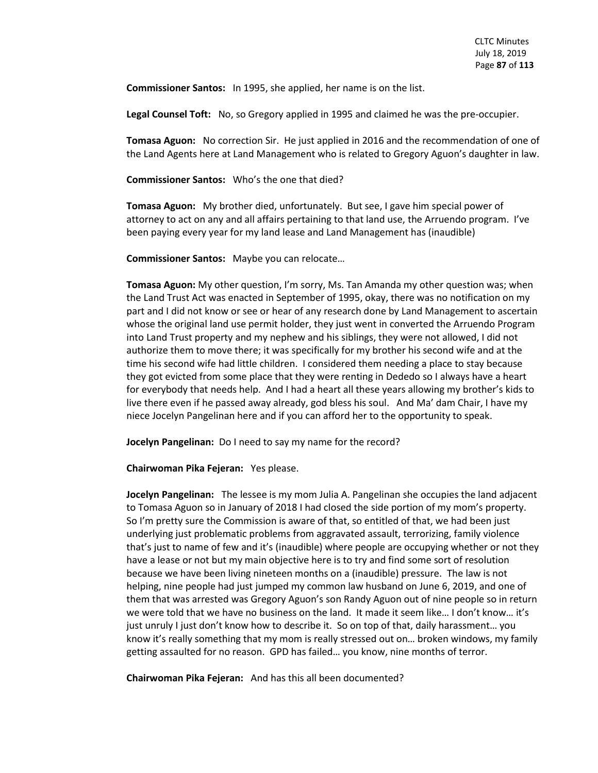**Commissioner Santos:** In 1995, she applied, her name is on the list.

**Legal Counsel Toft:** No, so Gregory applied in 1995 and claimed he was the pre-occupier.

**Tomasa Aguon:** No correction Sir. He just applied in 2016 and the recommendation of one of the Land Agents here at Land Management who is related to Gregory Aguon's daughter in law.

**Commissioner Santos:** Who's the one that died?

**Tomasa Aguon:** My brother died, unfortunately. But see, I gave him special power of attorney to act on any and all affairs pertaining to that land use, the Arruendo program. I've been paying every year for my land lease and Land Management has (inaudible)

**Commissioner Santos:** Maybe you can relocate…

**Tomasa Aguon:** My other question, I'm sorry, Ms. Tan Amanda my other question was; when the Land Trust Act was enacted in September of 1995, okay, there was no notification on my part and I did not know or see or hear of any research done by Land Management to ascertain whose the original land use permit holder, they just went in converted the Arruendo Program into Land Trust property and my nephew and his siblings, they were not allowed, I did not authorize them to move there; it was specifically for my brother his second wife and at the time his second wife had little children. I considered them needing a place to stay because they got evicted from some place that they were renting in Dededo so I always have a heart for everybody that needs help. And I had a heart all these years allowing my brother's kids to live there even if he passed away already, god bless his soul. And Ma' dam Chair, I have my niece Jocelyn Pangelinan here and if you can afford her to the opportunity to speak.

**Jocelyn Pangelinan:** Do I need to say my name for the record?

**Chairwoman Pika Fejeran:** Yes please.

**Jocelyn Pangelinan:** The lessee is my mom Julia A. Pangelinan she occupies the land adjacent to Tomasa Aguon so in January of 2018 I had closed the side portion of my mom's property. So I'm pretty sure the Commission is aware of that, so entitled of that, we had been just underlying just problematic problems from aggravated assault, terrorizing, family violence that's just to name of few and it's (inaudible) where people are occupying whether or not they have a lease or not but my main objective here is to try and find some sort of resolution because we have been living nineteen months on a (inaudible) pressure. The law is not helping, nine people had just jumped my common law husband on June 6, 2019, and one of them that was arrested was Gregory Aguon's son Randy Aguon out of nine people so in return we were told that we have no business on the land. It made it seem like… I don't know… it's just unruly I just don't know how to describe it. So on top of that, daily harassment… you know it's really something that my mom is really stressed out on… broken windows, my family getting assaulted for no reason. GPD has failed… you know, nine months of terror.

**Chairwoman Pika Fejeran:** And has this all been documented?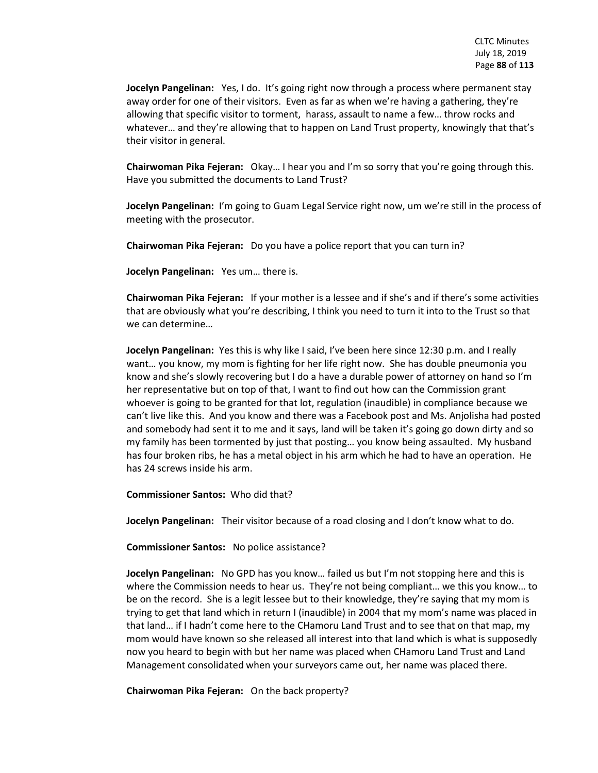**Jocelyn Pangelinan:** Yes, I do. It's going right now through a process where permanent stay away order for one of their visitors. Even as far as when we're having a gathering, they're allowing that specific visitor to torment, harass, assault to name a few… throw rocks and whatever… and they're allowing that to happen on Land Trust property, knowingly that that's their visitor in general.

**Chairwoman Pika Fejeran:** Okay… I hear you and I'm so sorry that you're going through this. Have you submitted the documents to Land Trust?

**Jocelyn Pangelinan:** I'm going to Guam Legal Service right now, um we're still in the process of meeting with the prosecutor.

**Chairwoman Pika Fejeran:** Do you have a police report that you can turn in?

**Jocelyn Pangelinan:** Yes um… there is.

**Chairwoman Pika Fejeran:** If your mother is a lessee and if she's and if there's some activities that are obviously what you're describing, I think you need to turn it into to the Trust so that we can determine…

**Jocelyn Pangelinan:** Yes this is why like I said, I've been here since 12:30 p.m. and I really want… you know, my mom is fighting for her life right now. She has double pneumonia you know and she's slowly recovering but I do a have a durable power of attorney on hand so I'm her representative but on top of that, I want to find out how can the Commission grant whoever is going to be granted for that lot, regulation (inaudible) in compliance because we can't live like this. And you know and there was a Facebook post and Ms. Anjolisha had posted and somebody had sent it to me and it says, land will be taken it's going go down dirty and so my family has been tormented by just that posting… you know being assaulted. My husband has four broken ribs, he has a metal object in his arm which he had to have an operation. He has 24 screws inside his arm.

**Commissioner Santos:** Who did that?

**Jocelyn Pangelinan:** Their visitor because of a road closing and I don't know what to do.

**Commissioner Santos:** No police assistance?

**Jocelyn Pangelinan:** No GPD has you know… failed us but I'm not stopping here and this is where the Commission needs to hear us. They're not being compliant… we this you know… to be on the record. She is a legit lessee but to their knowledge, they're saying that my mom is trying to get that land which in return I (inaudible) in 2004 that my mom's name was placed in that land… if I hadn't come here to the CHamoru Land Trust and to see that on that map, my mom would have known so she released all interest into that land which is what is supposedly now you heard to begin with but her name was placed when CHamoru Land Trust and Land Management consolidated when your surveyors came out, her name was placed there.

**Chairwoman Pika Fejeran:** On the back property?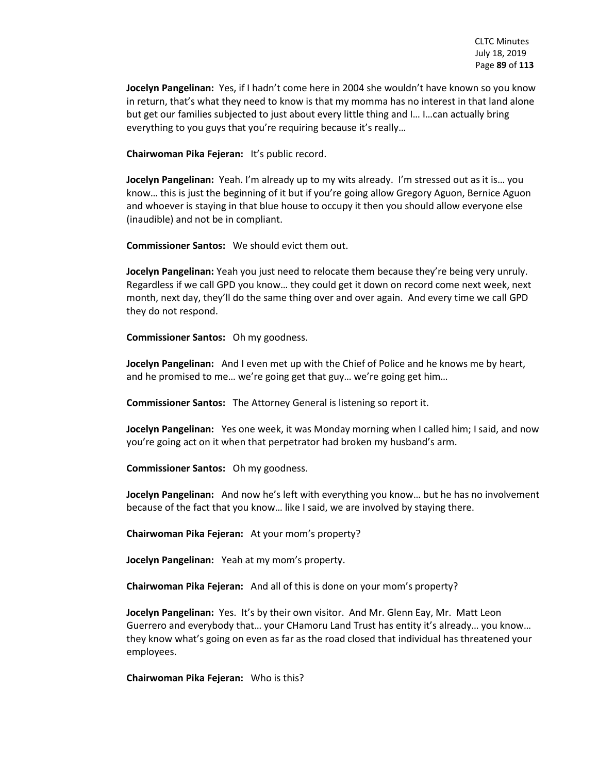**Jocelyn Pangelinan:** Yes, if I hadn't come here in 2004 she wouldn't have known so you know in return, that's what they need to know is that my momma has no interest in that land alone but get our families subjected to just about every little thing and I… I…can actually bring everything to you guys that you're requiring because it's really…

**Chairwoman Pika Fejeran:** It's public record.

**Jocelyn Pangelinan:** Yeah. I'm already up to my wits already. I'm stressed out as it is… you know… this is just the beginning of it but if you're going allow Gregory Aguon, Bernice Aguon and whoever is staying in that blue house to occupy it then you should allow everyone else (inaudible) and not be in compliant.

**Commissioner Santos:** We should evict them out.

**Jocelyn Pangelinan:** Yeah you just need to relocate them because they're being very unruly. Regardless if we call GPD you know… they could get it down on record come next week, next month, next day, they'll do the same thing over and over again. And every time we call GPD they do not respond.

**Commissioner Santos:** Oh my goodness.

**Jocelyn Pangelinan:** And I even met up with the Chief of Police and he knows me by heart, and he promised to me… we're going get that guy… we're going get him…

**Commissioner Santos:** The Attorney General is listening so report it.

**Jocelyn Pangelinan:** Yes one week, it was Monday morning when I called him; I said, and now you're going act on it when that perpetrator had broken my husband's arm.

**Commissioner Santos:** Oh my goodness.

**Jocelyn Pangelinan:** And now he's left with everything you know… but he has no involvement because of the fact that you know… like I said, we are involved by staying there.

**Chairwoman Pika Fejeran:** At your mom's property?

**Jocelyn Pangelinan:** Yeah at my mom's property.

**Chairwoman Pika Fejeran:** And all of this is done on your mom's property?

**Jocelyn Pangelinan:** Yes. It's by their own visitor. And Mr. Glenn Eay, Mr. Matt Leon Guerrero and everybody that… your CHamoru Land Trust has entity it's already… you know… they know what's going on even as far as the road closed that individual has threatened your employees.

**Chairwoman Pika Fejeran:** Who is this?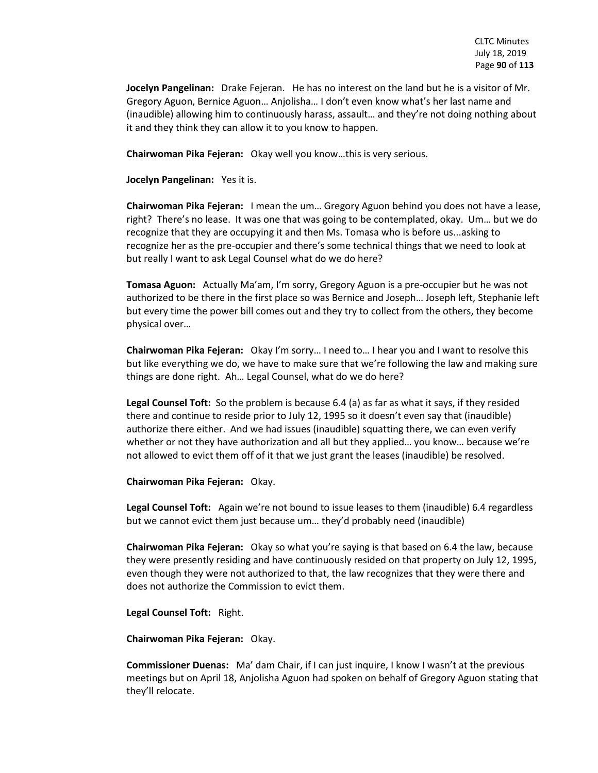**Jocelyn Pangelinan:** Drake Fejeran. He has no interest on the land but he is a visitor of Mr. Gregory Aguon, Bernice Aguon… Anjolisha… I don't even know what's her last name and (inaudible) allowing him to continuously harass, assault… and they're not doing nothing about it and they think they can allow it to you know to happen.

**Chairwoman Pika Fejeran:** Okay well you know…this is very serious.

**Jocelyn Pangelinan:** Yes it is.

**Chairwoman Pika Fejeran:** I mean the um… Gregory Aguon behind you does not have a lease, right? There's no lease. It was one that was going to be contemplated, okay. Um… but we do recognize that they are occupying it and then Ms. Tomasa who is before us...asking to recognize her as the pre-occupier and there's some technical things that we need to look at but really I want to ask Legal Counsel what do we do here?

**Tomasa Aguon:** Actually Ma'am, I'm sorry, Gregory Aguon is a pre-occupier but he was not authorized to be there in the first place so was Bernice and Joseph… Joseph left, Stephanie left but every time the power bill comes out and they try to collect from the others, they become physical over…

**Chairwoman Pika Fejeran:** Okay I'm sorry… I need to… I hear you and I want to resolve this but like everything we do, we have to make sure that we're following the law and making sure things are done right. Ah… Legal Counsel, what do we do here?

**Legal Counsel Toft:** So the problem is because 6.4 (a) as far as what it says, if they resided there and continue to reside prior to July 12, 1995 so it doesn't even say that (inaudible) authorize there either. And we had issues (inaudible) squatting there, we can even verify whether or not they have authorization and all but they applied… you know… because we're not allowed to evict them off of it that we just grant the leases (inaudible) be resolved.

**Chairwoman Pika Fejeran:** Okay.

**Legal Counsel Toft:** Again we're not bound to issue leases to them (inaudible) 6.4 regardless but we cannot evict them just because um… they'd probably need (inaudible)

**Chairwoman Pika Fejeran:** Okay so what you're saying is that based on 6.4 the law, because they were presently residing and have continuously resided on that property on July 12, 1995, even though they were not authorized to that, the law recognizes that they were there and does not authorize the Commission to evict them.

**Legal Counsel Toft:** Right.

**Chairwoman Pika Fejeran:** Okay.

**Commissioner Duenas:** Ma' dam Chair, if I can just inquire, I know I wasn't at the previous meetings but on April 18, Anjolisha Aguon had spoken on behalf of Gregory Aguon stating that they'll relocate.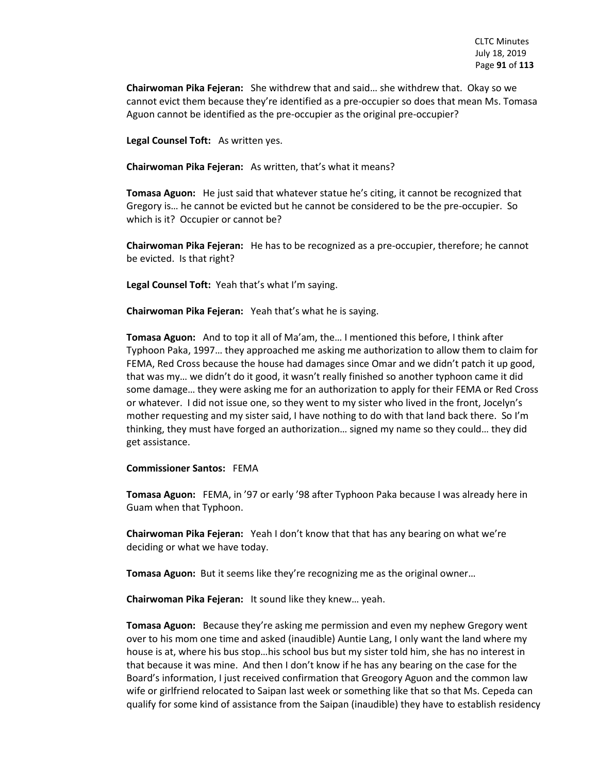**Chairwoman Pika Fejeran:** She withdrew that and said… she withdrew that. Okay so we cannot evict them because they're identified as a pre-occupier so does that mean Ms. Tomasa Aguon cannot be identified as the pre-occupier as the original pre-occupier?

**Legal Counsel Toft:** As written yes.

**Chairwoman Pika Fejeran:** As written, that's what it means?

**Tomasa Aguon:** He just said that whatever statue he's citing, it cannot be recognized that Gregory is… he cannot be evicted but he cannot be considered to be the pre-occupier. So which is it? Occupier or cannot be?

**Chairwoman Pika Fejeran:** He has to be recognized as a pre-occupier, therefore; he cannot be evicted. Is that right?

**Legal Counsel Toft:** Yeah that's what I'm saying.

**Chairwoman Pika Fejeran:** Yeah that's what he is saying.

**Tomasa Aguon:** And to top it all of Ma'am, the… I mentioned this before, I think after Typhoon Paka, 1997… they approached me asking me authorization to allow them to claim for FEMA, Red Cross because the house had damages since Omar and we didn't patch it up good, that was my… we didn't do it good, it wasn't really finished so another typhoon came it did some damage… they were asking me for an authorization to apply for their FEMA or Red Cross or whatever. I did not issue one, so they went to my sister who lived in the front, Jocelyn's mother requesting and my sister said, I have nothing to do with that land back there. So I'm thinking, they must have forged an authorization… signed my name so they could… they did get assistance.

#### **Commissioner Santos:** FEMA

**Tomasa Aguon:** FEMA, in '97 or early '98 after Typhoon Paka because I was already here in Guam when that Typhoon.

**Chairwoman Pika Fejeran:** Yeah I don't know that that has any bearing on what we're deciding or what we have today.

**Tomasa Aguon:** But it seems like they're recognizing me as the original owner…

**Chairwoman Pika Fejeran:** It sound like they knew… yeah.

**Tomasa Aguon:** Because they're asking me permission and even my nephew Gregory went over to his mom one time and asked (inaudible) Auntie Lang, I only want the land where my house is at, where his bus stop…his school bus but my sister told him, she has no interest in that because it was mine. And then I don't know if he has any bearing on the case for the Board's information, I just received confirmation that Greogory Aguon and the common law wife or girlfriend relocated to Saipan last week or something like that so that Ms. Cepeda can qualify for some kind of assistance from the Saipan (inaudible) they have to establish residency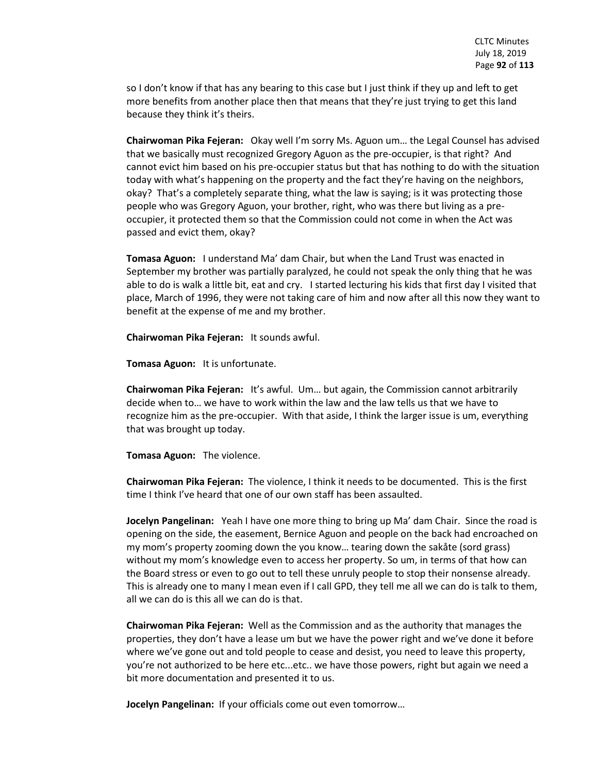so I don't know if that has any bearing to this case but I just think if they up and left to get more benefits from another place then that means that they're just trying to get this land because they think it's theirs.

**Chairwoman Pika Fejeran:** Okay well I'm sorry Ms. Aguon um… the Legal Counsel has advised that we basically must recognized Gregory Aguon as the pre-occupier, is that right? And cannot evict him based on his pre-occupier status but that has nothing to do with the situation today with what's happening on the property and the fact they're having on the neighbors, okay? That's a completely separate thing, what the law is saying; is it was protecting those people who was Gregory Aguon, your brother, right, who was there but living as a preoccupier, it protected them so that the Commission could not come in when the Act was passed and evict them, okay?

**Tomasa Aguon:** I understand Ma' dam Chair, but when the Land Trust was enacted in September my brother was partially paralyzed, he could not speak the only thing that he was able to do is walk a little bit, eat and cry. I started lecturing his kids that first day I visited that place, March of 1996, they were not taking care of him and now after all this now they want to benefit at the expense of me and my brother.

**Chairwoman Pika Fejeran:** It sounds awful.

**Tomasa Aguon:** It is unfortunate.

**Chairwoman Pika Fejeran:** It's awful. Um… but again, the Commission cannot arbitrarily decide when to… we have to work within the law and the law tells us that we have to recognize him as the pre-occupier. With that aside, I think the larger issue is um, everything that was brought up today.

**Tomasa Aguon:** The violence.

**Chairwoman Pika Fejeran:** The violence, I think it needs to be documented. This is the first time I think I've heard that one of our own staff has been assaulted.

**Jocelyn Pangelinan:** Yeah I have one more thing to bring up Ma' dam Chair. Since the road is opening on the side, the easement, Bernice Aguon and people on the back had encroached on my mom's property zooming down the you know… tearing down the sakåte (sord grass) without my mom's knowledge even to access her property. So um, in terms of that how can the Board stress or even to go out to tell these unruly people to stop their nonsense already. This is already one to many I mean even if I call GPD, they tell me all we can do is talk to them, all we can do is this all we can do is that.

**Chairwoman Pika Fejeran:** Well as the Commission and as the authority that manages the properties, they don't have a lease um but we have the power right and we've done it before where we've gone out and told people to cease and desist, you need to leave this property, you're not authorized to be here etc...etc.. we have those powers, right but again we need a bit more documentation and presented it to us.

**Jocelyn Pangelinan:** If your officials come out even tomorrow…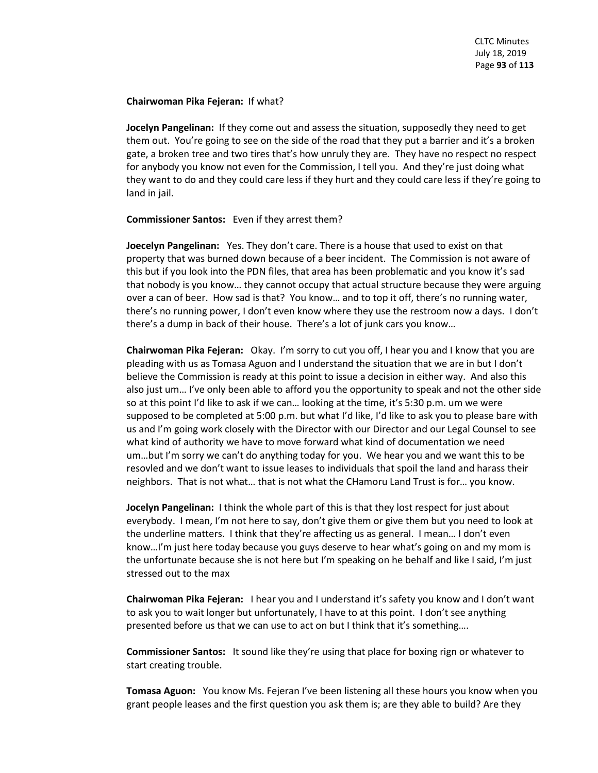## **Chairwoman Pika Fejeran:** If what?

**Jocelyn Pangelinan:** If they come out and assess the situation, supposedly they need to get them out. You're going to see on the side of the road that they put a barrier and it's a broken gate, a broken tree and two tires that's how unruly they are. They have no respect no respect for anybody you know not even for the Commission, I tell you. And they're just doing what they want to do and they could care less if they hurt and they could care less if they're going to land in jail.

# **Commissioner Santos:** Even if they arrest them?

**Joecelyn Pangelinan:** Yes. They don't care. There is a house that used to exist on that property that was burned down because of a beer incident. The Commission is not aware of this but if you look into the PDN files, that area has been problematic and you know it's sad that nobody is you know… they cannot occupy that actual structure because they were arguing over a can of beer. How sad is that? You know… and to top it off, there's no running water, there's no running power, I don't even know where they use the restroom now a days. I don't there's a dump in back of their house. There's a lot of junk cars you know…

**Chairwoman Pika Fejeran:** Okay. I'm sorry to cut you off, I hear you and I know that you are pleading with us as Tomasa Aguon and I understand the situation that we are in but I don't believe the Commission is ready at this point to issue a decision in either way. And also this also just um… I've only been able to afford you the opportunity to speak and not the other side so at this point I'd like to ask if we can… looking at the time, it's 5:30 p.m. um we were supposed to be completed at 5:00 p.m. but what I'd like, I'd like to ask you to please bare with us and I'm going work closely with the Director with our Director and our Legal Counsel to see what kind of authority we have to move forward what kind of documentation we need um…but I'm sorry we can't do anything today for you. We hear you and we want this to be resovled and we don't want to issue leases to individuals that spoil the land and harass their neighbors. That is not what… that is not what the CHamoru Land Trust is for… you know.

**Jocelyn Pangelinan:** I think the whole part of this is that they lost respect for just about everybody. I mean, I'm not here to say, don't give them or give them but you need to look at the underline matters. I think that they're affecting us as general. I mean… I don't even know…I'm just here today because you guys deserve to hear what's going on and my mom is the unfortunate because she is not here but I'm speaking on he behalf and like I said, I'm just stressed out to the max

**Chairwoman Pika Fejeran:** I hear you and I understand it's safety you know and I don't want to ask you to wait longer but unfortunately, I have to at this point. I don't see anything presented before us that we can use to act on but I think that it's something….

**Commissioner Santos:** It sound like they're using that place for boxing rign or whatever to start creating trouble.

**Tomasa Aguon:** You know Ms. Fejeran I've been listening all these hours you know when you grant people leases and the first question you ask them is; are they able to build? Are they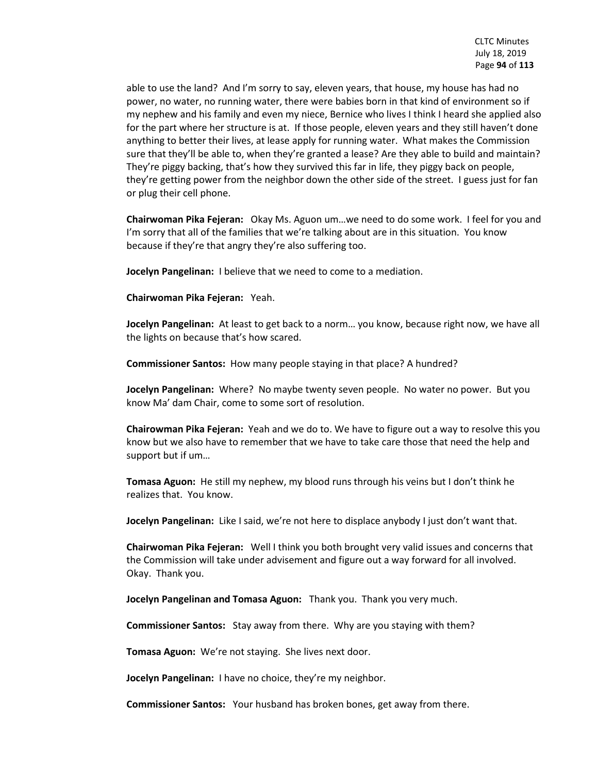able to use the land? And I'm sorry to say, eleven years, that house, my house has had no power, no water, no running water, there were babies born in that kind of environment so if my nephew and his family and even my niece, Bernice who lives I think I heard she applied also for the part where her structure is at. If those people, eleven years and they still haven't done anything to better their lives, at lease apply for running water. What makes the Commission sure that they'll be able to, when they're granted a lease? Are they able to build and maintain? They're piggy backing, that's how they survived this far in life, they piggy back on people, they're getting power from the neighbor down the other side of the street. I guess just for fan or plug their cell phone.

**Chairwoman Pika Fejeran:** Okay Ms. Aguon um…we need to do some work. I feel for you and I'm sorry that all of the families that we're talking about are in this situation. You know because if they're that angry they're also suffering too.

**Jocelyn Pangelinan:** I believe that we need to come to a mediation.

**Chairwoman Pika Fejeran:** Yeah.

**Jocelyn Pangelinan:** At least to get back to a norm… you know, because right now, we have all the lights on because that's how scared.

**Commissioner Santos:** How many people staying in that place? A hundred?

**Jocelyn Pangelinan:** Where? No maybe twenty seven people. No water no power. But you know Ma' dam Chair, come to some sort of resolution.

**Chairowman Pika Fejeran:** Yeah and we do to. We have to figure out a way to resolve this you know but we also have to remember that we have to take care those that need the help and support but if um…

**Tomasa Aguon:** He still my nephew, my blood runs through his veins but I don't think he realizes that. You know.

**Jocelyn Pangelinan:** Like I said, we're not here to displace anybody I just don't want that.

**Chairwoman Pika Fejeran:** Well I think you both brought very valid issues and concerns that the Commission will take under advisement and figure out a way forward for all involved. Okay. Thank you.

**Jocelyn Pangelinan and Tomasa Aguon:** Thank you. Thank you very much.

**Commissioner Santos:** Stay away from there. Why are you staying with them?

**Tomasa Aguon:** We're not staying. She lives next door.

**Jocelyn Pangelinan:** I have no choice, they're my neighbor.

**Commissioner Santos:** Your husband has broken bones, get away from there.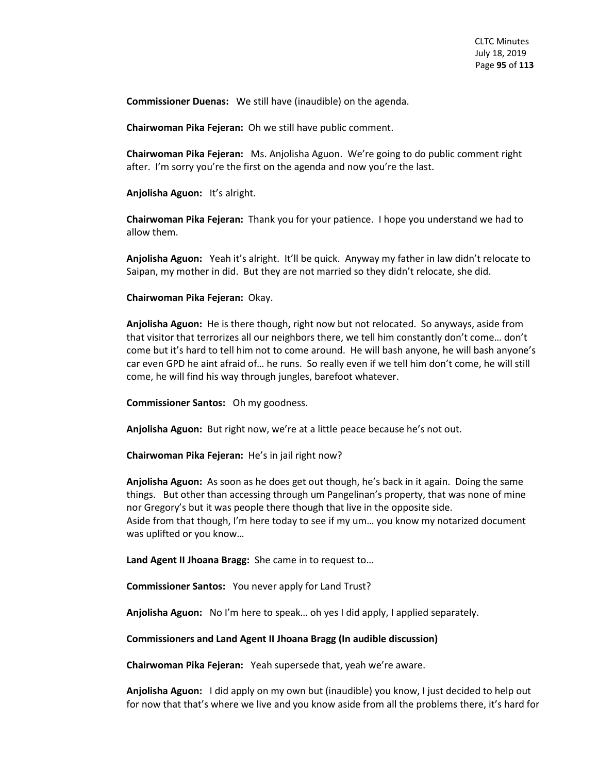**Commissioner Duenas:** We still have (inaudible) on the agenda.

**Chairwoman Pika Fejeran:** Oh we still have public comment.

**Chairwoman Pika Fejeran:** Ms. Anjolisha Aguon. We're going to do public comment right after. I'm sorry you're the first on the agenda and now you're the last.

**Anjolisha Aguon:** It's alright.

**Chairwoman Pika Fejeran:** Thank you for your patience. I hope you understand we had to allow them.

**Anjolisha Aguon:** Yeah it's alright. It'll be quick. Anyway my father in law didn't relocate to Saipan, my mother in did. But they are not married so they didn't relocate, she did.

**Chairwoman Pika Fejeran:** Okay.

**Anjolisha Aguon:** He is there though, right now but not relocated. So anyways, aside from that visitor that terrorizes all our neighbors there, we tell him constantly don't come… don't come but it's hard to tell him not to come around. He will bash anyone, he will bash anyone's car even GPD he aint afraid of… he runs. So really even if we tell him don't come, he will still come, he will find his way through jungles, barefoot whatever.

**Commissioner Santos:** Oh my goodness.

**Anjolisha Aguon:** But right now, we're at a little peace because he's not out.

**Chairwoman Pika Fejeran:** He's in jail right now?

**Anjolisha Aguon:** As soon as he does get out though, he's back in it again. Doing the same things. But other than accessing through um Pangelinan's property, that was none of mine nor Gregory's but it was people there though that live in the opposite side. Aside from that though, I'm here today to see if my um… you know my notarized document was uplifted or you know…

**Land Agent II Jhoana Bragg:** She came in to request to…

**Commissioner Santos:** You never apply for Land Trust?

**Anjolisha Aguon:** No I'm here to speak… oh yes I did apply, I applied separately.

**Commissioners and Land Agent II Jhoana Bragg (In audible discussion)**

**Chairwoman Pika Fejeran:** Yeah supersede that, yeah we're aware.

**Anjolisha Aguon:** I did apply on my own but (inaudible) you know, I just decided to help out for now that that's where we live and you know aside from all the problems there, it's hard for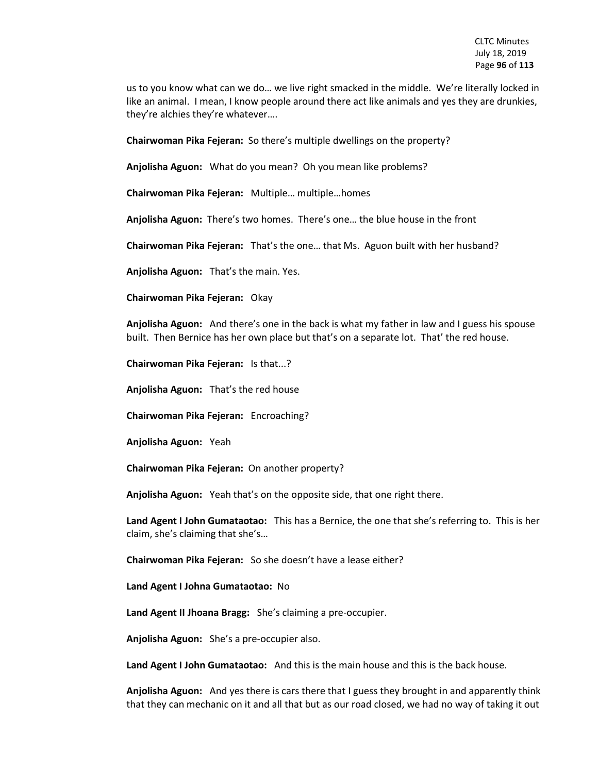us to you know what can we do… we live right smacked in the middle. We're literally locked in like an animal. I mean, I know people around there act like animals and yes they are drunkies, they're alchies they're whatever….

**Chairwoman Pika Fejeran:** So there's multiple dwellings on the property?

**Anjolisha Aguon:** What do you mean? Oh you mean like problems?

**Chairwoman Pika Fejeran:** Multiple… multiple…homes

**Anjolisha Aguon:** There's two homes. There's one… the blue house in the front

**Chairwoman Pika Fejeran:** That's the one… that Ms. Aguon built with her husband?

**Anjolisha Aguon:** That's the main. Yes.

**Chairwoman Pika Fejeran:** Okay

**Anjolisha Aguon:** And there's one in the back is what my father in law and I guess his spouse built. Then Bernice has her own place but that's on a separate lot. That' the red house.

**Chairwoman Pika Fejeran:** Is that...?

**Anjolisha Aguon:** That's the red house

**Chairwoman Pika Fejeran:** Encroaching?

**Anjolisha Aguon:** Yeah

**Chairwoman Pika Fejeran:** On another property?

**Anjolisha Aguon:** Yeah that's on the opposite side, that one right there.

**Land Agent I John Gumataotao:** This has a Bernice, the one that she's referring to. This is her claim, she's claiming that she's…

**Chairwoman Pika Fejeran:** So she doesn't have a lease either?

**Land Agent I Johna Gumataotao:** No

**Land Agent II Jhoana Bragg:** She's claiming a pre-occupier.

**Anjolisha Aguon:** She's a pre-occupier also.

**Land Agent I John Gumataotao:** And this is the main house and this is the back house.

**Anjolisha Aguon:** And yes there is cars there that I guess they brought in and apparently think that they can mechanic on it and all that but as our road closed, we had no way of taking it out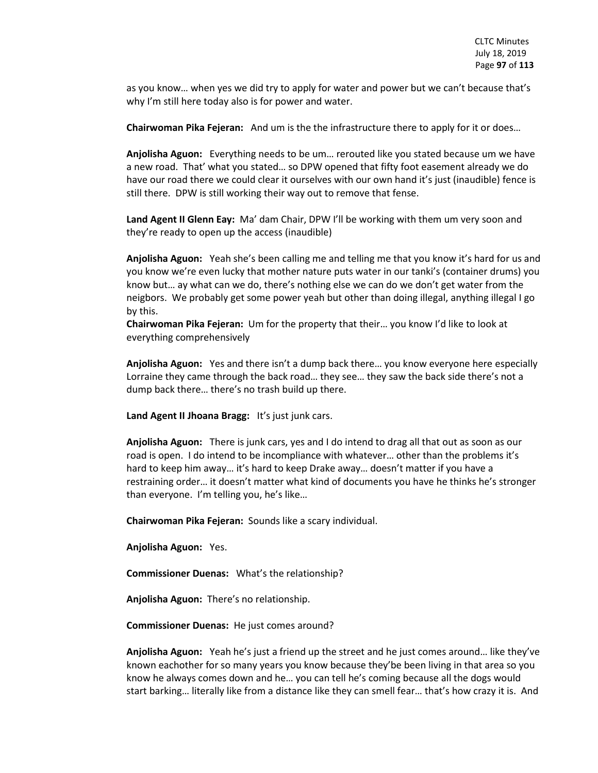as you know… when yes we did try to apply for water and power but we can't because that's why I'm still here today also is for power and water.

**Chairwoman Pika Fejeran:** And um is the the infrastructure there to apply for it or does…

**Anjolisha Aguon:** Everything needs to be um… rerouted like you stated because um we have a new road. That' what you stated… so DPW opened that fifty foot easement already we do have our road there we could clear it ourselves with our own hand it's just (inaudible) fence is still there. DPW is still working their way out to remove that fense.

**Land Agent II Glenn Eay:** Ma' dam Chair, DPW I'll be working with them um very soon and they're ready to open up the access (inaudible)

**Anjolisha Aguon:** Yeah she's been calling me and telling me that you know it's hard for us and you know we're even lucky that mother nature puts water in our tanki's (container drums) you know but… ay what can we do, there's nothing else we can do we don't get water from the neigbors. We probably get some power yeah but other than doing illegal, anything illegal I go by this.

**Chairwoman Pika Fejeran:** Um for the property that their… you know I'd like to look at everything comprehensively

**Anjolisha Aguon:** Yes and there isn't a dump back there… you know everyone here especially Lorraine they came through the back road… they see… they saw the back side there's not a dump back there… there's no trash build up there.

**Land Agent II Jhoana Bragg:** It's just junk cars.

**Anjolisha Aguon:** There is junk cars, yes and I do intend to drag all that out as soon as our road is open. I do intend to be incompliance with whatever… other than the problems it's hard to keep him away… it's hard to keep Drake away… doesn't matter if you have a restraining order… it doesn't matter what kind of documents you have he thinks he's stronger than everyone. I'm telling you, he's like…

**Chairwoman Pika Fejeran:** Sounds like a scary individual.

**Anjolisha Aguon:** Yes.

**Commissioner Duenas:** What's the relationship?

**Anjolisha Aguon:** There's no relationship.

**Commissioner Duenas:** He just comes around?

**Anjolisha Aguon:** Yeah he's just a friend up the street and he just comes around… like they've known eachother for so many years you know because they'be been living in that area so you know he always comes down and he… you can tell he's coming because all the dogs would start barking… literally like from a distance like they can smell fear… that's how crazy it is. And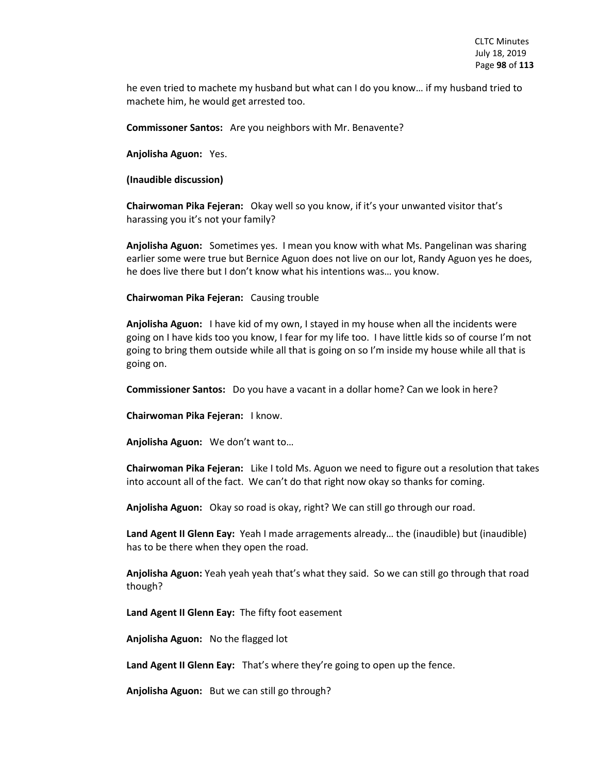he even tried to machete my husband but what can I do you know… if my husband tried to machete him, he would get arrested too.

**Commissoner Santos:** Are you neighbors with Mr. Benavente?

**Anjolisha Aguon:** Yes.

**(Inaudible discussion)**

**Chairwoman Pika Fejeran:** Okay well so you know, if it's your unwanted visitor that's harassing you it's not your family?

**Anjolisha Aguon:** Sometimes yes. I mean you know with what Ms. Pangelinan was sharing earlier some were true but Bernice Aguon does not live on our lot, Randy Aguon yes he does, he does live there but I don't know what his intentions was… you know.

**Chairwoman Pika Fejeran:** Causing trouble

**Anjolisha Aguon:** I have kid of my own, I stayed in my house when all the incidents were going on I have kids too you know, I fear for my life too. I have little kids so of course I'm not going to bring them outside while all that is going on so I'm inside my house while all that is going on.

**Commissioner Santos:** Do you have a vacant in a dollar home? Can we look in here?

**Chairwoman Pika Fejeran:** I know.

**Anjolisha Aguon:** We don't want to…

**Chairwoman Pika Fejeran:** Like I told Ms. Aguon we need to figure out a resolution that takes into account all of the fact. We can't do that right now okay so thanks for coming.

**Anjolisha Aguon:** Okay so road is okay, right? We can still go through our road.

**Land Agent II Glenn Eay:** Yeah I made arragements already… the (inaudible) but (inaudible) has to be there when they open the road.

**Anjolisha Aguon:** Yeah yeah yeah that's what they said. So we can still go through that road though?

**Land Agent II Glenn Eay:** The fifty foot easement

**Anjolisha Aguon:** No the flagged lot

**Land Agent II Glenn Eay:** That's where they're going to open up the fence.

**Anjolisha Aguon:** But we can still go through?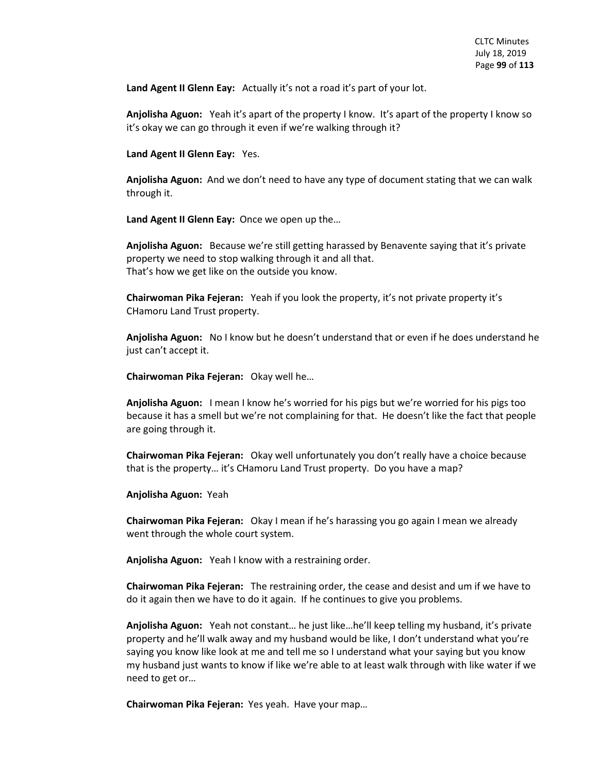Land Agent II Glenn Eay: Actually it's not a road it's part of your lot.

**Anjolisha Aguon:** Yeah it's apart of the property I know. It's apart of the property I know so it's okay we can go through it even if we're walking through it?

**Land Agent II Glenn Eay:** Yes.

**Anjolisha Aguon:** And we don't need to have any type of document stating that we can walk through it.

**Land Agent II Glenn Eay:** Once we open up the…

**Anjolisha Aguon:** Because we're still getting harassed by Benavente saying that it's private property we need to stop walking through it and all that. That's how we get like on the outside you know.

**Chairwoman Pika Fejeran:** Yeah if you look the property, it's not private property it's CHamoru Land Trust property.

**Anjolisha Aguon:** No I know but he doesn't understand that or even if he does understand he just can't accept it.

**Chairwoman Pika Fejeran:** Okay well he…

**Anjolisha Aguon:** I mean I know he's worried for his pigs but we're worried for his pigs too because it has a smell but we're not complaining for that. He doesn't like the fact that people are going through it.

**Chairwoman Pika Fejeran:** Okay well unfortunately you don't really have a choice because that is the property… it's CHamoru Land Trust property. Do you have a map?

**Anjolisha Aguon:** Yeah

**Chairwoman Pika Fejeran:** Okay I mean if he's harassing you go again I mean we already went through the whole court system.

**Anjolisha Aguon:** Yeah I know with a restraining order.

**Chairwoman Pika Fejeran:** The restraining order, the cease and desist and um if we have to do it again then we have to do it again. If he continues to give you problems.

**Anjolisha Aguon:** Yeah not constant… he just like…he'll keep telling my husband, it's private property and he'll walk away and my husband would be like, I don't understand what you're saying you know like look at me and tell me so I understand what your saying but you know my husband just wants to know if like we're able to at least walk through with like water if we need to get or…

**Chairwoman Pika Fejeran:** Yes yeah. Have your map…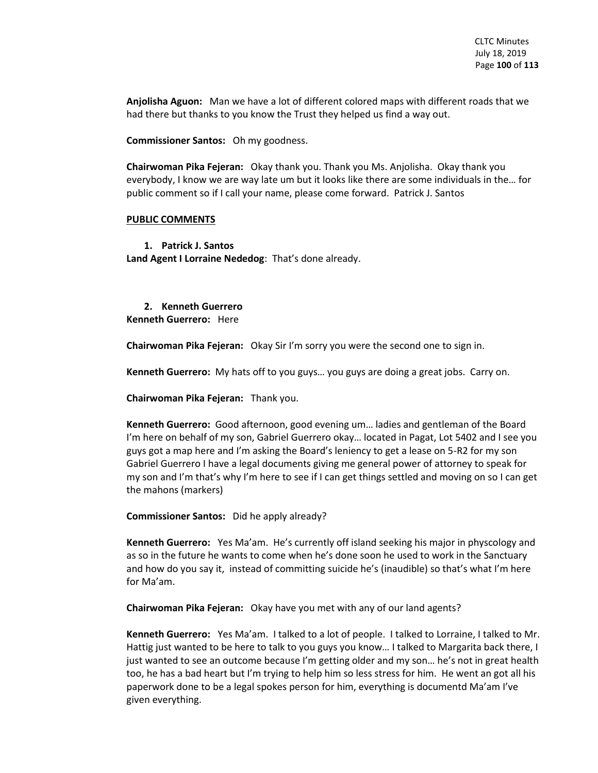**Anjolisha Aguon:** Man we have a lot of different colored maps with different roads that we had there but thanks to you know the Trust they helped us find a way out.

**Commissioner Santos:** Oh my goodness.

**Chairwoman Pika Fejeran:** Okay thank you. Thank you Ms. Anjolisha. Okay thank you everybody, I know we are way late um but it looks like there are some individuals in the… for public comment so if I call your name, please come forward. Patrick J. Santos

#### **PUBLIC COMMENTS**

**1. Patrick J. Santos Land Agent I Lorraine Nededog**: That's done already.

**2. Kenneth Guerrero Kenneth Guerrero:** Here

**Chairwoman Pika Fejeran:** Okay Sir I'm sorry you were the second one to sign in.

**Kenneth Guerrero:** My hats off to you guys… you guys are doing a great jobs. Carry on.

**Chairwoman Pika Fejeran:** Thank you.

**Kenneth Guerrero:** Good afternoon, good evening um… ladies and gentleman of the Board I'm here on behalf of my son, Gabriel Guerrero okay… located in Pagat, Lot 5402 and I see you guys got a map here and I'm asking the Board's leniency to get a lease on 5-R2 for my son Gabriel Guerrero I have a legal documents giving me general power of attorney to speak for my son and I'm that's why I'm here to see if I can get things settled and moving on so I can get the mahons (markers)

**Commissioner Santos:** Did he apply already?

**Kenneth Guerrero:** Yes Ma'am. He's currently off island seeking his major in physcology and as so in the future he wants to come when he's done soon he used to work in the Sanctuary and how do you say it, instead of committing suicide he's (inaudible) so that's what I'm here for Ma'am.

**Chairwoman Pika Fejeran:** Okay have you met with any of our land agents?

**Kenneth Guerrero:** Yes Ma'am. I talked to a lot of people. I talked to Lorraine, I talked to Mr. Hattig just wanted to be here to talk to you guys you know… I talked to Margarita back there, I just wanted to see an outcome because I'm getting older and my son… he's not in great health too, he has a bad heart but I'm trying to help him so less stress for him. He went an got all his paperwork done to be a legal spokes person for him, everything is documentd Ma'am I've given everything.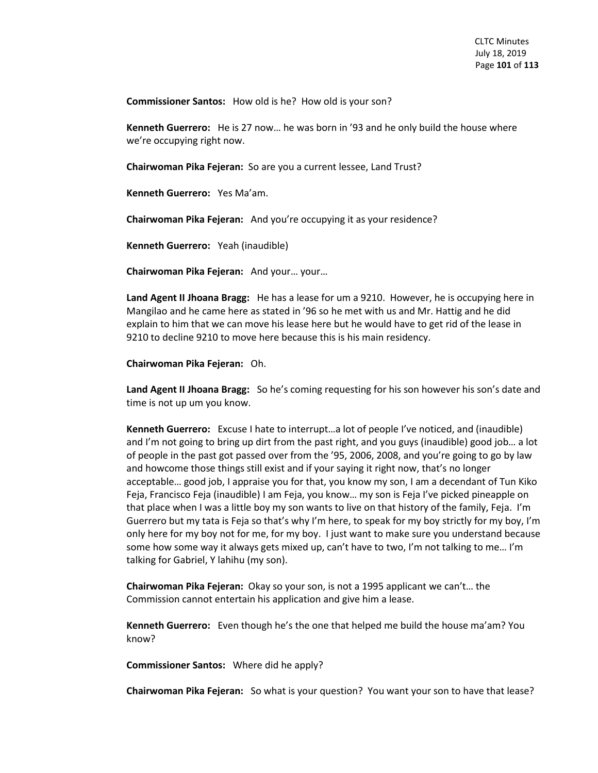**Commissioner Santos:** How old is he? How old is your son?

**Kenneth Guerrero:** He is 27 now… he was born in '93 and he only build the house where we're occupying right now.

**Chairwoman Pika Fejeran:** So are you a current lessee, Land Trust?

**Kenneth Guerrero:** Yes Ma'am.

**Chairwoman Pika Fejeran:** And you're occupying it as your residence?

**Kenneth Guerrero:** Yeah (inaudible)

**Chairwoman Pika Fejeran:** And your… your…

**Land Agent II Jhoana Bragg:** He has a lease for um a 9210. However, he is occupying here in Mangilao and he came here as stated in '96 so he met with us and Mr. Hattig and he did explain to him that we can move his lease here but he would have to get rid of the lease in 9210 to decline 9210 to move here because this is his main residency.

**Chairwoman Pika Fejeran:** Oh.

**Land Agent II Jhoana Bragg:** So he's coming requesting for his son however his son's date and time is not up um you know.

**Kenneth Guerrero:** Excuse I hate to interrupt…a lot of people I've noticed, and (inaudible) and I'm not going to bring up dirt from the past right, and you guys (inaudible) good job… a lot of people in the past got passed over from the '95, 2006, 2008, and you're going to go by law and howcome those things still exist and if your saying it right now, that's no longer acceptable… good job, I appraise you for that, you know my son, I am a decendant of Tun Kiko Feja, Francisco Feja (inaudible) I am Feja, you know… my son is Feja I've picked pineapple on that place when I was a little boy my son wants to live on that history of the family, Feja. I'm Guerrero but my tata is Feja so that's why I'm here, to speak for my boy strictly for my boy, I'm only here for my boy not for me, for my boy. I just want to make sure you understand because some how some way it always gets mixed up, can't have to two, I'm not talking to me… I'm talking for Gabriel, Y lahihu (my son).

**Chairwoman Pika Fejeran:** Okay so your son, is not a 1995 applicant we can't… the Commission cannot entertain his application and give him a lease.

**Kenneth Guerrero:** Even though he's the one that helped me build the house ma'am? You know?

**Commissioner Santos:** Where did he apply?

**Chairwoman Pika Fejeran:** So what is your question? You want your son to have that lease?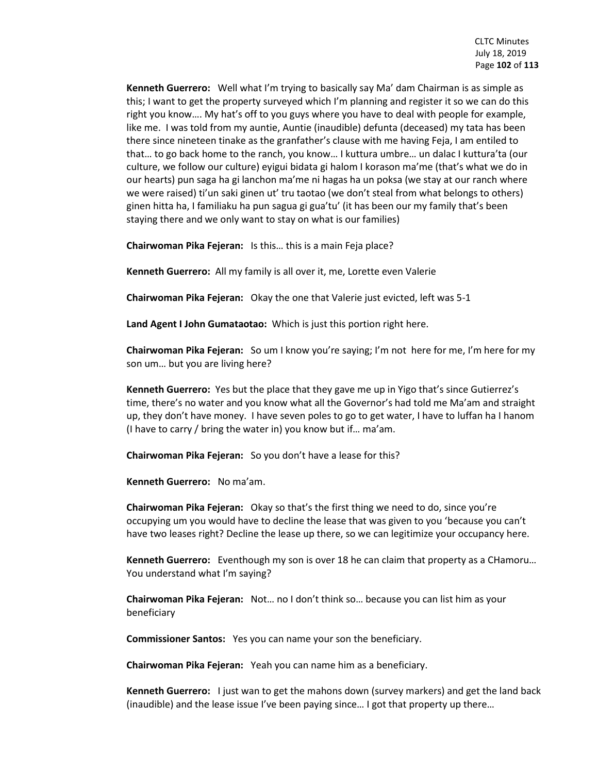**Kenneth Guerrero:** Well what I'm trying to basically say Ma' dam Chairman is as simple as this; I want to get the property surveyed which I'm planning and register it so we can do this right you know…. My hat's off to you guys where you have to deal with people for example, like me. I was told from my auntie, Auntie (inaudible) defunta (deceased) my tata has been there since nineteen tinake as the granfather's clause with me having Feja, I am entiled to that… to go back home to the ranch, you know… I kuttura umbre… un dalac I kuttura'ta (our culture, we follow our culture) eyigui bidata gi halom I korason ma'me (that's what we do in our hearts) pun saga ha gi lanchon ma'me ni hagas ha un poksa (we stay at our ranch where we were raised) ti'un saki ginen ut' tru taotao (we don't steal from what belongs to others) ginen hitta ha, I familiaku ha pun sagua gi gua'tu' (it has been our my family that's been staying there and we only want to stay on what is our families)

**Chairwoman Pika Fejeran:** Is this… this is a main Feja place?

**Kenneth Guerrero:** All my family is all over it, me, Lorette even Valerie

**Chairwoman Pika Fejeran:** Okay the one that Valerie just evicted, left was 5-1

**Land Agent I John Gumataotao:** Which is just this portion right here.

**Chairwoman Pika Fejeran:** So um I know you're saying; I'm not here for me, I'm here for my son um… but you are living here?

**Kenneth Guerrero:** Yes but the place that they gave me up in Yigo that's since Gutierrez's time, there's no water and you know what all the Governor's had told me Ma'am and straight up, they don't have money. I have seven poles to go to get water, I have to luffan ha I hanom (I have to carry / bring the water in) you know but if… ma'am.

**Chairwoman Pika Fejeran:** So you don't have a lease for this?

**Kenneth Guerrero:** No ma'am.

**Chairwoman Pika Fejeran:** Okay so that's the first thing we need to do, since you're occupying um you would have to decline the lease that was given to you 'because you can't have two leases right? Decline the lease up there, so we can legitimize your occupancy here.

**Kenneth Guerrero:** Eventhough my son is over 18 he can claim that property as a CHamoru… You understand what I'm saying?

**Chairwoman Pika Fejeran:** Not… no I don't think so… because you can list him as your beneficiary

**Commissioner Santos:** Yes you can name your son the beneficiary.

**Chairwoman Pika Fejeran:** Yeah you can name him as a beneficiary.

**Kenneth Guerrero:** I just wan to get the mahons down (survey markers) and get the land back (inaudible) and the lease issue I've been paying since… I got that property up there…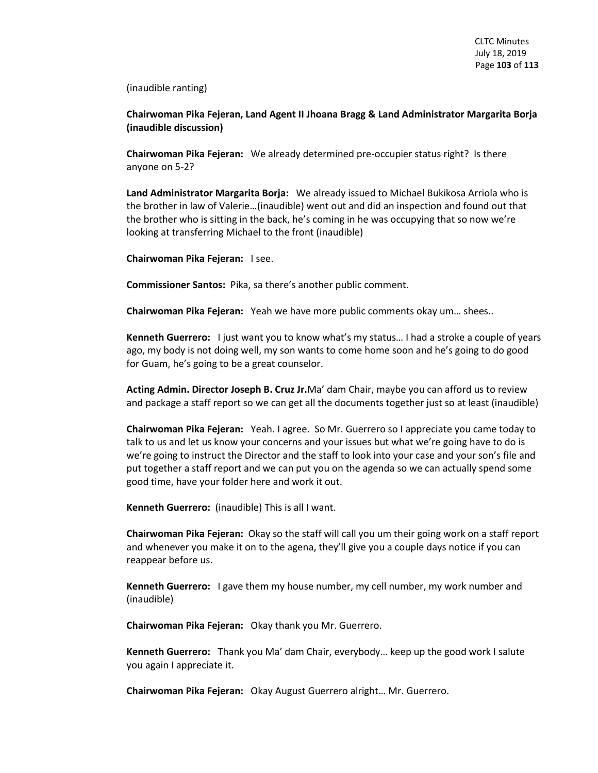(inaudible ranting)

**Chairwoman Pika Fejeran, Land Agent II Jhoana Bragg & Land Administrator Margarita Borja (inaudible discussion)**

**Chairwoman Pika Fejeran:** We already determined pre-occupier status right? Is there anyone on 5-2?

**Land Administrator Margarita Borja:** We already issued to Michael Bukikosa Arriola who is the brother in law of Valerie…(inaudible) went out and did an inspection and found out that the brother who is sitting in the back, he's coming in he was occupying that so now we're looking at transferring Michael to the front (inaudible)

**Chairwoman Pika Fejeran:** I see.

**Commissioner Santos:** Pika, sa there's another public comment.

**Chairwoman Pika Fejeran:** Yeah we have more public comments okay um… shees..

**Kenneth Guerrero:** I just want you to know what's my status… I had a stroke a couple of years ago, my body is not doing well, my son wants to come home soon and he's going to do good for Guam, he's going to be a great counselor.

**Acting Admin. Director Joseph B. Cruz Jr.**Ma' dam Chair, maybe you can afford us to review and package a staff report so we can get all the documents together just so at least (inaudible)

**Chairwoman Pika Fejeran:** Yeah. I agree. So Mr. Guerrero so I appreciate you came today to talk to us and let us know your concerns and your issues but what we're going have to do is we're going to instruct the Director and the staff to look into your case and your son's file and put together a staff report and we can put you on the agenda so we can actually spend some good time, have your folder here and work it out.

**Kenneth Guerrero:** (inaudible) This is all I want.

**Chairwoman Pika Fejeran:** Okay so the staff will call you um their going work on a staff report and whenever you make it on to the agena, they'll give you a couple days notice if you can reappear before us.

**Kenneth Guerrero:** I gave them my house number, my cell number, my work number and (inaudible)

**Chairwoman Pika Fejeran:** Okay thank you Mr. Guerrero.

**Kenneth Guerrero:** Thank you Ma' dam Chair, everybody… keep up the good work I salute you again I appreciate it.

**Chairwoman Pika Fejeran:** Okay August Guerrero alright… Mr. Guerrero.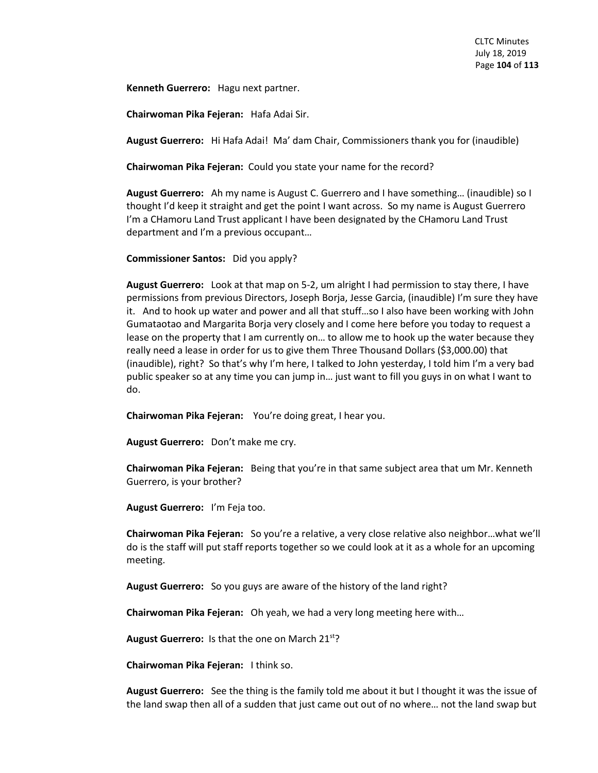**Kenneth Guerrero:** Hagu next partner.

**Chairwoman Pika Fejeran:** Hafa Adai Sir.

**August Guerrero:** Hi Hafa Adai! Ma' dam Chair, Commissioners thank you for (inaudible)

**Chairwoman Pika Fejeran:** Could you state your name for the record?

**August Guerrero:** Ah my name is August C. Guerrero and I have something… (inaudible) so I thought I'd keep it straight and get the point I want across. So my name is August Guerrero I'm a CHamoru Land Trust applicant I have been designated by the CHamoru Land Trust department and I'm a previous occupant…

**Commissioner Santos:** Did you apply?

**August Guerrero:** Look at that map on 5-2, um alright I had permission to stay there, I have permissions from previous Directors, Joseph Borja, Jesse Garcia, (inaudible) I'm sure they have it. And to hook up water and power and all that stuff…so I also have been working with John Gumataotao and Margarita Borja very closely and I come here before you today to request a lease on the property that I am currently on… to allow me to hook up the water because they really need a lease in order for us to give them Three Thousand Dollars (\$3,000.00) that (inaudible), right? So that's why I'm here, I talked to John yesterday, I told him I'm a very bad public speaker so at any time you can jump in… just want to fill you guys in on what I want to do.

**Chairwoman Pika Fejeran:** You're doing great, I hear you.

**August Guerrero:** Don't make me cry.

**Chairwoman Pika Fejeran:** Being that you're in that same subject area that um Mr. Kenneth Guerrero, is your brother?

**August Guerrero:** I'm Feja too.

**Chairwoman Pika Fejeran:** So you're a relative, a very close relative also neighbor…what we'll do is the staff will put staff reports together so we could look at it as a whole for an upcoming meeting.

**August Guerrero:** So you guys are aware of the history of the land right?

**Chairwoman Pika Fejeran:** Oh yeah, we had a very long meeting here with…

**August Guerrero:** Is that the one on March 21st?

**Chairwoman Pika Fejeran:** I think so.

**August Guerrero:** See the thing is the family told me about it but I thought it was the issue of the land swap then all of a sudden that just came out out of no where… not the land swap but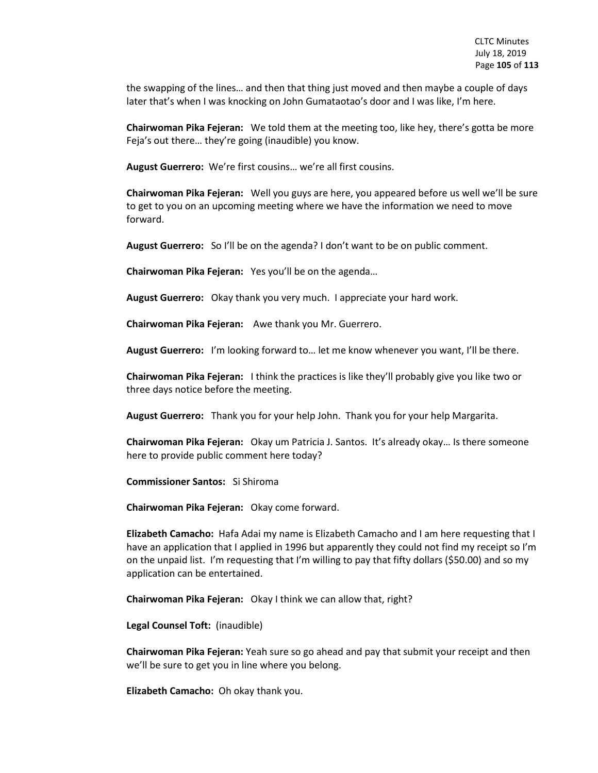the swapping of the lines… and then that thing just moved and then maybe a couple of days later that's when I was knocking on John Gumataotao's door and I was like, I'm here.

**Chairwoman Pika Fejeran:** We told them at the meeting too, like hey, there's gotta be more Feja's out there… they're going (inaudible) you know.

**August Guerrero:** We're first cousins… we're all first cousins.

**Chairwoman Pika Fejeran:** Well you guys are here, you appeared before us well we'll be sure to get to you on an upcoming meeting where we have the information we need to move forward.

**August Guerrero:** So I'll be on the agenda? I don't want to be on public comment.

**Chairwoman Pika Fejeran:** Yes you'll be on the agenda…

**August Guerrero:** Okay thank you very much. I appreciate your hard work.

**Chairwoman Pika Fejeran:** Awe thank you Mr. Guerrero.

**August Guerrero:** I'm looking forward to… let me know whenever you want, I'll be there.

**Chairwoman Pika Fejeran:** I think the practices is like they'll probably give you like two or three days notice before the meeting.

**August Guerrero:** Thank you for your help John. Thank you for your help Margarita.

**Chairwoman Pika Fejeran:** Okay um Patricia J. Santos. It's already okay… Is there someone here to provide public comment here today?

**Commissioner Santos:** Si Shiroma

**Chairwoman Pika Fejeran:** Okay come forward.

**Elizabeth Camacho:** Hafa Adai my name is Elizabeth Camacho and I am here requesting that I have an application that I applied in 1996 but apparently they could not find my receipt so I'm on the unpaid list. I'm requesting that I'm willing to pay that fifty dollars (\$50.00) and so my application can be entertained.

**Chairwoman Pika Fejeran:** Okay I think we can allow that, right?

**Legal Counsel Toft:** (inaudible)

**Chairwoman Pika Fejeran:** Yeah sure so go ahead and pay that submit your receipt and then we'll be sure to get you in line where you belong.

**Elizabeth Camacho:** Oh okay thank you.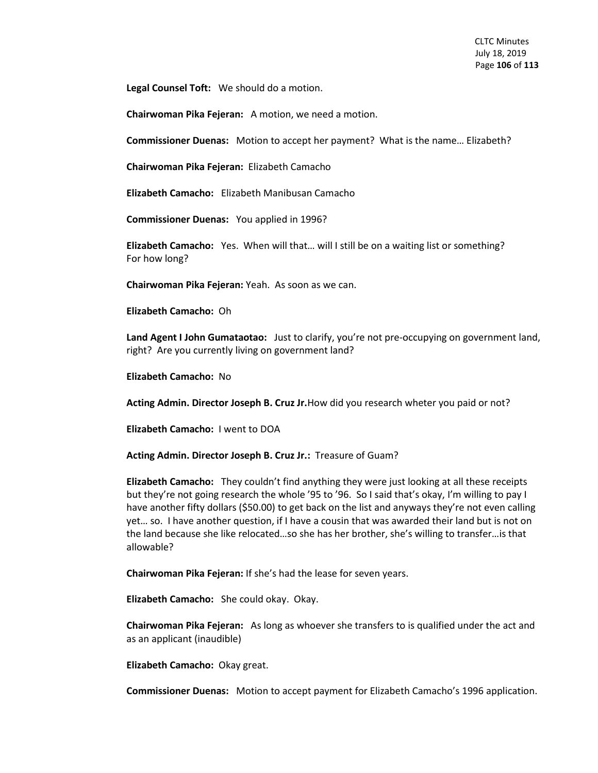**Legal Counsel Toft:** We should do a motion.

**Chairwoman Pika Fejeran:** A motion, we need a motion.

**Commissioner Duenas:** Motion to accept her payment? What is the name… Elizabeth?

**Chairwoman Pika Fejeran:** Elizabeth Camacho

**Elizabeth Camacho:** Elizabeth Manibusan Camacho

**Commissioner Duenas:** You applied in 1996?

**Elizabeth Camacho:** Yes. When will that… will I still be on a waiting list or something? For how long?

**Chairwoman Pika Fejeran:** Yeah. As soon as we can.

**Elizabeth Camacho:** Oh

**Land Agent I John Gumataotao:** Just to clarify, you're not pre-occupying on government land, right? Are you currently living on government land?

**Elizabeth Camacho:** No

**Acting Admin. Director Joseph B. Cruz Jr.**How did you research wheter you paid or not?

**Elizabeth Camacho:** I went to DOA

**Acting Admin. Director Joseph B. Cruz Jr.:** Treasure of Guam?

**Elizabeth Camacho:** They couldn't find anything they were just looking at all these receipts but they're not going research the whole '95 to '96. So I said that's okay, I'm willing to pay I have another fifty dollars (\$50.00) to get back on the list and anyways they're not even calling yet… so. I have another question, if I have a cousin that was awarded their land but is not on the land because she like relocated…so she has her brother, she's willing to transfer…is that allowable?

**Chairwoman Pika Fejeran:** If she's had the lease for seven years.

**Elizabeth Camacho:** She could okay. Okay.

**Chairwoman Pika Fejeran:** As long as whoever she transfers to is qualified under the act and as an applicant (inaudible)

**Elizabeth Camacho:** Okay great.

**Commissioner Duenas:** Motion to accept payment for Elizabeth Camacho's 1996 application.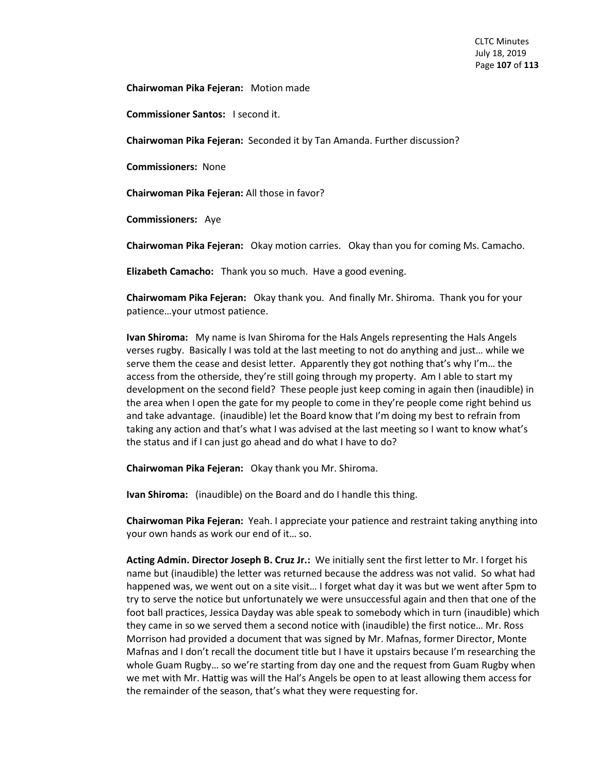**Chairwoman Pika Fejeran:** Motion made

**Commissioner Santos:** I second it.

**Chairwoman Pika Fejeran:** Seconded it by Tan Amanda. Further discussion?

**Commissioners:** None

**Chairwoman Pika Fejeran:** All those in favor?

**Commissioners:** Aye

**Chairwoman Pika Fejeran:** Okay motion carries. Okay than you for coming Ms. Camacho.

**Elizabeth Camacho:** Thank you so much. Have a good evening.

**Chairwomam Pika Fejeran:** Okay thank you. And finally Mr. Shiroma. Thank you for your patience…your utmost patience.

**Ivan Shiroma:** My name is Ivan Shiroma for the Hals Angels representing the Hals Angels verses rugby. Basically I was told at the last meeting to not do anything and just… while we serve them the cease and desist letter. Apparently they got nothing that's why I'm… the access from the otherside, they're still going through my property. Am I able to start my development on the second field? These people just keep coming in again then (inaudible) in the area when I open the gate for my people to come in they're people come right behind us and take advantage. (inaudible) let the Board know that I'm doing my best to refrain from taking any action and that's what I was advised at the last meeting so I want to know what's the status and if I can just go ahead and do what I have to do?

**Chairwoman Pika Fejeran:** Okay thank you Mr. Shiroma.

**Ivan Shiroma:** (inaudible) on the Board and do I handle this thing.

**Chairwoman Pika Fejeran:** Yeah. I appreciate your patience and restraint taking anything into your own hands as work our end of it… so.

**Acting Admin. Director Joseph B. Cruz Jr.:** We initially sent the first letter to Mr. I forget his name but (inaudible) the letter was returned because the address was not valid. So what had happened was, we went out on a site visit… I forget what day it was but we went after 5pm to try to serve the notice but unfortunately we were unsuccessful again and then that one of the foot ball practices, Jessica Dayday was able speak to somebody which in turn (inaudible) which they came in so we served them a second notice with (inaudible) the first notice… Mr. Ross Morrison had provided a document that was signed by Mr. Mafnas, former Director, Monte Mafnas and I don't recall the document title but I have it upstairs because I'm researching the whole Guam Rugby… so we're starting from day one and the request from Guam Rugby when we met with Mr. Hattig was will the Hal's Angels be open to at least allowing them access for the remainder of the season, that's what they were requesting for.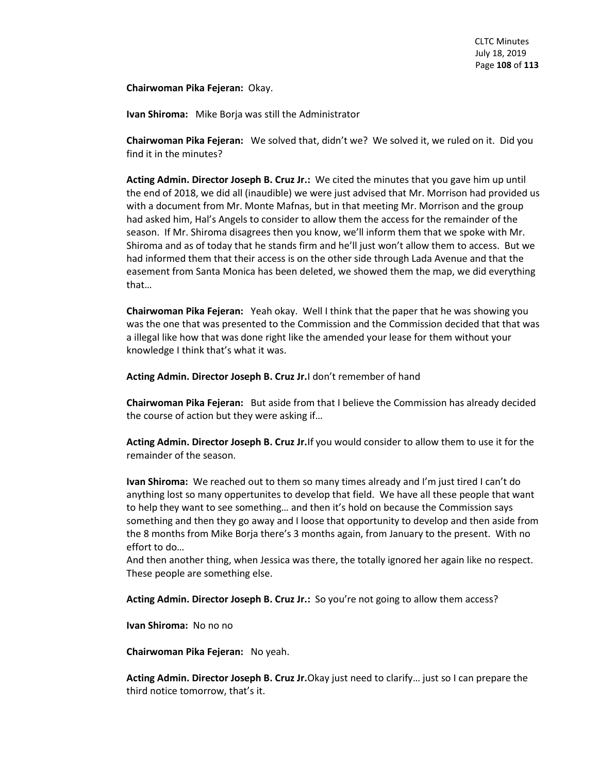**Chairwoman Pika Fejeran:** Okay.

**Ivan Shiroma:** Mike Borja was still the Administrator

**Chairwoman Pika Fejeran:** We solved that, didn't we? We solved it, we ruled on it. Did you find it in the minutes?

**Acting Admin. Director Joseph B. Cruz Jr.:** We cited the minutes that you gave him up until the end of 2018, we did all (inaudible) we were just advised that Mr. Morrison had provided us with a document from Mr. Monte Mafnas, but in that meeting Mr. Morrison and the group had asked him, Hal's Angels to consider to allow them the access for the remainder of the season. If Mr. Shiroma disagrees then you know, we'll inform them that we spoke with Mr. Shiroma and as of today that he stands firm and he'll just won't allow them to access. But we had informed them that their access is on the other side through Lada Avenue and that the easement from Santa Monica has been deleted, we showed them the map, we did everything that…

**Chairwoman Pika Fejeran:** Yeah okay. Well I think that the paper that he was showing you was the one that was presented to the Commission and the Commission decided that that was a illegal like how that was done right like the amended your lease for them without your knowledge I think that's what it was.

**Acting Admin. Director Joseph B. Cruz Jr.**I don't remember of hand

**Chairwoman Pika Fejeran:** But aside from that I believe the Commission has already decided the course of action but they were asking if…

**Acting Admin. Director Joseph B. Cruz Jr.**If you would consider to allow them to use it for the remainder of the season.

**Ivan Shiroma:** We reached out to them so many times already and I'm just tired I can't do anything lost so many oppertunites to develop that field. We have all these people that want to help they want to see something… and then it's hold on because the Commission says something and then they go away and I loose that opportunity to develop and then aside from the 8 months from Mike Borja there's 3 months again, from January to the present. With no effort to do…

And then another thing, when Jessica was there, the totally ignored her again like no respect. These people are something else.

**Acting Admin. Director Joseph B. Cruz Jr.:** So you're not going to allow them access?

**Ivan Shiroma:** No no no

**Chairwoman Pika Fejeran:** No yeah.

**Acting Admin. Director Joseph B. Cruz Jr.**Okay just need to clarify… just so I can prepare the third notice tomorrow, that's it.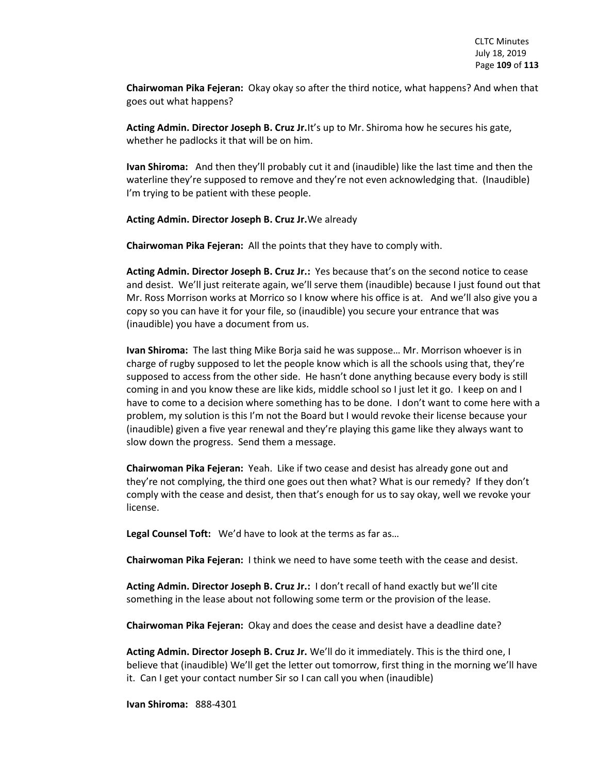**Chairwoman Pika Fejeran:** Okay okay so after the third notice, what happens? And when that goes out what happens?

**Acting Admin. Director Joseph B. Cruz Jr.**It's up to Mr. Shiroma how he secures his gate, whether he padlocks it that will be on him.

**Ivan Shiroma:** And then they'll probably cut it and (inaudible) like the last time and then the waterline they're supposed to remove and they're not even acknowledging that. (Inaudible) I'm trying to be patient with these people.

## **Acting Admin. Director Joseph B. Cruz Jr.**We already

**Chairwoman Pika Fejeran:** All the points that they have to comply with.

**Acting Admin. Director Joseph B. Cruz Jr.:** Yes because that's on the second notice to cease and desist. We'll just reiterate again, we'll serve them (inaudible) because I just found out that Mr. Ross Morrison works at Morrico so I know where his office is at. And we'll also give you a copy so you can have it for your file, so (inaudible) you secure your entrance that was (inaudible) you have a document from us.

**Ivan Shiroma:** The last thing Mike Borja said he was suppose… Mr. Morrison whoever is in charge of rugby supposed to let the people know which is all the schools using that, they're supposed to access from the other side. He hasn't done anything because every body is still coming in and you know these are like kids, middle school so I just let it go. I keep on and I have to come to a decision where something has to be done. I don't want to come here with a problem, my solution is this I'm not the Board but I would revoke their license because your (inaudible) given a five year renewal and they're playing this game like they always want to slow down the progress. Send them a message.

**Chairwoman Pika Fejeran:** Yeah. Like if two cease and desist has already gone out and they're not complying, the third one goes out then what? What is our remedy? If they don't comply with the cease and desist, then that's enough for us to say okay, well we revoke your license.

**Legal Counsel Toft:** We'd have to look at the terms as far as…

**Chairwoman Pika Fejeran:** I think we need to have some teeth with the cease and desist.

**Acting Admin. Director Joseph B. Cruz Jr.:** I don't recall of hand exactly but we'll cite something in the lease about not following some term or the provision of the lease.

**Chairwoman Pika Fejeran:** Okay and does the cease and desist have a deadline date?

**Acting Admin. Director Joseph B. Cruz Jr.** We'll do it immediately. This is the third one, I believe that (inaudible) We'll get the letter out tomorrow, first thing in the morning we'll have it. Can I get your contact number Sir so I can call you when (inaudible)

**Ivan Shiroma:** 888-4301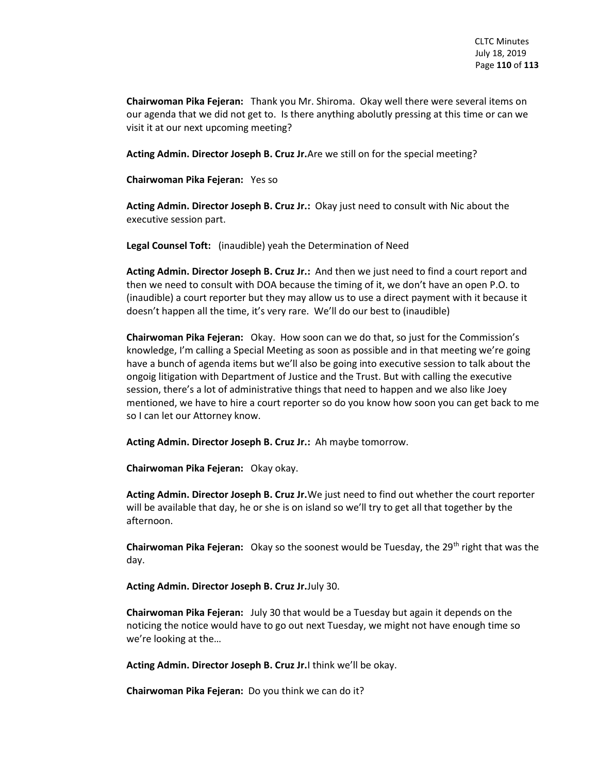**Chairwoman Pika Fejeran:** Thank you Mr. Shiroma. Okay well there were several items on our agenda that we did not get to. Is there anything abolutly pressing at this time or can we visit it at our next upcoming meeting?

**Acting Admin. Director Joseph B. Cruz Jr.**Are we still on for the special meeting?

**Chairwoman Pika Fejeran:** Yes so

**Acting Admin. Director Joseph B. Cruz Jr.:** Okay just need to consult with Nic about the executive session part.

**Legal Counsel Toft:** (inaudible) yeah the Determination of Need

**Acting Admin. Director Joseph B. Cruz Jr.:** And then we just need to find a court report and then we need to consult with DOA because the timing of it, we don't have an open P.O. to (inaudible) a court reporter but they may allow us to use a direct payment with it because it doesn't happen all the time, it's very rare. We'll do our best to (inaudible)

**Chairwoman Pika Fejeran:** Okay. How soon can we do that, so just for the Commission's knowledge, I'm calling a Special Meeting as soon as possible and in that meeting we're going have a bunch of agenda items but we'll also be going into executive session to talk about the ongoig litigation with Department of Justice and the Trust. But with calling the executive session, there's a lot of administrative things that need to happen and we also like Joey mentioned, we have to hire a court reporter so do you know how soon you can get back to me so I can let our Attorney know.

**Acting Admin. Director Joseph B. Cruz Jr.:** Ah maybe tomorrow.

**Chairwoman Pika Fejeran:** Okay okay.

**Acting Admin. Director Joseph B. Cruz Jr.**We just need to find out whether the court reporter will be available that day, he or she is on island so we'll try to get all that together by the afternoon.

**Chairwoman Pika Fejeran:** Okay so the soonest would be Tuesday, the 29<sup>th</sup> right that was the day.

**Acting Admin. Director Joseph B. Cruz Jr.**July 30.

**Chairwoman Pika Fejeran:** July 30 that would be a Tuesday but again it depends on the noticing the notice would have to go out next Tuesday, we might not have enough time so we're looking at the…

**Acting Admin. Director Joseph B. Cruz Jr.**I think we'll be okay.

**Chairwoman Pika Fejeran:** Do you think we can do it?